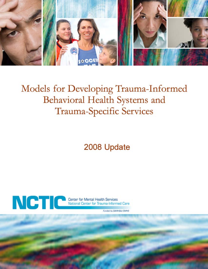

# Models for Developing Trauma-Informed Behavioral Health Systems and **Trauma-Specific Services**

2008 Update



Abt Associates Inc.

Funded by SAMHSA/CMHS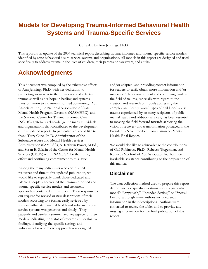# **Models for Developing Trauma-Informed Behavioral Health Systems and Trauma-Specific Services**

Compiled by Ann Jennings, Ph.D.

This report is an update of the 2004 technical report describing trauma-informed and trauma-specific service models identified by state behavioral health service systems and organizations. All models in this report are designed and used specifically to address trauma in the lives of children, their parents or caregivers, and adults.

# **Acknowledgments**

This document was compiled by the exhaustive efforts of Ann Jennings Ph.D. with her dedication to promoting awareness to the prevalence and effects of trauma as well as her hope in healing and systems transformation to a trauma-informed community. Abt Associates Inc., the National Association of State Mental Health Program Directors (NASMHPD), and the National Center for Trauma Informed Care (NCTIC) gratefully acknowledge the many individuals and organizations that contributed to the development of this updated report. In particular, we would like to thank Terry Cline, Ph.D. Administrator of the Substance Abuse and Mental Health Services Administration (SAMHSA), A. Kathryn Power, M.Ed., and Susan E. Salasin of the Center for Mental Health Services (CMHS) within SAMHSA for their time, effort and continuing commitment to this issue.

Among the many individuals who contributed resources and time to this updated publication, we would like to especially thank those dedicated and talented people who created the trauma-informed and trauma-specific service models and treatment approaches contained in this report. Their response to our request for revised or new descriptions of their models according to a format easily reviewed by readers within state mental health and substance abuse service systems was generous and timely. They patiently and carefully summarized key aspects of their models, indicating the status of research and evaluative findings, identifying the specific settings and individuals for whom each approach was designed

and/or adapted, and providing contact information for readers to easily obtain more information and/or materials. Their commitment and continuing work in the field of trauma, especially with regard to the creation and research of models addressing the complex and deeply rooted types of childhood abuse trauma experienced by so many recipients of public mental health and addition services, has been essential to moving the field forward towards achieving the vision of recovery and transformation portrayed in the President's New Freedom Commission on Mental Health Final Report.

We would also like to acknowledge the contributions of Gail Robinson, Ph.D., Rebecca Tregerman, and Kenneth Morford of Abt Associates Inc. for their invaluable assistance contributing to the preparation of this manual.

### **Disclaimer**

The data collection method used to prepare this report did not include specific questions about a particular model's "Approach," "Intended Setting," or "Special Focus," although many authors included such information in their descriptions. Authors were contacted to review the tables and to provide any missing information for the final publication of this report.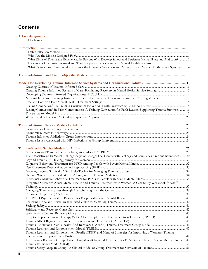## **Contents**

| What Kinds of Trauma are Experienced by Persons Who Develop Serious and Persistent Mental Illness and Addiction? 2      |  |
|-------------------------------------------------------------------------------------------------------------------------|--|
|                                                                                                                         |  |
| What Factors have Contributed to the Growth of Trauma Awareness and Activity in State Mental Health Service Systems? 4  |  |
|                                                                                                                         |  |
|                                                                                                                         |  |
|                                                                                                                         |  |
|                                                                                                                         |  |
|                                                                                                                         |  |
|                                                                                                                         |  |
| National Executive Training Institute for the Reduction of Seclusion and Restraint: Creating Violence                   |  |
|                                                                                                                         |  |
|                                                                                                                         |  |
| Risking Connection® in Faith Communities: A Training Curriculum for Faith Leaders Supporting Trauma Survivors 16        |  |
|                                                                                                                         |  |
|                                                                                                                         |  |
|                                                                                                                         |  |
|                                                                                                                         |  |
|                                                                                                                         |  |
|                                                                                                                         |  |
|                                                                                                                         |  |
|                                                                                                                         |  |
|                                                                                                                         |  |
|                                                                                                                         |  |
| The Associative Skills Model: Taking Charge of Change; The Trouble with Feelings; and Boundaries, Precious Boundaries30 |  |
|                                                                                                                         |  |
|                                                                                                                         |  |
|                                                                                                                         |  |
|                                                                                                                         |  |
|                                                                                                                         |  |
|                                                                                                                         |  |
| Integrated Substance Abuse Mental Health and Trauma Treatment with Women: A Case Study Workbook for Staff               |  |
|                                                                                                                         |  |
|                                                                                                                         |  |
|                                                                                                                         |  |
|                                                                                                                         |  |
|                                                                                                                         |  |
|                                                                                                                         |  |
|                                                                                                                         |  |
|                                                                                                                         |  |
|                                                                                                                         |  |
|                                                                                                                         |  |
|                                                                                                                         |  |
|                                                                                                                         |  |
| Trauma Recovery and Empowerment Profile (TREP) and Menu of Strategies for Improving a Woman's Trauma                    |  |
|                                                                                                                         |  |
| The Trauma Recovery Group: Group Cognitive-Behavioral Treatment for PTSD in People with Severe Mental Illness  49       |  |
|                                                                                                                         |  |
|                                                                                                                         |  |
|                                                                                                                         |  |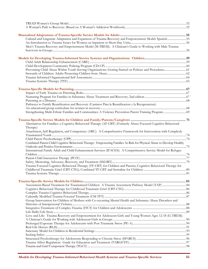| Cultural and Linguistic Adaptation and Expansion of Trauma Recovery and Empowerment Model: Spanish55                  |  |
|-----------------------------------------------------------------------------------------------------------------------|--|
|                                                                                                                       |  |
| Men's Trauma Recovery and Empowerment Model (M-TREM): A Clinician's Guide to Working with Male Trauma                 |  |
|                                                                                                                       |  |
|                                                                                                                       |  |
|                                                                                                                       |  |
|                                                                                                                       |  |
| Preventing Child Abuse Within Youth Serving Organizations: Getting Started on Policies and Procedures 61              |  |
|                                                                                                                       |  |
|                                                                                                                       |  |
|                                                                                                                       |  |
|                                                                                                                       |  |
|                                                                                                                       |  |
|                                                                                                                       |  |
|                                                                                                                       |  |
|                                                                                                                       |  |
| Pathways to Family Reunification and Recovery (Caminos Para la Reunificacion y la Recuperacion):                      |  |
|                                                                                                                       |  |
|                                                                                                                       |  |
|                                                                                                                       |  |
|                                                                                                                       |  |
| Alternatives for Families: a Cognitive Behavioral Therapy (AF-CBT) (Formerly Abuse-Focused Cognitive Behavioral       |  |
| Therapy)                                                                                                              |  |
| Attachment, Self-Regulation, and Competency (ARC): A Comprehensive Framework for Intervention with Complexly          |  |
|                                                                                                                       |  |
| Combined Parent-Child Cognitive Behavioral Therapy: Empowering Families At-Risk for Physical Abuse to Develop Healthy |  |
|                                                                                                                       |  |
| International Family Adult and Child Enhancement Services (IFACES): A Comprehensive Service Model for Refugee         |  |
|                                                                                                                       |  |
|                                                                                                                       |  |
|                                                                                                                       |  |
| Trauma Focused Cognitive Behavioral Therapy (TF-CBT) for Children and Parents; Cognitive Behavioral Therapy for       |  |
|                                                                                                                       |  |
|                                                                                                                       |  |
|                                                                                                                       |  |
|                                                                                                                       |  |
|                                                                                                                       |  |
|                                                                                                                       |  |
|                                                                                                                       |  |
|                                                                                                                       |  |
| Group Intervention for Children of Mothers with Co-occurring Mental Health and Substance Abuse Disorders and          |  |
|                                                                                                                       |  |
|                                                                                                                       |  |
| Love and Life: Trauma Recovery and Empowerment for Adolescent Girls and Young Women Ages 12-18 (G-TREM):              |  |
|                                                                                                                       |  |
|                                                                                                                       |  |
|                                                                                                                       |  |
|                                                                                                                       |  |
|                                                                                                                       |  |
|                                                                                                                       |  |
|                                                                                                                       |  |
|                                                                                                                       |  |
|                                                                                                                       |  |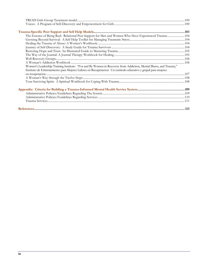| The Essence of Being Real: Relational Peer Support for Men and Women Who Have Experienced Trauma104               |  |
|-------------------------------------------------------------------------------------------------------------------|--|
|                                                                                                                   |  |
|                                                                                                                   |  |
|                                                                                                                   |  |
|                                                                                                                   |  |
|                                                                                                                   |  |
|                                                                                                                   |  |
|                                                                                                                   |  |
| Women's Leadership Training Institute: "For and By Women in Recovery from Addiction, Mental Illness, and Trauma," |  |
| Instituto de Entrenamiento para Mujeres Lideres en Recuperacion: Un curriculo educativo y grupal para mujeres     |  |
|                                                                                                                   |  |
|                                                                                                                   |  |
|                                                                                                                   |  |
|                                                                                                                   |  |
|                                                                                                                   |  |
|                                                                                                                   |  |
|                                                                                                                   |  |
|                                                                                                                   |  |
|                                                                                                                   |  |
|                                                                                                                   |  |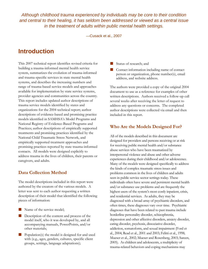*Although childhood trauma experienced by individuals may be core to their condition and central to their healing, it has seldom been addressed or viewed as a central issue in the treatment of adults within public mental health settings.* 

—Cusack et al., 2007

# **Introduction**

This 2007 technical report identifies revised criteria for building a trauma-informed mental health service system, summarizes the evolution of trauma-informed and trauma-specific services in state mental health systems, and describes the increasing numbers and range of trauma-based service models and approaches available for implementation by state service systems, provider agencies and communities across the country. This report includes updated author descriptions of trauma service models identified by states and organizations for the 2004 technical report; author descriptions of evidence-based and promising practice models identified in SAMHSA's Model Programs and National Registry of Evidence-Based Programs and Practices; author descriptions of empirically supported treatments and promising practices identified by the National Child Traumatic Stress Network, and empirically supported treatment approaches and promising practices reported by state trauma-informed contacts. All models were designed explicitly to address trauma in the lives of children, their parents or caregivers, and adults.

#### **Data Collection Method**

The model descriptions included in this report were authored by the creators of the various models. A letter was sent to each author requesting a written description of their model that identified the following pieces of information:

- Name of the service model;
- **Description of the content and process of the** model itself, who it was developed by, and all accompanying manuals, PowerPoints, and/or other materials;
- Population(s) the model is designed for and used with (e.g., ages, genders, cultures, specific client groups, settings, language adaptations);
- Status of research; and
- **Contact information including name of contact** person or organization, phone number(s), email address, and website address.

The authors were provided a copy of the original 2004 document to use as a reference for examples of other written descriptions. Authors received a follow-up call several weeks after receiving the letter of request to address any questions or concerns. The completed author descriptions were collected via email and then included in this report.

#### **Who Are the Models Designed For?**

All of the models described in this document are designed for providers and persons receiving or at risk for receiving public mental health and/or substance abuse services who have been traumatized by interpersonal violence and abuse and other adverse experiences during their childhood and/or adolescence. Many of the models were designed specifically to address the kinds of complex traumatic stress issues and problems common in the lives of children and adults seen in public service sector settings today. These individuals often have severe and persistent mental health and/or substance use problems and are frequently the highest users of the system's most costly inpatient, crisis, and residential services. As adults, they may be diagnosed with a broad array of psychiatric disorders, and often times, these diagnoses vary over time. Psychiatric diagnoses that have been related to past trauma include borderline personality disorder, schizophrenia, depression and other affective disorders, anxiety disorder, eating disorder, psychosis, dissociative disorder, addiction, somatoform, and sexual impairment (Ford et al., 2004; Read et al., 2001 and 2003; Felitti et al., 1998; Mueser et al., 2002; Mueser and Rosenberg, 2003; Sareen, 2005). As children and adolescents, a multiplicity of trauma-related behaviors and coping mechanisms may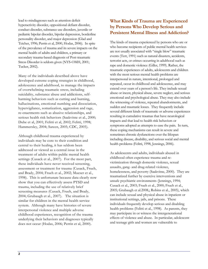lead to misdiagnoses such as attention deficit hyperactivity disorder, oppositional defiant disorder, conduct disorder, substance use disorders, juvenile or pediatric bipolar disorder, bipolar depression, borderline personality disorder, and major depression (Glad and Teicher, 1996; Perrin et al, 2000, Hodas, 2006). In spite of the prevalence of trauma and its severe impacts on the mental health of adults and children, a primary or secondary trauma-based diagnosis of Post-traumatic Stress Disorder is seldom given (NYS-OMH, 2001; Tucker, 2002).

Many of the individuals described above have developed extreme coping strategies in childhood, adolescence and adulthood, to manage the impacts of overwhelming traumatic stress, including suicidality, substance abuse and addictions, selfharming behaviors such as cutting and burning, hallucinations, emotional numbing and dissociation, hypervigilance, somatization, aggression and rage, re-enactments such as abusive relationships, and serious health risk behaviors (Saakvitne et al., 2000; Dube et al, 2001; Felitti et al, 2002; Felitti, 1998; Hammersley, 2004; Sareen, 2005; CDC, 2005).

Although childhood trauma experienced by individuals may be core to their condition and central to their healing, it has seldom been addressed or viewed as a central issue in the treatment of adults within public mental health settings (Cusack et al., 2007). For the most part, these individuals have never received screening, assessment or treatment for trauma (Cusack, Frueh, and Brady, 2004; Frueh et al., 2002; Mueser et al., 1998). This is unfortunate because data clearly now show that you can effectively assess PTSD and trauma, including the use of relatively brief screening measures (Cusack, Frueh, and Brady, 2004; Grubaugh et al., 2007). The situation is similar for children in the mental health service system. Although many have histories of severe interpersonal violence and multiple adverse childhood experiences, recognition of the trauma underlying their behaviors and diagnoses typically does not occur (Hodas, 2006; Perrin et al, 2000).

### **What Kinds of Trauma are Experienced by Persons Who Develop Serious and Persistent Mental Illness and Addiction?**

The kinds of trauma experienced by persons who are or who become recipients of public mental health services are not usually associated with "single blow" traumatic events (Terr, 1991) such as natural disasters, accidents, terrorist acts, or crimes occurring in adulthood such as rape and domestic violence (Giller, 1999). Rather, the traumatic experiences of adults, adolescents and children with the most serious mental health problems are interpersonal in nature, intentional, prolonged and repeated, occur in childhood and adolescence, and may extend over years of a person's life. They include sexual abuse or incest, physical abuse, severe neglect, and serious emotional and psychological abuse. They may also include the witnessing of violence, repeated abandonments, and sudden and traumatic losses. They frequently include several different kinds of traumatic or adverse experiences resulting in cumulative traumas that have neurological impacts and that lead to health risk behaviors or symptoms adopted as attempts to ease the pain. In turn, these coping mechanisms can result in severe and sometimes chronic dysfunctions over the lifespan including disease, disability, and serious social and mental health problems (Felitti, 1998, Jennings, 2006).

As adolescents and adults, individuals abused in childhood often experience trauma and revictimization through domestic violence, sexual assaults, gang- and drug-related violence, homelessness, and poverty (Saakvitne, 2000).They are traumatized further by coercive interventions and unsafe psychiatric environments (Jennings, 1994; Cusack et al., 2003; Frueh et al., 2000; Frueh et al., 2005; Grubaugh et al.2008,; Robins et al., 2005), which can include sexual and physical abuse in inpatient or institutional settings, jails, and prisons. These individuals frequently develop serious and disabling health problems (Felitti et al., 1998). As parents, they may participate in or witness the intergenerational effects of violence and abuse. In particular, adolescent and teenage girls and women are vulnerable to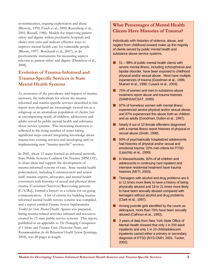revictimization, ongoing exploitation and abuse (Browne, 1992; Frueh et al., 2000; Rosenberg et al., 2001; Russell, 1986). Models for improving patient safety and dignity within psychiatric hospitals and clinics now exist and indicate effective ways to improve mental health care for vulnerable people (Bloom, 1997; Borckardt et al., 2007), as do psychometric instruments for measuring aspects relevant to patient safety and dignity (Danielson et al., 2008).

### **Evolution of Trauma-Informed and Trauma-Specific Services in State Mental Health Systems**

As awareness of the prevalence and impacts of trauma increases, the individuals for whom the traumainformed and trauma-specific services described in this report were designed are increasingly viewed not as a subgroup or an anomalous population of clients, but as encompassing nearly *all* children, adolescents and adults served by public mental health and substance abuse service systems. This increasing awareness is reflected in the rising number of states taking significant steps toward integrating knowledge about trauma into existing services and developing and/or implementing new "trauma-specific" services.

In 2001, about 12 states formed an informal network, State Public Systems Coalition On Trauma (SPSCOT), to share ideas and support the development of trauma-informed systems of care. State mental health policymakers, including Commissioners and senior staff, trauma experts, advocates, and mental health consumers with histories of sexual and physical abuse trauma (Consumer/Survivor/Recovering persons  $[C/S/Rs]$ , formed a listserv as a vehicle for on-going communication. A list of criteria for building traumainformed mental health service systems was compiled, and a report entitled *Trauma Services Implementation Toolkit for State Mental Health Agencies* was prepared, listing trauma-related activities initiated and resources created by 15 state public service systems. This report, published as an appendix to *The Damaging Consequences of Violence and Trauma: Facts, Discussion Points, and Recommendations for the Behavioral Health System* (Jennings, 2004), was 28 pages in length.

### **What Percentages of Mental Health Clients Have Histories of Trauma?**

Individuals with histories of violence, abuse, and neglect from childhood onward make up the majority of clients served by public mental health and substance abuse service systems.

- $\blacksquare$  51 98% of public mental health clients with severe mental illness, including schizophrenia and bipolar disorder, have been exposed to childhood physical and/or sexual abuse. Most have multiple experiences of trauma (Goodman et al., 1999, Mueser et al., 1998; Cusack et al., 2003).
- **75% of women and men in substance abuse** treatment report abuse and trauma histories (SAMHSA/CSAT, 2000).
- **97% of homeless women with mental illness** experienced severe physical and/or sexual abuse, and 87% experienced this abuse both as children and as adults (Goodman, Dutton et al., 1997).
- Nearly 8 out of 10 female offenders diagnosed with a mental illness report histories of physical or sexual abuse (Smith, 1998).
- 93% of psychiatrically hospitalized adolescents had histories of physical and/or sexual and emotional trauma; 32% met criteria for PTSD (Lipschitz et al., 1999).
- **In Massachusetts, 82% of all children and** adolescents in continuing care inpatient and intensive residential treatment have trauma histories (NETI, 2003).
- $\blacksquare$  Teenagers with alcohol and drug problems are 6 to 12 times more likely to have a history of being physically abused and 18 to 21 times more likely to have been sexually abused compared with teenagers without alcohol and drug problems (Clark et al., 1997).
- **Among juvenile girls identified by the courts as** delinquent, more than 75% have been sexually abused (Calhoun et al., 1993).
- 3 years of data from New York State Office of Mental Health showed that only 1 in 200 adult inpatients and only 1 in 10 child/adolescent inpatients carried either a primary or secondary diagnosis of PTSD (NYS-OMH, 2001; Tucker, 2002).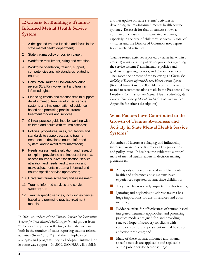### **12 Criteria for Building a Trauma-Informed Mental Health Service System**

- 1. A designated trauma function and focus in the state mental health department;
- 2. State trauma policy or position paper;
- 3. Workforce recruitment, hiring and retention;
- 4. Workforce orientation, training, support, competencies and job standards related to trauma;
- 5. Consumer/Trauma Survivor/Recovering person (C/S/R) involvement and traumainformed rights;
- 6. Financing criteria and mechanisms to support development of trauma-informed service systems and implementation of evidencebased and promising practice trauma treatment models and services;
- 7. Clinical practice guidelines for working with children and adults with trauma histories;
- 8. Policies, procedures, rules, regulations and standards to support access to trauma treatment, to develop a trauma-informed system, and to avoid retraumatization;
- 9. Needs assessment, evaluation, and research to explore prevalence and impacts of trauma; assess trauma survivor satisfaction, service utilization and needs; and to monitor and make adjustments in trauma-informed and trauma-specific service approaches;
- 10. Universal trauma screening and assessment;
- 11. Trauma-informed services and service systems; and
- 12. Trauma-specific services, including evidencebased and promising practice treatment models.

In 2004, an update of the *Trauma Services Implementation Toolkit for State Mental Health Agencies* had grown from 21 to over 130 pages, reflecting a dramatic increase both in the number of states reporting trauma-related activities (from 15 to 31) and the multiplicity of strategies and programs they had adopted, initiated, or in some way support. In 2009, SAMHSA will publish another update on state systems' activities in developing trauma-informed mental health service systems. Research for that document shows a continued increase in trauma-related activities, especially in the area of children's services. A total of 44 states and the District of Columbia now report trauma-related activities.

Trauma-related activities reported by states fall within 3 areas: 1) administrative policies or guidelines regarding the service system; 2) administrative policies and guidelines regarding services; and 3) trauma services. They meet one or more of the following 12 *Criteria for Building a Trauma-Informed Mental Health Service System* (Revised from Blanch, 2003). Many of the criteria are related to recommendations made in the President's New Freedom Commission on Mental Health's *Achieving the Promise: Transforming Mental Health Care in America* (See Appendix for criteria descriptions).

### **What Factors have Contributed to the Growth of Trauma Awareness and Activity in State Mental Health Service Systems?**

A number of factors are shaping and influencing increased awareness of trauma as a key public health and policy issue. It has become evident to a critical mass of mental health leaders in decision making positions that:

- A majority of persons served in public mental health and substance abuse systems have experienced repeated trauma since childhood;
- **They have been severely impacted by this trauma;**
- Ignoring and neglecting to address trauma has huge implications for use of services and costs incurred;
- Evidence exists for effectiveness of trauma-based integrated treatment approaches and promising practice models designed for, and providing renewed hope of recovery to, clients with complex, severe, and persistent mental health or addiction problems; and
- Many of these trauma-informed and traumaspecific models are applicable and replicable within public service sector settings.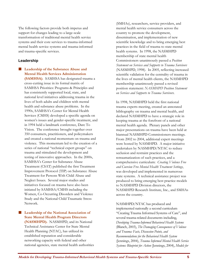The following factors provide both impetus and support for changes leading to a large-scale transformation of traditional mental health service systems and their core services to trauma-informed mental health service systems and trauma-informed and trauma-specific services.

#### **Leadership**

 **Leadership of the Substance Abuse and Mental Health Services Administration (SAMHSA)**. SAMHSA has designated trauma a cross-cutting issue in its formal matrix of SAMHSA Priorities: Programs & Principles and has consistently supported local, state, and national level initiatives addressing trauma in the lives of both adults and children with mental health and substance abuse problems. In the 1990s, SAMHSA's Center for Mental Health Services (CMHS) developed a specific agenda on women's issues and gender-specific treatment, and in 1994 held a landmark conference, Dare To Vision. The conference brought together over 350 consumers, practitioners, and policymakers and created a national momentum on trauma and violence. This momentum led to the creation of a series of national "technical expert groups" on trauma and stimulated the development and testing of innovative approaches. In the 2000s, SAMHSA's Center for Substance Abuse Treatment (CSAT) published the first Treatment Improvement Protocol (TIP) on Substance Abuse Treatment for Persons With Child Abuse and Neglect Issues. Several major studies and initiatives focused on trauma have also been initiated by SAMHSA/CMHS including the Women, Co-Occurring Disorders and Violence Study and the National Child Traumatic Stress Network.

**Leadership of the National Association of State Mental Health Program Directors (NASMHPD).** NASMHPD, and its National Technical Assistance Center for State Mental Health Planning (NTAC), has utilized its established reputation and considerable networking capacity with federal and other national agencies, state mental health authorities (SMHAs), researchers, service providers, and mental health service consumers across the country to promote the development, dissemination, and implementation of new scientific knowledge and to bring emerging best practices in the field of trauma to state mental health systems. In 1998, the NASMHPD membership of state mental health Commissioners unanimously passed a *Position Statement on Services and Supports to Trauma Survivors* (NASMHPD, 1998). In 2005, reflecting increased scientific validation for the centrality of trauma in the lives of mental health clients, the NASMHPD membership unanimously passed a revised position statement: *NASMHPD Position Statement on Services and Supports to Trauma Survivors.* 

In 1998, NASMHPD held the first national trauma experts meeting, created an annotated bibliography on trauma and mental health, and declared NASMHPD to have a strategic role in keeping trauma at the forefront of a national mental health agenda. Plenary panels and other major presentations on trauma have been held at biannual NASMHPD Commissioners meetings. From 2002 to 2004, additional expert meetings were hosted by NASMHPD. A major initiative undertaken by NASMHPD/NTAC to reduce seclusion and restraint practices and the retraumatization of such practices, and a comprehensive curriculum: *Creating Violence Free and Coercion Free Mental Health Treatment Settings*, was developed and implemented in numerous state systems. A technical assistance project was produced to bring emerging best practice models to NASMHPD Division directors, the NASMHPD Research Institute, Inc., and SMHAs across the country.

NASMHPD/NTAC has produced and implemented nationally a second curriculum "Creating Trauma Informed Systems of Care", and several trauma-related documents including, *Developing Trauma-Informed Behavioral Health Systems* (Blanch, 2003), *The Damaging Consequences of Violence and Trauma: Facts, Discussion Points, and Recommendations for the Behavioral Health System* (Jennings, 2004), *Trauma Informed Mental Health Service Systems: Blueprint for Action* (Jennings, 2004), *Models for*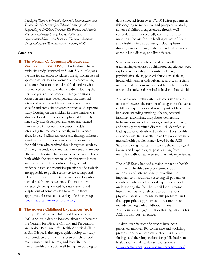*Developing Trauma-Informed behavioral Health Systems and Trauma-Specific Services for Children* (Jennings, 2004), *Responding to Childhood Trauma: The Promise and Practice of Trauma-Informed Care* (Hodas, 2006), and *Organizational Stress as a Barrier to Trauma – Sensitive change and System Transformation* (Bloom, 2006).

#### **Studies**

 **The Women, Co-Occurring Disorders and Violence Study (WCDVS).** This landmark five-year multi-site study, launched by SAMHSA in 1998, was the first federal effort to address the significant lack of appropriate services for women with co-occurring substance abuse and mental health disorders who experienced trauma, and their children. During the first two years of the program, 14 organizations located in ten states developed and documented integrated service models and agreed upon sitespecific and cross-site research protocols. A separate study focusing on the children in these families was also developed. In the second phase of the study, nine study sites developed and tested manualized trauma-specific service intervention models integrating trauma, mental health, and substance abuse issues. Preliminary cross-site findings indicated significantly positive outcomes for the women and their children who received these integrated services. Further, the study indicated that interventions are cost effective. This study has impacted on service delivery, both within the states where study sites were located and nationally. It has contributed a group of evidence-based and promising practice models which are applicable to public sector service settings and relevant and appropriate to clients served by public mental health service systems. The models are increasingly being adopted by state systems and adaptations of some models have made them appropriate for men and a variety of ethnic groups (www.nationaltraumaconsortium.org).

 **The Adverse Childhood Experiences (ACE) Study.** The Adverse Childhood Experiences (ACE) Study, a decade long collaboration between the Centers for Disease Control and Prevention and Kaiser Permanente's Health Appraisal Clinic in San Diego, is the largest epidemiological study ever conducted on the links between childhood maltreatment and trauma, and later-life health, mental health and social well-being. According to

data collected from over 17,000 Kaiser patients in this ongoing retrospective and prospective study, adverse childhood experiences, though well concealed, are unexpectedly common, and are major risk factors for the leading causes of death and disability in this country, including heart disease, cancer, stroke, diabetes, skeletal fractures, chronic lung disease, and liver disease.

Seven categories of adverse and potentially traumatizing categories of childhood experiences were explored with study participants, including: psychological abuse, physical abuse, sexual abuse, household member with substance abuse, household member with serious mental health problems, mother treated violently, and criminal behavior in household.

A strong graded relationship was consistently shown to occur between the number of categories of adverse childhood experiences and adult reports of health risk behaviors including smoking, obesity, physical inactivity, alcoholism, drug abuse, depression, hallucinations, suicide attempts, sexual promiscuity, and sexually transmitted diseases – all identified as leading causes of death and disability. These health risk behaviors, traditionally viewed as public health or mental health problems, are viewed by the ACE Study as coping mechanisms to ease the neurological impacts and psychological pain resulting from multiple childhood adverse and traumatic experiences.

The ACE Study has had a major impact on health and mental health care professionals both nationally and internationally, revealing the importance of routinely screening all patients or clients for adverse childhood experiences; and underscoring the fact that a childhood trauma history may be very relevant to both serious physical illness and mental health problems and that appropriate approaches to treatment must include dealing with childhood trauma. Additional data suggest that evaluating patients for ACEs is also cost-effective.

To date, over 30 scientific articles have been published and over 100 conference and workshop presentations have been made about ACE study findings and their implications for public health and health and mental health care professionals (www.acestudy.org; www.cdc.gov/nccdphp/ace/ ).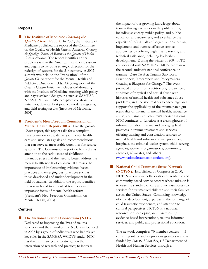#### **Reports**

**The Institute of Medicine** *Crossing the* **Quality Chasm Report.** In 2001, the Institute of Medicine published the report of the Committee on the Quality of Health Care in America, *Crossing the Quality Chasm, A Report on the Quality of Health Care in America*. The report identifies critical problems within the American health care system and begins to lay out a strategic direction for the redesign of systems for the 21st century. A 2002 summit was held on the "translation" of the *Quality Chasm* report for the Mental Health and Addictive Disorders fields. Ongoing work of the Quality Chasm Initiative includes collaborating with the Institute of Medicine; meeting with policy and payer stakeholder groups such as SAMHSA, NASMHPD, and CMS to explore collaborative initiatives; develop best practice model programs; and field testing results (Institute of Medicine, 2001).

**President's New Freedom Commission on Mental Health Report (2003).** Like the *Quality Chasm* report, this report calls for a complete transformation in the delivery of mental health care and articulates goals and recommendations that can serve as measurable outcomes for service systems. The Commission report explicitly draws attention to the seriousness of childhood traumatic stress and the need to better address the mental health needs of children. It stresses the importance of implementing evidence-based practices and emerging best practices such as those developed and under development in the field of trauma. In addition, the report identifies the research and treatment of trauma as an important focus of mental health reform (President's New Freedom Commission on Mental Health, 2003).

#### **Centers**

 **The National Trauma Consortium (NTC).** Dedicated to improving the lives of trauma survivors and their families, the NTC was founded in 2003 by a group of individuals who had played key roles in the SAMHSA WCDVS study. NTC has three primary goals: to strengthen the interaction of research and practice; to increase

the impact of our growing knowledge about trauma through activities in the public arena, including advocacy, public policy, and public education and awareness; and to enhance the capacity of individuals and organizations to plan, implement, and oversee effective service approaches by offering high quality training and technical assistance, including leadership development. During the winter of 2004, NTC collaborated with SAMHSA/CMHS to organize the second landmark national conference on trauma: "Dare To Act: Trauma Survivors, Practitioners, Researchers and Policymakers Creating a Blueprint for Change." The event provided a forum for practitioners, researchers, survivors of physical and sexual abuse with histories of mental health and substance abuse problems, and decision makers to encourage and support the applicability of the trauma paradigm (centrality of trauma) in mental health, substance abuse, and family and children's service systems. NTC continues to function as a clearinghouse of information about trauma and emerging best practices in trauma treatment and services, offering training and consultation services to mental health and substance abuse providers, hospitals, the criminal justice system, child-serving agencies, women's organizations, community agencies, advocates, and others (www.nationaltraumaconsortium.org).

 **National Child Traumatic Stress Network (NCTSN).** Established by Congress in 2000, NCTSN is a unique collaboration of academic and community-based service centers whose mission is to raise the standard of care and increase access to services for traumatized children and their families across the United States. Combining knowledge of child development, expertise in the full range of child traumatic experiences, and attention to cultural perspectives, NCTSN is a national resource for developing and disseminating evidence-based interventions, trauma-informed services, and public and professional education.

The network comprises 70 member centers – 45 current grantees and 25 previous grantees – and is funded by CMHS, SAMHSA, US Department of Health and Human Services through a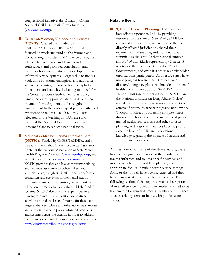congressional initiative: the Donald J. Cohen National Child Traumatic Stress Initiative (www.nctsnet.org).

**E** Center on Women, Violence and Trauma **(CWVT).** Created and funded by CMHS/SAMHSA in 2005, CWVT initially focused on work surrounding the Women and Co-occurring Disorders and Violence Study, the related Dare to Vision and Dare to Act conferences, and provided consultation and resources for state initiatives to develop traumainformed service systems. Largely due to tireless work done by trauma champions and advocates across the country, interest in trauma exploded at the national and state levels, leading to a need for the Center to focus clearly on national policy issues, increase support for states in developing trauma-informed systems, and strengthen commitment to the leadership of people with lived experience of trauma. In 2006, CWVT was relocated to the Washington D.C. area and renamed the National Center for Trauma-Informed Care to reflect a national focus.

**National Center for Trauma-Informed Care** 

**(NCTIC).** Funded by CMHS/SAMHSA, and in partnership with the National Technical Assistance Center at the National Association of State Mental Health Program Directors (www.nasmhpd.org), and with Witness Justice (www.witnessjustice.org), NCTIC provides free and low-cost trauma training and technical assistance to policymakers and administrators, caregivers, institutional workforces, consumers and survivors in the mental health, substance abuse, criminal justice, victim assistance, education, primary care, and other publicly-funded systems. NCTIC also offers an expert speakers bureau, resources, and education and outreach activities around the issue of trauma for these same target audiences. These and other activities stimulate and support change in publicly-funded programs and systems across the country in order to address the trauma experienced by survivors and consumers. http://www.mentalhealth.samhsa.gov/nctic

#### **Notable Event**

**9/11 and Disaster Planning.** Following an immediate response to 9/11 by providing resources to the state of New York, SAMHSA convened a pre-summit, where nine of the most directly affected jurisdictions shared their experiences and set an agenda for a national summit 3 weeks later. At that national summit, almost 700 individuals representing 42 states, 5 territories, the District of Columbia, 2 Tribal Governments, and over 100 other key stakeholder organizations participated. As a result, states have made progress toward finalizing their own disaster/emergency plans that include both mental health and substance abuse. SAMHSA, the National Institute of Mental Health (NIMH), and the National Institute on Drug Abuse (NIDA) issued grants to move new knowledge about the effects of trauma to service programs nationwide. Though not directly addressing complex stress disorders such as those found in clients of public mental health services, this and other disaster planning and response initiatives have helped to raise the level of public and professional knowledge regarding the impacts of trauma and appropriate responses.

As a result of all or some of the above factors, there has been a significant increase in the number of trauma-informed and trauma-specific services and models, which are applicable, replicable, and appropriate for use in public sector service settings. Some of the models have been researched and they have demonstrated positive client outcomes. The following section of this report contains descriptions of over 80 service models and examples reported to be implemented within state mental health and substance abuse service systems or in use with public sector clients.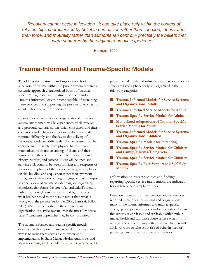*Recovery cannot occur in isolation. It can take place only within the context of relationships characterized by belief in persuasion rather than coercion, ideas rather than force, and mutuality rather than authoritarian control – precisely the beliefs that were shattered by the original traumatic experiences.* 

—Herman, 1992

# **Trauma-Informed and Trauma-Specific Models**

To address the treatment and support needs of survivors of trauma within the public system requires a systemic approach characterized both by "traumaspecific" diagnostic and treatment services and a "trauma-informed" environment capable of sustaining these services and supporting the positive outcomes to clients who receive these services.

Change to a trauma-informed organizational or service system environment will be experienced by all involved as a profound cultural shift in which consumers and their conditions and behaviors are viewed differently, staff respond differently, and the day-to-day delivery of services is conducted differently. The new system will be characterized by safety from physical harm and retraumatization; an understanding of clients and their symptoms in the context of their life experiences and history, cultures, and society; There will be open and genuine collaboration between provider and recipients of services at all phases of the service delivery; an emphasis on skill building and acquisition rather than symptom management; an understanding of symptoms as attempts to cope; a view of trauma as a defining and organizing experience that forms the core of an individual's identity rather than a single discrete event; and by a focus on what has happened to the person rather than what is wrong with the person (Saakvitne, 2000; Harris & Fallot, 2001). Without such a shift in the culture of an organization or service system, even the most "evidencebased" treatment approaches may be compromised.

The trauma-informed and trauma-specific models described in this report are manualized or packaged in a way as to make them accessible to review and implementation by State Mental Health Authorities and agencies serving adults, children and families/caregivers in public mental health and substance abuse service systems. They are listed alphabetically and organized in the following categories.

- **Trauma-Informed Models for Service Systems and Organizations: Adults**
- **Trauma-Informed Service Models for Adults**
- **Trauma-Specific Service Models for Adults**
- **Manualized Adaptations of Trauma-Specific Service Models for Adults**
- **Trauma-Informed Models for Service Systems and Organizations: Children**
- **Trauma-Specific Models for Parenting**
- **Trauma-Specific Service Models for Children and Family/Parents/Caregivers**
- **Trauma-Specific Service Models for Children**
- **Trauma-Specific Peer Support and Self Help Models**

Information on research studies and findings regarding specific service interventions are indicated for each service example or model.

Based on the reports of their creators and experiences reported by state service systems and organizations, many of the trauma-informed and trauma-specific emerging best practice models and services described in this report are applicable and replicable within public mental health and substance abuse service system settings, and in community settings where children and adults who are or who are at risk of being in need of public system resources, may receive services.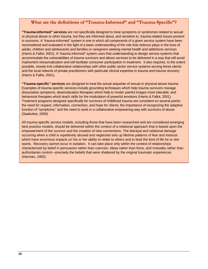#### **What are the definitions of "Trauma-Informed" and "Trauma-Specific"?**

**"Trauma-informed" services** are not specifically designed to treat symptoms or syndromes related to sexual or physical abuse or other trauma, but they are informed about, and sensitive to, trauma-related issues present in survivors. A "trauma-informed" system is one in which all components of a given service system have been reconsidered and evaluated in the light of a basic understanding of the role that violence plays in the lives of adults, children and adolescents and families or caregivers seeking mental health and addictions services (Harris & Fallot, 2001). A "trauma informed" system uses that understanding to design service systems that accommodate the vulnerabilities of trauma survivors and allows services to be delivered in a way that will avoid inadvertent retraumatization and will facilitate consumer participation in treatment. It also requires, to the extent possible, closely knit collaborative relationships with other public sector service systems serving these clients and the local network of private practitioners with particular clinical expertise in trauma and trauma recovery (Harris & Fallot, 2001).

**"Trauma-specific" services** are designed to treat the actual sequelae of sexual or physical abuse trauma. Examples of trauma-specific services include grounding techniques which help trauma survivors manage dissociative symptoms, desensitization therapies which help to render painful images more tolerable, and behavioral therapies which teach skills for the modulation of powerful emotions (Harris & Fallot, 2001). Treatment programs designed specifically for survivors of childhood trauma are consistent on several points: the need for respect, information, connection, and hope for clients; the importance of recognizing the adaptive function of "symptoms;" and the need to work in a collaborative empowering way with survivors of abuse (Saakvitne, 2000).

All trauma-specific service models, including those that have been researched and are considered emerging best practice models, should be delivered within the context of a relational approach that is based upon the empowerment of the survivor and the creation of new connections. The betrayal and relational damage occurring when a child is repetitively abused and neglected sets up lifetime patterns of fear and mistrust which have enormous impacts on his or her ability to relate to others and to lead the kind of life he or she wants. Recovery cannot occur in isolation. It can take place only within the context of relationships characterized by belief in persuasion rather than coercion, ideas rather than force, and mutuality rather than authoritarian control—precisely the beliefs that were shattered by the original traumatic experiences (Herman, 1992).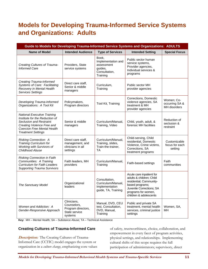# **Models for Developing Trauma-Informed Service Systems and Organizations: Adults**

| Guide to Models for Developing Trauma-Informed Service Systems and Organizations: ADULTS                                                                                                   |                                                                              |                                                                                   |                                                                                                                                                                                 |                                              |
|--------------------------------------------------------------------------------------------------------------------------------------------------------------------------------------------|------------------------------------------------------------------------------|-----------------------------------------------------------------------------------|---------------------------------------------------------------------------------------------------------------------------------------------------------------------------------|----------------------------------------------|
| <b>Name of Model</b>                                                                                                                                                                       | <b>Intended Audience</b>                                                     | <b>Type of Services</b>                                                           | <b>Intended Setting</b>                                                                                                                                                         | <b>Special Focus</b>                         |
| Creating Cultures of Trauma-<br><b>Informed Care</b>                                                                                                                                       | Providers, State<br>service systems                                          | Book,<br>Implementation and<br>assessment<br>quides.<br>Consultation,<br>Training | Public sector human<br>service systems,<br>Provider agencies,<br>Individual services &<br>programs                                                                              |                                              |
| <b>Creating Trauma-Informed</b><br>Systems of Care: Facilitating<br>Recovery in Mental Health<br>Services Settings                                                                         | Direct care staff,<br>Senior & middle<br>managers                            | Curriculum,<br>Training                                                           | Public sector MH<br>provider agencies                                                                                                                                           |                                              |
| Developing Trauma-Informed<br>Organizations: A Tool Kit                                                                                                                                    | Policymakers,<br>Program directors                                           | Tool Kit, Training                                                                | Corrections, Domestic<br>violence agencies, SA<br>treatment & MH<br>provider agencies                                                                                           | Women; Co-<br>occurring SA &<br>MH disorders |
| <b>National Executive Training</b><br>Institute for the Reduction of<br>Seclusion and Restraint:<br>Creating Violence Free and<br>Coercion Free Mental Health<br><b>Treatment Settings</b> | Senior & middle<br>managers                                                  | Curriculum/Manual,<br>Training, Video                                             | Child, youth, adult, &<br>forensic MH facilities                                                                                                                                | Reduction of<br>seclusion &<br>restraint     |
| Risking Connection: A<br>Training Curriculum for<br>Working with Survivors of<br><b>Childhood Abuse</b>                                                                                    | Direct care staff,<br>management, and<br>clinicians in all<br>settings       | Curriculum/Manual,<br>Training, slides,<br>Train-the-trainer,<br>TA               | Child-serving, Child<br>residential, Domestic<br>Violence, Crime victims,<br>Corrections, SA<br>treatment programs                                                              | Customizable<br>focus for each<br>setting    |
| Risking Connection in Faith<br>Communities: A Training<br><b>Curriculum for Faith Leaders</b><br><b>Supporting Trauma Survivors</b>                                                        | Faith leaders, MH<br>providers                                               | Curriculum/Manual,<br>Training                                                    | Faith-based settings                                                                                                                                                            | Faith<br>communities                         |
| The Sanctuary Model                                                                                                                                                                        | Organizational<br>leaders                                                    | Consultation,<br>Curriculum/Manual.<br>Implementation<br>guide, TA, Training      | Acute care inpatient for<br>adults & children; Child<br>residential; Community-<br>based programs;<br>Juvenile Corrections; SA<br>programs for women,<br>children & adolescents |                                              |
| Women and Addiction: A<br>Gender-Responsive Approach                                                                                                                                       | Clinicians,<br>Counselors,<br>Program directors,<br>State service<br>systems | Manual, DVD, CEU<br>test, Consultation,<br>DVD, Manual,<br>Training               | Public and private SA<br>treatment, mental health<br>services, criminal justice<br>settings                                                                                     | Women, SA,<br>MH                             |

**Key:** MH – Mental Health; SA – Substance Abuse; TA – Technical Assistance

#### **Creating Cultures of Trauma-Informed Care**

**Description:** The Creating Cultures of Trauma-Informed Care (CCTIC) model engages the system or organization in a *culture change*, emphasizing core values

of safety, trustworthiness, choice, collaboration, and empowerment in every facet of program activities, physical settings, and relationships. Implementing cultural shifts of this scope requires the full participation of administrators; supervisory, direct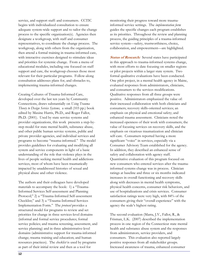service, and support staff: and consumers. CCTIC begins with individualized consultation to ensure adequate system-wide support and to tailor the change process to the specific organization(s). Agencies then designate a workgroup, with staff and consumer representatives, to coordinate the change process. The workgroup, along with others from the organization, then attend a formal training in trauma-informed care, with interactive exercises designed to stimulate ideas and priorities for systemic change. From a menu of educational modules, including one focused on staff support and care, the workgroup chooses those most relevant for their particular programs. Follow-along consultation addresses plans for, and obstacles to, implementing trauma-informed changes.

Creating Cultures of Trauma-Informed Care, developed over the last ten years by Community Connections, draws substantially on *Using Trauma Theory to Design Service Systems,* a small (103 pp.) book edited by Maxine Harris, Ph.D., and Roger Fallot, Ph.D. (2001). Used by state service systems and provider organizations, this work presents a step-bystep model for state mental health, substance abuse, and other public human service systems, public and private provider agencies, and individual services and programs to become "trauma-informed." The model provides guidelines for evaluating and modifying all system and service components in light of a basic understanding of the role that violence plays in the lives of people seeking mental health and addictions services, most of whom have been traumatically impacted by unaddressed histories of sexual and physical abuse and other violence.

The authors and their colleagues have developed materials to accompany the book: 1) a "Trauma-Informed Services Self-assessment and Planning Protocol;" 2) a "Trauma-Informed Self-assessment Checklist;" and 3) a "Trauma-Informed Services Implementation Form." The *protocol* provides a structured model for programs to review and set priorities for change in three services-level domains (informal and formal service procedures; formal service policies; and trauma screening, assessment, and service planning) and in three administrative-level domains (administrative support for trauma-informed change; trauma training and education; and human resources practices). The *checklist* is used by programs as part of their initial review and then as a tool for

monitoring their progress toward more traumainformed service settings. The *implementation form* guides the specific changes each program establishes as its priorities. Throughout the review and planning process, the guiding principles of a trauma-informed service system—safety, trustworthiness, choice, collaboration, and empowerment—are highlighted.

**Status of Research:** Several states have participated in this approach to trauma-informed systems change, with most efforts to date focusing on smaller regions or pilot projects within a larger state system. Two formal qualitative evaluations have been conducted. One pilot project, in a mental health agency in Maine, evaluated responses from administrators, clinicians, and consumers to the services modifications. Qualitative responses from all three groups were positive. Administrators emphasized the value of: their increased collaboration with both clinicians and consumers; recovery skills-oriented services; an emphasis on physical and emotional safety; and enhanced trauma assessment. Clinicians noted the increased openness of their work with consumers; the value of focusing services on recovery skills, and the emphasis on vicarious traumatization and clinician self-care. Consumers reported having a more significant "voice" in services, especially via a Consumer Advisory Team established for the agency. In addition, they described an enhanced sense of safety and collaboration with agency staff. Quantitative evaluation of this program focused on new consumers who entered services after the traumainformed systems change was in process. Clinician ratings at baseline and three or six months indicated increases in overall functioning and recovery skills along with decreases in mental health symptoms, physical health concerns, consumer risk behaviors, and use of hospitalizations and crisis services. Consumer satisfaction ratings were very high, with 84% of the consumers giving their "overall experience" with the agency the scale's highest rating.

The second evaluation (Marra, J.V., Fallot, R., & Frisman, L.K. (2007) described the implementation process in one region of the Connecticut state mental health and substance abuse system and the responses from administrators, service providers, and consumers. This evaluation also reported largely positive responses from all stakeholder groups. Increased awareness of trauma, enhanced consumer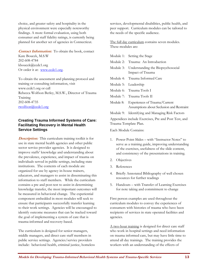choice, and greater safety and hospitality in the physical environment were especially noteworthy findings. A more formal evaluation, using both consumer and staff fidelity ratings, is currently being planned for another set of agencies in Connecticut.

**Contact Information:**To obtain the book, contact Kate Boucek, M.S.W 202-608-4784 kboucek@ccdc1.org Or order it at: www.ccdc1.org.

To obtain the assessment and planning protocol and training or consulting information, visit www.ccdc1.org or call Rebecca Wolfson Berley, M.S.W., Director of Trauma Training 202-608-4735 rwolfson@ccdc1.org

#### **Creating Trauma Informed Systems of Care: Facilitating Recovery in Mental Health Service Settings**

**Description:** This curriculum training toolkit is for use in state mental health agencies and other public sector service provider agencies. It is designed to improve staffs' knowledge and understanding about the prevalence, experience, and impact of trauma on individuals served in public settings, including state institutions. The contents of each module are organized for use by agency in-house trainers, educators, and managers to assist in disseminating this information to staff members. While the curriculum contains a pre and post-test to assist in determining knowledge transfer, the most important outcomes will be measured in behavioral change. The experiential component embedded in most modules will seek to ensure that participants successfully transfer learning to their work settings. Agencies will be encouraged to identify outcome measures that can be tracked toward the goal of implementing a system of care that is trauma-informed and recovery-based.

The curriculum is designed for senior managers, middle managers, and direct care staff members in public service settings. Agencies/service providers include: behavioral health, criminal justice, homeless services, developmental disabilities, public health, and peer support. Curriculum modules can be tailored to the needs of the specific audience.

The full day curriculum contains seven modules. These modules are:

|           | Module 1: Setting the Stage                                                |
|-----------|----------------------------------------------------------------------------|
| Module 2: | Trauma: An Introduction                                                    |
| Module 3: | Understanding the Biopsychosocial<br>Impact of Trauma                      |
|           | Module 4: Trauma Informed Care                                             |
|           | Module 5: Leadership                                                       |
|           | Module 6: Trauma Tools I                                                   |
|           | Module 7: Trauma Tools II                                                  |
| Module 8: | Experiences of Trauma/Current<br>Assumptions about Seclusion and Restraint |
| Module 9: | Identifying and Managing Risk Factors                                      |
|           |                                                                            |

Appendices include Exercises, Pre and Post Test, and Trauma Template Plan.

Each Module Contains:

- 1. Power Point Slides with "Instructor Notes" to serve as a training guide, improving understanding of the exercises, usefulness of the slide content, and consistency of the presentations in training.
- 2. Objectives
- 3. References
- 4. Briefly Annotated Bibliography of well chosen resources for further readings
- 5. Handouts with Transfer of Learning Exercises for note taking and commitment to change

First person examples are used throughout the curriculum modules to convey the experiences of consumers with histories of trauma who have been recipients of services in state operated facilities and agencies.

A two-hour training is designed for direct care staff who work in hospital settings and need information on trauma informed care, but may have little time to attend all day trainings. The training provides the workers with an understanding of the effects of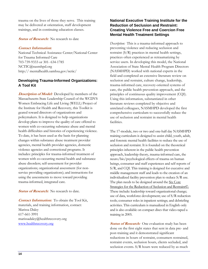trauma on the lives of those they serve. This training may be delivered at orientation, staff development trainings, and in continuing education classes.

**Status of Research:** No research to date

#### **Contact Information:**

National Technical Assistance Center/National Center for Trauma Informed Care 703-739-9333 or 301- 634-1785 NCTIC@nasmhpd.org http:// mentalhealth.samhsa.gov/nctic/

#### **Developing Trauma-Informed Organizations: A Tool Kit**

**Description of Model:** Developed by members of the Massachusetts State Leadership Council of the WCDVS Women Embracing Life and Living (WELL) Project of the Institute for Health and Recovery, this Toolkit is geared toward directors of organizations and policymakers. It is designed to help organizations develop plans to improve the quality of care offered to women with co-occurring substance abuse and mental health difficulties and histories of experiencing violence. To date, it has been used as the basis for planning changes within substance abuse treatment provider agencies, mental health provider agencies, domestic violence agencies and correctional programs. It includes: principles for trauma-informed treatment of women with co-occurring mental health and substance abuse disorders; self-assessment for provider organizations; organizational assessment (for nonservice providing organizations); and instructions for using the assessments to move toward providing trauma-informed, integrated care.

**Status of Research:** No research to date.

**Contact Information:**To obtain the Tool Kit, materials, and training information, contact: Marissa Daley 617-661-3991 marissadaley@healthrecovery.org www.healthrecovery.org

#### **National Executive Training Institute for the Reduction of Seclusion and Restraint: Creating Violence Free and Coercion Free Mental Health Treatment Settings**

*Description:* This is a trauma-informed approach to preventing violence and reducing seclusion and restraint (S/R) practices in mental health settings, practices often experienced as retraumatizing by service users. In developing this model, the National Association of State Mental Health Program Directors (NASMHPD) worked with national experts in the field and completed an extensive literature review on seclusion and restraint, culture change, leadership, trauma-informed care, recovery-oriented systems of care, the public health prevention approach, and the principles of continuous quality improvement (CQI). Using this information, substantiated in other literature reviews completed by objective and unrelated colleagues, NASMHPD developed the first comprehensive curriculum to successfully reduce the use of seclusion and restraint in mental health facilities.

The 17-module, two or two and one-half day NASMHPD training curriculum is designed to assist child, youth, adult, and forensic mental health facilities to reduce the use of seclusion and restraint. It is founded on the theoretical principles inherent in the public health prevention approach, leadership theory, trauma-informed care, the neuro/bio/psychological effects of trauma on human beings, consumer and staff experiences and self reports of S/R, and CQI. This training is designed for executive and middle management staff and leads to the creation of an individualized facility prevention plan to reduce S/R use. The plan needs to be designed around the Six Core Strategies for the Reduction of Seclusion and Restraint©. These include: leadership toward organizational change; use of data, workforce development; use of S/R reduction tools; consumer roles in inpatient settings; and debriefing activities. This curriculum is manualized in English only and is also available on compact discs that video-taped a training in 2005.

**Status of Research:** One evaluation study has been done on the first eight states that sent in data pre- and post-training and it demonstrated significant reductions in hours of restraint, consumers restrained, restraint events, seclusion hours, clients secluded, and seclusion events. S/R hours were reduced by as much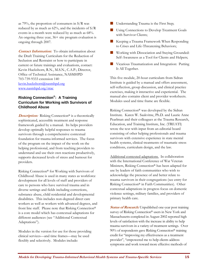as 79%, the proportion of consumers in  $S/R$  was reduced by as much as 62%, and the incidents of S/R events in a month were reduced by as much as 68%. An ongoing three year, 36+ site program evaluation is ongoing through 2007.

**Contact Information:** To obtain information about the Draft Training Curriculum for the Reduction of Seclusion and Restraint or how to participate in current or future trainings and evaluations, contact: Kevin Huckshorn, R.N., M.S.N., C.A.P.; Director, Office of Technical Assistance, NASMHPD 703-739-9333 extension 140 kevin.huckshorn@nasmhpd.org www.nasmhpd.org/ntac

#### **Risking Connection®: A Training Curriculum for Working with Survivors of Childhood Abuse**

**Description:** Risking Connection<sup>®</sup> is a theoretically sophisticated, accessible treatment and response framework guided by a manual. Its helps providers develop optimally helpful responses to trauma survivors through a comprehensive contextual foundation for trauma informed services. The focus of the program on the impact of the work on the helping professional, and from teaching providers to understand and use their own reactions productively, supports decreased levels of stress and burnout for providers.

Risking Connection® for Working with Survivors of Childhood Abuse is used in many states as workforce development for all levels of staff and providers of care to persons who have survived trauma and in diverse settings and fields including corrections, substance abuse, child residential and developmental disabilities. This includes non-degreed direct care workers as well as workers with advanced degrees, and front line staff. Please note that Risking Connection® is a core model which has contextual adaptations for different audiences (see "Additional Contextual Adaptations").

Modules in the version for use for those providing clinical services—and time frames—may be used flexibly and selectively. Modules include:

- **Understanding Trauma is the First Step;**
- **Using Connections to Develop Treatment Goals** with Survivor Clients;
- Keeping a Trauma Framework When Responding to Crises and Life-Threatening Behaviors;
- **Working with Dissociation and Staying Grounded:** Self-Awareness as a Tool for Clients and Helpers;
- **E** Vicarious Traumatization and Integration: Putting It All Together.

This five module, 20-hour curriculum from Sidran Institute is guided by a manual and offers assessment, self-reflection, group discussion, and clinical practice exercises, making it interactive and experiential. The manual also contains client and provider worksheets. Modules used and time frame are flexible.

Risking Connection® was developed by the Sidran Institute. Karen W. Saakvitne, Ph.D. and Laurie Anne Pearlman and their colleagues at the Trauma Research, Education, and Training Institute, Inc. (TREATI) wrote the text with input from an editorial board consisting of other helping professionals and trauma survivors with extensive experience in state mental health systems, clinical treatments of traumatic stress conditions, curriculum design, and the law.

Additional contexted adaptations.In collaboration with the International Conference of War Veteran Ministers, Risking Connection® has been adapted for use by leaders of faith communities who wish to acknowledge the presence of and better relate to trauma survivors in their congregations (see entry for Risking Connection® in Faith Communities). Other contextual adaptations in progress focus on domestic violence settings, military families, and providers of primary health care.

**Status of Research:** Unpublished one-year post training survey of Risking Connection® users in New York and Massachusetts completed in August 2002 reported high levels of satisfaction with the increase in ability to help trauma survivors in a variety of treatment settings. Over 90% of respondents gave Risking Connection® training credit for "improving my effectiveness as a treatment provider", "empowered me to help clients address symptoms and work toward more effective methods of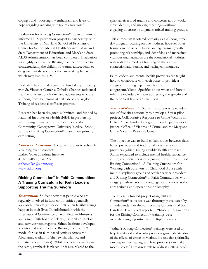coping", and "boosting my enthusiasm and levels of hope regarding working with trauma survivors."

Evaluation for Risking Connection® use in a traumainformed HIV prevention project in partnership with the University of Maryland School of Psychiatry, Center for School Mental Health Services, Maryland State Department of Education, and Maryland State AIDS Administration has been completed. Evaluation was highly positive for Risking Connection's role in contextualizing the childhood trauma antecedents to drug use, unsafe sex, and other risk-taking behavior which may lead to HIV.

Evaluation has been designed and funded in partnership with St. Vincent's Center, a Catholic Charities residential treatment facility for children and adolescents who are suffering from the trauma of child abuse and neglect. Training of residential staff is in progress.

Research has been designed, submitted, and funded by National Institutes of Health (NIH) in partnership with Georgetown Center for Trauma and the Community, Georgetown University Medical School, for use of Risking Connection® in an urban primary care setting.

**Contact Information:**To learn more, or to schedule a training event, contact: Esther Giller at Sidran Institute 410-825-8888, ext. 207 esther.giller@sidran.org www.sidran.org

#### **Risking Connection® in Faith Communities: A Training Curriculum for Faith Leaders Supporting Trauma Survivors**

**Description:** Studies show that people who are regularly involved in faith communities generally approach their clergy person first when terrible things happen in their lives. In collaboration with the International Conference of War Veteran Ministers and a multifaith board of clergy, pastoral counselors and survivor/congregants, Sidran Institute developed a contextual version of the Risking Connection® model for use in faith-based settings across the Abrahamic traditions (the Jewish, Islamic, and Christian communities). While the core elements are the same, emphasis is placed on issues related to the

spiritual effects of trauma and concerns about world view, identity, and making meaning—without engaging doctrine or dogma in mixed training groups.

This curriculum is offered primarily as a 20-hour, threeday program focusing on five modules, however other formats are possible. Understanding trauma, growth promoting relationships, and identifying and managing vicarious traumatization are the foundational modules, with additional modules focusing on the spiritual connection and trauma, and healing communities.

Faith leaders and mental health providers are taught how to collaborate with each other to provide a congruent healing experience for the congregant/client. Specifics about when and how to refer are included, without addressing the specifics of the canonical law of any tradition.

**Status of Research:** Sidran Institute was selected as one of five sites nationally to develop a 3-year pilot project, Collaborative Response to Crime Victims in Urban Areas, funded by a grant from Department of Justice, Office of Victims of Crime, and the Maryland Crime Victim's Resource Center.

The objective was to build collaboration between faith based providers and traditional victim services providers (which, taking a public health approach, Sidran expanded to include mental health, substance abuse, and social services agencies). This project used Risking Connection®: A Training Curriculum for Working with Survivors of Childhood Abusewith multi-disciplinary groups of secular service providers and Risking Connection® in Faith Communities with clergy, parish nurses and congregational leaders as the core training and operational philosophy.

The federally funded project using Risking Connection® as its basis was thoroughly evaluated by an independent evaluator from the University of South Carolina. Evaluator's reported: "In-depth evaluations for the Risking Connection® trainings were overwhelmingly positive for multiple sessions."

"Sidran's Risking Connection® trainings were used to help faith-based and secular providers gain understanding of the effects of crime on victims, the role that spirituality can play in their healing, and how providers can make more successful cross-referrals to address victims' needs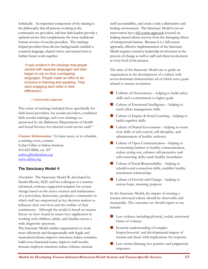holistically. An important component of the training is the philosophy that all persons working in the community are providers, and that faith leaders provide a spiritual service that complements the more traditional human services of secular providers. The trainings helped providers from diverse backgrounds establish a common language, shared vision, and mutual trust to further future work together.

*"It was evident in the trainings that people started with separate languages and then began to rely on their overlapping languages. People made an effort to be inclusive in listening and speaking. They were engaging each other in their differences."*

—Community organizer

This series of trainings included those specifically for faith-based providers, for secular providers, combined faith-secular trainings, and even trainings cosponsored by the Baltimore Departments of Health and Social Services for selected social-service staff."

**Contact Information:** To learn more, or to schedule a training event, contact: Esther Giller at Sidran Institute 410-825-8888, ext. 207 esther.giller@sidran.org www.sidran.org

#### **The Sanctuary Model ®**

*Description:* The Sanctuary Model ®, developed by Sandra Bloom, M.D. and her colleagues is a traumainformed, evidence-supported template for system change based on the active creation and maintenance of a nonviolent, democratic, productive community in which staff are empowered as key decision-makers to influence their own lives and the welfare of their constituents. Although the model is based on trauma theory we have found its tenets have application in working with children, adults, and families across a wide diagnostic spectrum.

The Sanctuary Model enables organizations to: work more effectively and therapeutically with fragile and traumatized clients; improve outcomes; reduce restraints; build cross-functional teams, improve staff morale; increase employee retention; reduce violence, increase

staff accountability, and create a truly collaborative and healing environment. The Sanctuary Model is not an intervention but a full system approach focused on helping injured clients recover from the damaging effects of interpersonal trauma. Because it is a full system approach, effective implementation of the Sanctuary Model requires extensive leadership involvement in the process of change as well as staff and client involvement at every level of the process.

The aims of the Sanctuary Model are to guide an organization in the development of a culture with seven dominant characteristics all of which serve goals related to trauma resolution:

- Culture of Nonviolence helping to build safety skills and a commitment to higher goals
- Culture of Emotional Intelligence helping to teach affect management skills
- Culture of Inquiry & Social Learning helping to build cognitive skills
- Culture of Shared Governance helping to create civic skills of self-control, self-discipline, and administration of healthy authority
- Culture of Open Communication helping to overcoming barriers to healthy communication, reduce acting-out, enhance self-protective and self-correcting skills, teach healthy boundaries
- Culture of Social Responsibility helping to rebuild social connection skills, establish healthy attachment relationships
- Culture of Growth and Change helping to restore hope, meaning, purpose

In the Sanctuary Model, the impact of creating a trauma-informed culture should be observable and measurable. The outcomes we should expect to see include:

- **Less violence including physical, verbal, emotional** forms of violence
- Systemic understanding of complex biopsychosocial and developmental impact of trauma and abuse with implications for response
- Less victim-blaming; less punitive and judgmental responses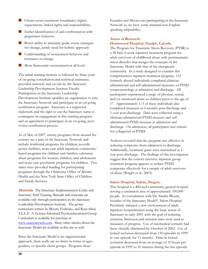- Clearer more consistent boundaries, higher expectations, linked rights and responsibilities
- **Earlier identification of and confrontation with** perpetrator behavior
- Better ability to articulate goals, create strategies for change, justify need for holistic approach
- **Understanding of reenactment behavior and** resistance to change
- More democratic environment at all levels

The initial training institute is followed by three years of on-going consultation and technical assistance provided remotely and on-site by the Sanctuary Leadership Development Institute Faculty. Participation in the Sanctuary Leadership Development Institute qualifies an organization to join the Sanctuary Network and participate in an on-going certification program. Sanctuary is a registered trademark and the right to use the Sanctuary name is contingent on engagement in this training program and an agreement to participate in an on-going, peerreview certification process.

As of May of 2007, twenty programs from around the country are a part of the Sanctuary Network and include residential programs for children; juvenile justice facilities; acute care adult inpatient; communitybased programs for children and families; substance abuse programs for women, children, and adolescents and acute care psychiatric programs for children. Two states have provided funding for participating programs through the Oklahoma Office of Mental Health and the New York State Office of Children and Family Services.

**Materials:** The Sanctuary Implementation Guide and Sanctuary Staff Training Manuals and materials are available only through participation in the Sanctuary Leadership Development Institute. The group curriculum written by Bloom, Foderaro, and Ryan titled, S.E.L.F: A Trauma-Informed Psychoeducational Group Curriculum is available for purchase at www.sanctuaryweb.com. Many other articles about the Sanctuary Model are available at this site as well.

Since the Sanctuary Model is an organizational approach, there really are no limits in terms of ages, genders, or specific client groups. Programs from

Ecuador and Mexico are participating in the Sanctuary Network so we have some minimal non-Englishspeaking adaptability.

#### **Status of Research: Homewood Hospital, Guelph, Canada.**

The Program for Traumatic Stress Recovery (PTSR) is a 28-bed, 6-week inpatient treatment program for adult survivors of childhood abuse with posttraumatic stress disorder that merges the concepts of the Sanctuary Model with that of the therapeutic community. In a study designed to examine this comprehensive inpatient treatment program, 132 formerly abused individuals completed clinicianadministered and self-administered measures of PTSD symptomatology at admission and discharge. All participants experienced a range of physical, sexual, and/or emotional abuse as children prior to the age of 17. Approximately 1/3 of these individuals also completed measures at 3-months post-discharge and 1-year post-discharge. Data were collected using a clinician-administered PTSD measure and selfadministered PTSD measure at admission and discharge. On admission, all participants met criteria for a diagnosis of PTSD.

Analyses revealed that the program was effective in reducing symptoms from admission to discharge. Additionally, treatment gains were maintained at 1 year post-discharge. The findings of this investigation suggest that the current intensive inpatient group treatment program appears to reduce PTSD symptoms effectively for a sample of adult survivors of abuse (Wright et al., 2003).

#### **Salem Hospital, Salem, Oregon.**

This hospital is a 400-bed community general hospital serving a catchment area of approximately 350,000 people. In consultation with Dr. Sandra Bloom, founder of the Sanctuary Model®, Salem Hospital Psychiatry initiated a new environment of adult inpatient hospitalization using the basic tenets of Sanctuary in early 2001 with the goal of reducing coercion. Seclusion and restraint rates were used as measures of progress. Use of mechanical restraint had been virtually eliminated by October of 2002. Use of locked seclusion decreased from 150 episodes in 1999 to one episode for 11 months. Time in locked seclusion decreased from an average of 10 hours per episode in 1999 to 10 minutes during the last episode.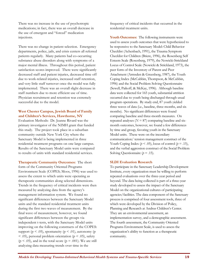There was no increase in the use of psychotropic medications; in fact, there was an overall decrease in the use of emergent and "forced" medication injections.

There was no change in patient selection. Emergency departments, police, jails, and crisis centers all referred patients regularly. Many patients had co-occurring substance abuse disorders along with symptoms of a major mental illness. Throughout this period, patient satisfaction scores improved. There were significantly decreased staff and patient injuries, decreased time off due to work-related injuries, increased staff retention, and very little staff turnover once the model was fully implemented. There was an overall slight decrease in staff numbers due to more efficient use of time. Physician recruitment and retention was extremely successful due to the model.

#### **West Chester Campus, Jewish Board of Family and Children's Services, Hawthorne, NY**

Evaluation Methods: Dr. Jeanne Rivard was the primary investigator of the NIMH grant that funded this study. The project took place in a suburban community outside New York City where the Sanctuary Model is being implemented in three residential treatment programs on one large campus. Results of the Sanctuary Model units were compared to results of units with standard residential services.

**Therapeutic Community Outcomes:** The short form of the Community Oriented Programs Environment Scale (COPES; Moos, 1996) was used to assess the extent to which units were operating as therapeutic communities along selected dimensions. Trends in the frequency of critical incidents were then measured by analyzing data from the agency's management information system. We found no significant differences between the Sanctuary Model units and the standard residential treatment units during the first two waves of measurement. By the final wave of measurement, however, we found significant differences between the groups via independent t-tests, with the Sanctuary Model units improving on the following constructs of the COPES: support ( $p < .05$ ), spontaneity ( $p < .01$ ), autonomy ( $p$  $<$  .05), personal problem orientation ( $p <$  .05), safety  $(p < .05)$ , and in the total score  $(p = .001)$ . We are still analyzing data measuring trends over time in the

frequency of critical incidents that occurred in the residential treatment units.

**Youth Outcomes:** The following instruments were used to assess youth outcomes that were hypothesized to be responsive to the Sanctuary Model: Child Behavior Checklist (Achenbach, 1991), the Trauma Symptom Checklist for Children (Briere, 1996), the Rosenberg Self Esteem Scale (Rosenberg, 1979), the Nowicki-Strickland Locus of Control Scale (Nowicki & Strickland, 1973), the peer form of the Inventory of Parent and Peer Attachment (Armsden & Greenberg, 1987), the Youth Coping Index (McCubbin, Thompson, & McCubbin, 1996) and the Social Problem Solving Questionnaire (Sewell, Paikoff, & McKay, 1996). Although baseline data were collected for 165 youth, substantial attrition occurred due to youth being discharged through usual program operations. By study end, 87 youth yielded three waves of data (i.e., baseline, three months, and six months). No significant differences were found comparing baseline and three-month measures. On repeated analyses  $(N = 87)$  comparing baseline and sixmonth outcomes, however, we found a few differences by time and group, favoring youth in the Sanctuary Model units. These were on the incendiary communication/ tension management construct of the Youth Coping Index ( $p < .05$ ), locus of control ( $p = .15$ ), and the verbal aggression construct of the Social Problem Solving Questionnaire ( $p = .15$ ).

#### **SLDI Evaluation Research**

To participate in the Sanctuary Leadership Development Institute, every organization must be willing to perform repeated evaluations over the three-year period and beyond. The data being collected is part of a three-year study developed to assess the impact of the Sanctuary Model on the organizational cultures of participating agencies/facilities. The data component of the Sanctuary process is comprised of four assessment tools, three of which were developed by the Division of Policy, Planning and Research at Andrus Children's Center. They are an environmental assessment, an implementation survey, and a demographic assessment. The fourth assessment, the Community Oriented Programs Environment Scale, is used to assess the organization's ability to function as a therapeutic community.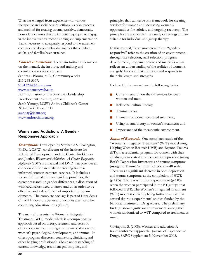What has emerged from experience with various therapeutic and social service settings is a plan, process, and method for creating trauma-sensitive, democratic, nonviolent cultures that are far better equipped to engage in the innovative treatment planning and implementation that is necessary to adequately respond to the extremely complex and deeply embedded injuries that children, adults, and families have sustained.

**Contact Information:**To obtain further information on the manual, the institute, and training and consultation services, contact: Sandra L. Bloom, M.D; CommunityWorks 215-248-5357, S13132020@msn.com

#### www.sanctuaryweb.com

For information on the Sanctuary Leadership Development Institute, contact: Sarah Yanosy, LCSW; Andrus Children's Center 914-965-3700 ext. 1117

syanosy@jdam.org www.andruschildren.org

#### **Women and Addiction: A Gender-Responsive Approach**

**Description:** Developed by Stephanie S. Covington, Ph.D., L.C.S.W., co-director of the Institute for Relational Development and the Center for Gender and Justice, *Women and Addiction: A Gender-Responsive Approach* (2007) is a manual and DVD that provides an overview of the essentials for creating traumainformed, woman-centered services. It includes a theoretical foundation and guiding principles, the current research on gender differences, a discussion of what counselors need to know and do in order to be effective, and a description of important program elements. The complete package is part of Hazelden's Clinical Innovators Series and includes a self-test for continuing education units (CEU's).

The manual presents the Women's Integrated Treatment (WIT) model which is a comprehensive approach based on theory, research, and years of clinical experience. It integrates theories of addiction, women's psychological development, and trauma. It offers program directors, counselors, clinicians, and other helping professionals a basic understanding of current knowledge, treatment philosophies, and

principles that can serve as a framework for creating services for women and increasing women's opportunities for sobriety and ongoing recovery. The principles are applicable in a variety of settings and are suitable for individual and group therapy.

In this manual, "woman-centered" and "genderresponsive" refer to the creation of an environment – through site selection, staff selection, program development, program content and materials – that reflects an understanding of the realities of women's and girls' lives and that addresses and responds to their challenges and strengths.

Included in the manual are the following topics:

- Current research on the differences between women and men;
- Relational-cultural theory;
- **Trauma theory;**
- Elements of woman-centered treatment;
- Using trauma theory in women's treatment; and
- Importance of the therapeutic environment.

**Status of Research:** One completed study of the "Women's Integrated Treatment" (WIT) model using Helping Women Recover HWR) and Beyond Trauma (BT), in a residential program for women with their children, demonstrated a decrease in depression (using Beck's Depression Inventory) and trauma symptoms (using the Trauma Symptom Checklist – 40 scale. There was a significant decrease in both depression and trauma symptoms at the completion of HWR ( $p$ <.05). There was further improvement ( $p$ <.05) when the women participated in the BT groups that followed HWR. The Women's Integrated Treatment (WIT) model is currently being further evaluated in several rigorous experimental studies funded by the National Institute on Drug Abuse. The preliminary findings show significant improvement among the women randomized to WIT compared to treatment as usual.

Covington, S. (2008). Women and addiction: A trauma-informed approach. Journal of Psychoactive Drugs, SARC Supplement 5, November 2008.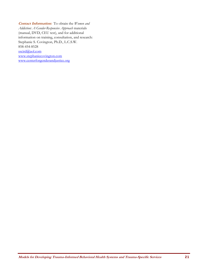**Contact Information:**To obtain the *Women and Addiction: A Gender-Responsive Approach* materials (manual, DVD, CEU test), and for additional information on training, consultation, and research: Stephanie S. Covington, Ph.D., L.C.S.W. 858-454-8528 sscird@aol.com www.stephaniecovington.com www.centerforgenderandjustice.org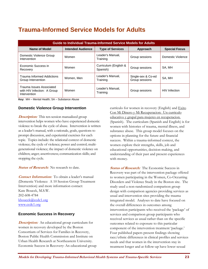# **Trauma-Informed Service Models for Adults**

| Guide to Individual Trauma-Informed Service Models for Adults           |                          |                                   |                                      |                      |
|-------------------------------------------------------------------------|--------------------------|-----------------------------------|--------------------------------------|----------------------|
| Name of Model                                                           | <b>Intended Audience</b> | <b>Type of Services</b>           | Approach                             | <b>Special Focus</b> |
| Domestic Violence Group<br>Intervention                                 | Women                    | Leader's Manual.<br>Training      | Group sessions                       | Domestic Violence    |
| Economic Success in<br>Recovery                                         | Women                    | Curriculum (English &<br>Spanish) | Group sessions                       | SA. MH               |
| <b>Trauma Informed Addictions</b><br>Group Intervention                 | Women, Men               | Leader's Manual,<br>Training      | Single-sex & Co-ed<br>Group sessions | SA. MH               |
| Trauma Issues Associated<br>with HIV Infection: A Group<br>Intervention | Women                    | Leader's Manual,<br>Training      | Group sessions                       | <b>HIV</b> Infection |

**Key:** MH – Mental Health; SA – Substance Abuse

#### **Domestic Violence Group Intervention**

**Description:** This ten-session manualized group intervention helps women who have experienced domestic violence to break the cycle of abuse. Intervention is written as a leader's manual, with a rationale, goals, questions to prompt discussion, and experiential exercises for each topic. Topics include: the relational context of domestic violence; the cycle of violence; power and control; multigenerational violence; the impact of domestic violence on children; anger; assertiveness; communication skills; and stopping the cycle.

*Status of Research:* No research to date.

**Contact Information:**To obtain a leader's manual (Domestic Violence: A 10 Session Group Treatment Intervention) and more information contact: Kate Boucek, M.S.W. 202-608-4784 kboucek@ccdc1.org www.ccdc1.org

#### **Economic Success in Recovery**

**Description:** An educational group curriculum for women in recovery developed by the Boston Consortium of Services for Families in Recovery, Boston Public Health Commission and Institute on Urban Health Research at Northeastern University. Economic Success in Recovery: An educational group currículo for women in recovery (English) and Exito Con Mi Dinero y Mi Recuperacion: Un curriculo educativo y grupal para mujeres en recuperacion. (Spanish). The curriculum (Spanish and English) is for women with histories of trauma, mental illness, and substance abuse. This group model focuses on the options in planning for the future and financial success. Within a trauma-informed context, the women explore their strengths, skills, job and educational opportunities, decision-making, and understanding of their past and present experiences with money.

**Status of Research:** The Economic Success in Recovery was part of the intervention package offered to women participating in the Women, Co-Occurring Disorders and Violence Study in the Boston site. The study used a non-randomized comparison group design with comparison agencies providing services as usual and intervention sites providing the trauma integrated model. Analyses to date have focused on the overall differences in outcomes among intervention participants who received the 'package' of services and comparison group participants who received services as usual rather than on the specific outcomes related to exposure to this particular component of the intervention treatment 'package.' Four published papers present findings showing race/ethnic differences in clinical profiles and services needs and that women in the intervention stay in treatment longer and at follow-up have lower sexual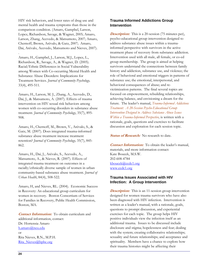HIV risk behaviors, and lower rates of drug use and mental health and trauma symptoms than those in the comparison condition. (Amaro, Gampbel, Larson, Lopez, Richardson, Savage, & Wagner, 2005; Amaro, Larson, Zhang, Acevedo, & Matsumoto, 2007; Amaro, Chernoff, Brown, Arévalo, & Gatz, 2007; Amaro, Dai, Arévalo, Acevedo, Matsumoto and Nieves, 2007).

Amaro, H., Gampbel, J., Larson, M.J., Lopez, L., Richardson, R., Savage, A., & Wagner, D. (2005). Racial/Ethnic Differences in Social Vulnerability among Women with Co-occurring Mental Health and Substance Abuse Disorders: Implications for Treatment Services. *Journal of Community Psychology,*  33(4), 495-511*.* 

Amaro, H., Larson, M. J., Zhang, A., Acevedo, D., Dai, J., & Matsumoto, A. (2007). Effects of trauma intervention on HIV sexual risk behaviors among women with co-occurring disorders in substance abuse treatment. *Journal of Community Psychology*, 35(7), 895- 908.

Amaro, H., Chernoff, M., Brown, V., Arévalo, S., & Gatz, M. (2007). Does integrated trauma-informed substance abuse treatment increase treatment retention? *Journal of Community Psychology,* 35(7), 845- 862.

Amaro, H., Dai, J., Arévalo, S., Acevedo, A., Matsumoto, A., & Nieves, R. (2007). Effects of integrated trauma treatment on outcomes in a racially/ethnically diverse sample of women in urban community-based substance abuse treatment. *Journal of Urban Health*, 84(4), 508-522.

Amaro, H, and Nieves, RL. (2004). Economic Success in Recovery: An educational group curriculum for women in recovery. Boston Consortium of Services for Families in Recovery, Public Health Commission, Boston, MA.

**Contact Information:**To obtain curriculum and additional information, contact: Dr. Hortensia Amaro h.amaro@neu.edu or Rita Nieves, R.N., M.P.H. Rita\_Nieves@bphc.org

#### **Trauma Informed Addictions Group Intervention**

**Description:** This is a 20-session (75 minutes per), psycho-educational group intervention designed to address substance abuse issues within a traumainformed perspective with survivors in the active treatment phase of recovery from substance addiction. Intervention used with all male, all female, or co-ed group membership. The group is aimed at helping survivors understand the connections between family history and addiction, substance use, and violence; the role of behavioral and emotional triggers in patterns of substance use; the emotional, interpersonal, and behavioral consequences of abuse; and revictimization patterns. The final several topics are focused on empowerment, rebuilding relationships, achieving balance, and envisioning a dream for the future. The leader's manual, *Trauma-Informed Addictions Treatment: A 20-Session Psycho-Educational Group Intervention Designed to Address Substance Abuse Issues Within a Trauma-Informed Perspective,* is written with a rationale, goals, questions and exercises to facilitate discussion and exploration for each session topic.

**Status of Research:**No research to date.

**Contact Information:**To obtain the leader's manual, materials, and more information contact: Kate Boucek, M.S.W. 202-608-4784 kboucek@ccdc1.org www.ccdc1.org

#### **Trauma Issues Associated with HIV Infection: A Group Intervention**

**Description:** This is an 11-session group intervention designed for women trauma survivors who have also been diagnosed with HIV infection. Intervention is written as a leader's manual, with a rationale, goals, questions to prompt discussion, and experiential exercises for each topic. The group helps HIV positive individuals view the infection itself as an additional trauma. Issues to be discussed include disclosure and stigma; hopelessness and fear; dealing with the system; creating collaborative relationships; sexuality and future relationships; and acceptance and spirituality. Members have a chance to explore how their trauma histories might be affecting their

.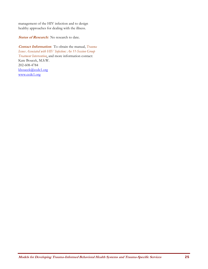management of the HIV infection and to design healthy approaches for dealing with the illness.

Status of Research: No research to date.

**Contact Information:** To obtain the manual, *Trauma Issues Associated with HIV Infection: An 11-Session Group Treatment Intervention*, and more information contact: Kate Boucek, M.S.W. 202-608-4784 kboucek@ccdc1.org www.ccdc1.org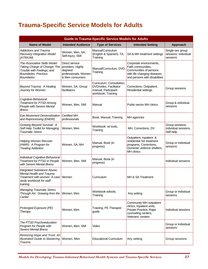# **Trauma-Specific Service Models for Adults**

| <b>Guide to Trauma-Specific Service Models for Adults</b>                                                                                       |                                                                                           |                                                                                                  |                                                                                                                                         |                                                      |
|-------------------------------------------------------------------------------------------------------------------------------------------------|-------------------------------------------------------------------------------------------|--------------------------------------------------------------------------------------------------|-----------------------------------------------------------------------------------------------------------------------------------------|------------------------------------------------------|
| <b>Name of Model</b>                                                                                                                            | <b>Intended Audience</b>                                                                  | <b>Type of Services</b>                                                                          | <b>Intended Setting</b>                                                                                                                 | Approach                                             |
| <b>Addictions and Trauma</b><br>Recovery Integration Model<br>(ATRIUM)                                                                          | Women, Men, SA,<br>Self-injury, SMI                                                       | Manual/Curriculum<br>(English & Spanish), TA,<br>Training                                        | SA & MH treatment settings                                                                                                              | Single-sex group<br>sessions; Individual<br>sessions |
| The Associative Skills Model:<br>Taking Charge of Change; The<br>Trouble with Feelings; and<br><b>Boundaries, Precious</b><br><b>Boundaries</b> | Direct service<br>providers, Highly<br>degreed<br>professionals, Women<br>& Men consumers | Manual/Curriculum, DVD,<br>Training                                                              | Corporate environments,<br>Faith communities,<br>Communities of persons<br>with life changing diseases<br>and persons with disabilities |                                                      |
| Beyond Trauma: A Healing<br>Journey for Women                                                                                                   | Women, SA, Group<br>facilitators                                                          | Curriculum, Consultation,<br>DVD/video, Facilitator<br>manual, Participant<br>workbook, Training | Corrections, Outpatient,<br>Residential settings                                                                                        | Group sessions                                       |
| Cognitive-Behavioral<br><b>Treatment for PTSD Among</b><br>People with Severe Mental<br><b>Illness</b>                                          | Women, Men, SMI                                                                           | Manual                                                                                           | Public-sector MH clinics                                                                                                                | Group & individual<br>sessions                       |
| Eye Movement Desensitization<br>and Reprocessing (EMDR)                                                                                         | <b>Certified MH</b><br>professionals                                                      | Book, Manual, Training                                                                           | MH agencies                                                                                                                             |                                                      |
| Growing Beyond Survival: A<br>Self Help Toolkit for Managing<br><b>Traumatic Stress</b>                                                         | Women, Men                                                                                | Workbook w/ tools,<br>Training                                                                   | MH, Corrections, DV                                                                                                                     | Group sessions;<br>individual sessions,<br>Self-help |
| <b>Helping Women Recover</b><br>(HWR): A Program for<br><b>Treating Addiction</b>                                                               | Women, SA, MH                                                                             | Manual, Book (in<br>progress)                                                                    | Outpatient, inpatient &<br>residential SA treatment<br>programs, Corrections,<br>Domestic violence shelters,<br>MH clinics              | Group or individual<br>sessions                      |
| Individual Cognitive-Behavioral<br>Treatment for PTSD in People<br>with Severe Mental Illness                                                   | Women, Men, SMI                                                                           | Manual, Book (in<br>progress)                                                                    |                                                                                                                                         | Individual sessions                                  |
| Integrated Substance Abuse,<br>Mental Health and Trauma<br>Treatment with women: A case<br>study workbook for staff<br>training                 | Women                                                                                     | Curriculum                                                                                       | MH & SA Treatment                                                                                                                       |                                                      |
| <b>Managing Traumatic Stress</b><br>Through Art: Drawing from the<br>Center                                                                     | Women, Men                                                                                | Workbook w/tools,<br>Training                                                                    | Any setting                                                                                                                             | Group or individual<br>sessions                      |
| Prolonged Exposure (PE)<br>Therapy                                                                                                              | Women, Men                                                                                | Training, PE Therapist<br>guide                                                                  | Community MH outpatient<br>clinics, Inpatient units,<br>Private Practice, Rape<br>counseling centers,<br>Veterans' centers              | Individual sessions                                  |
| The PTSD Psychoeducation<br>Program for People with<br>Severe Mental Illness                                                                    | Women, Men, SMI                                                                           | Video                                                                                            |                                                                                                                                         | Group or individual<br>sessions                      |
| Restoring Hope and Trust: An<br><b>Illustrated Guide to Mastering</b><br>Trauma                                                                 | Women, Men                                                                                | <b>Educational Curriculum</b>                                                                    | Any setting                                                                                                                             | Group sessions                                       |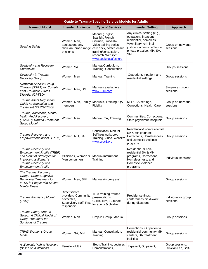| <b>Guide to Trauma-Specific Service Models for Adults</b>                                                                                                          |                                                                                                |                                                                                                                                                                                           |                                                                                                                                                                                    |                                         |
|--------------------------------------------------------------------------------------------------------------------------------------------------------------------|------------------------------------------------------------------------------------------------|-------------------------------------------------------------------------------------------------------------------------------------------------------------------------------------------|------------------------------------------------------------------------------------------------------------------------------------------------------------------------------------|-----------------------------------------|
| <b>Name of Model</b>                                                                                                                                               | <b>Intended Audience</b>                                                                       | <b>Type of Services</b>                                                                                                                                                                   | <b>Intended Setting</b>                                                                                                                                                            | Approach                                |
| Seeking Safety                                                                                                                                                     | Women, Men,<br>adolescent, any<br>clinician; broad range<br>of clients                         | Manual (English,<br>Spanish, French,<br>German, Swedish),<br>Video training series,<br>card deck, poster; onsite<br>training/consultation,<br>research. Website:<br>www.seekingsafety.org | Any clinical setting (e.g.,<br>outpatient, inpatient,<br>residential, homeless,<br>VA/military, criminal<br>justice, domestic violence,<br>private practice, MH, SA,<br><b>SMI</b> | Group or individual<br>sessions         |
| Spirituality and Recovery<br>Curriculum                                                                                                                            | Women, SA                                                                                      | Manual/Curriculum,<br>Training, Consultation                                                                                                                                              |                                                                                                                                                                                    | Groups sessions                         |
| Spirituality in Trauma<br>Recovery Group                                                                                                                           | Women, Men                                                                                     | Manual, Training                                                                                                                                                                          | Outpatient, inpatient and<br>residential settings                                                                                                                                  | Group sessions                          |
| Symptom-Specific Group<br>Therapy (SSGT) for Complex<br><b>Post Traumatic Stress</b><br>Disorder (CPTSD)                                                           | Women, Men, SMI                                                                                | Manuals available at<br>www.Lulu.com                                                                                                                                                      |                                                                                                                                                                                    | Single-sex group<br>sessions            |
| Trauma Affect Regulation:<br>Guide for Education and<br>Treatment (TARGET©©)                                                                                       | Women, Men, Family<br>members                                                                  | Manuals, Training, QA,<br>Fidelity                                                                                                                                                        | MH & SA settings,<br>Corrections, Health Care                                                                                                                                      | Group or individual<br>sessions         |
| Trauma, Addictions, Mental<br>health And Recovery<br>(TAMAR) Trauma Treatment<br>Group Model                                                                       | Women, Men                                                                                     | Manual, TA, Training                                                                                                                                                                      | Communities, Corrections,<br>State psychiatric hospitals                                                                                                                           | Group sessions                          |
| Trauma Recovery and<br><b>Empowerment Model (TREM)</b>                                                                                                             | Women, MH, SA                                                                                  | Consultation, Manual,<br>Self-help workbook,<br>Training, Video, Website:<br>www.ccdc1.org                                                                                                | Residential & non-residential<br>SA & MH programs,<br>Corrections, Homelessness,<br>and Domestic Violence<br>programs                                                              | Group sessions                          |
| Trauma Recovery and<br><b>Empowerment Profile (TREP)</b><br>and Menu of Strategies for<br>Improving a Woman's<br>Trauma Recovery and<br><b>Empowerment Profile</b> | Clinicians, Women &<br>Men consumers                                                           | Manual/Instrument,<br>Training                                                                                                                                                            | Residential & non-<br>residential SA & MH<br>programs, Corrections,<br>Homelessness, and<br>Domestic Violence<br>programs                                                          | Individual sessions                     |
| The Trauma Recovery<br>Group: Group Cognitive-<br><b>Behavioral Treatment for</b><br>PTSD in People with Severe<br><b>Mental Illness</b>                           | Women, Men, SMI                                                                                | Manual (in progress)                                                                                                                                                                      |                                                                                                                                                                                    | Group sessions                          |
| Trauma Resiliency Model<br>(TRM)                                                                                                                                   | Direct service<br>providers, Community<br>advocates,<br>Supervisory staff, First<br>responders | TRM training trauma<br>presentations,<br>Curriculum, Tx.model<br>for adults & children                                                                                                    | Provider settings,<br>conferences, field-work<br>during disasters                                                                                                                  | Individual or group<br>sessions         |
| Trauma Safety Drop-In<br>Group: A Clinical Model of<br>Group Treatment for<br>Survivors of Trauma                                                                  | Women, Men                                                                                     | Drop-in Group, Manual                                                                                                                                                                     |                                                                                                                                                                                    | Group sessions                          |
| <b>TRIAD Women's Group</b><br>Model                                                                                                                                | Women, SA, MH                                                                                  | Manual, Consultation,<br>Training                                                                                                                                                         | Corrections, Outpatient &<br>residential community MH<br>centers, SA treatment<br>facilities                                                                                       | Group sessions                          |
| A Woman's Path to Recovery<br>(Based on A Woman's                                                                                                                  | Female adult &                                                                                 | Book, Training, Lectures,<br>Demonstrations,                                                                                                                                              | In-patient, Outpatient,                                                                                                                                                            | Group sessions,<br>Clinician Led, Self- |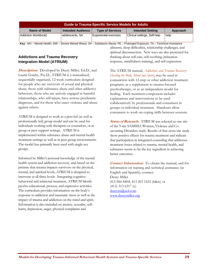| <b>Guide to Trauma-Specific Service Models for Adults</b> |                          |                               |                              |             |
|-----------------------------------------------------------|--------------------------|-------------------------------|------------------------------|-------------|
| Name of Model                                             | <b>Intended Audience</b> | <b>Type of Services</b>       | <b>Intended Setting</b>      | Approach    |
| Addiction Workbook)                                       | adolescents, SA          | <b>Experiential exercises</b> | Clinical settings, Self-help | <b>help</b> |

 **Key:** MH – Mental Health; SMI – Severe Mental Illness; SA – Substance Abuse; PE – Prolonged Exposure; TA – Technical Assistance

#### **Addictions and Trauma Recovery Integration Model (ATRIUM)**

**Description:**Developed by Dusty Miller, Ed.D., and Laurie Guidry, Psy.D., ATRIUM is a manualized, sequentially organized, 12-week curriculum designed for people who are survivors of sexual and physical abuse, those with substance abuse and other addictive behaviors, those who are actively engaged in harmful relationships, who self-injure, have serious psychiatric diagnoses, and for those who enact violence and abuse against others.

ATRIUM is designed to work as a peer-led (as well as professionally led) group model and can be used for individuals working with therapists or counselors, or in group or peer support settings. ATRIUM is implemented within substance abuse and mental health treatment settings as well as in peer group environments. The model has primarily been used with single-sex groups.

Informed by Miller's personal knowledge of the mental health system and addiction recovery, and based on the premise that trauma impacts survivors on the physical, mental, and spiritual levels, ATRIUM is designed to intervene at all three levels. Integrating cognitivebehavioral and relational treatment, ATRIUM blends psycho-educational, process, and expressive activities. The curriculum provides information on the body's response to addiction and traumatic stress as well as the impact of trauma and addiction on the mind and spirit. Information is also included on anxiety, sexuality, selfharm, depression, anger, physical complaints and

ailments, sleep difficulties, relationship challenges, and spiritual disconnection. New ways are also presented for thinking about self-care, self-soothing (relaxation response, mindfulness training), and self-expression.

The ATRIUM manual, *Addictions and Trauma Recovery: Healing the Body, Mind and Spirit*, may be used in conjunction with 12-step or other addiction treatment programs, as a supplement to trauma-focused psychotherapy, or as an independent model for healing. Each treatment component includes explanations and interventions to be used collaboratively by professionals and consumers in groups or individual treatment. Handouts allow consumers to work on coping skills between sessions.

**Status of Research:** ATRIUM was selected as one site of the 9-site SAMHSA Women, Violence and Cooccurring Disorders study. Results of that cross-site study show positive effects for trauma treatment and indicate that participation in integrated counseling that addresses treatment issues related to trauma, mental health, and substance seems to be the key ingredient in achieving better outcomes.

**Contact Information:**To obtain the manual, and for information on training and technical assistance (in English and Spanish), contact: Dusty Miller 413-584-8404, 413 203 1432 (h&w) or (413) 313 6317 (c) dustymi@aol.com www.dustymiller.org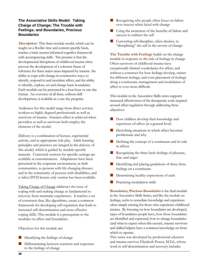#### **The Associative Skills Model: Taking Charge of Change; The Trouble with Feelings; and Boundaries, Precious Boundaries**

**Description:**This three-module model, which can be taught on a flexible time and content-specific basis, teaches a basic trauma informed cognitive framework with accompanying skills. The premise is that the developmental disruptions of childhood trauma often prevent the development of a coherent frame of reference for three major areas impacted by trauma: the ability to cope with change in constructive ways; to identify, respond to and modulate affect, and the ability to identify, explore, set and change basic boundaries. Each module can be presented in a four-hour or one day format. An overview of all three, without skill development, is available as a one day program.

Audiences for this model range from direct services workers to highly degreed professionals as well as survivors of trauma. Greatest effect is achieved when providers as well as survivors both employ the elements of the model.

Delivery is a combination of lecture, experiential activity, and as appropriate role play. Adult learning principles and practices are integral in the delivery of this model, which is guided by module-specific manuals. Contexted versions for specific settings are available as customizations. Adaptations have been presented in the corporate environment, in faith communities, to persons with life changing diseases and in the community of persons with disabilities, and a video/DVD lecture only version has been available.

Taking Charge of Change addresses the issue of coping with and making change as fundamental to recovery from traumatic experiences. It teaches a set of constructs that, like algorithms, create a common framework for developing self-regulation that leads to increased self-determination and more effective coping skills. This module is a prerequisite to the modules on affect and boundaries.

Objectives for this module are:

- $\blacksquare$  Identifying the feelings of change
- Differentiating between reactions and responses to the feelings of change
- Recognizing why people often focus on failure over success when faced with change
- Using the awareness of the benefits of failure and success to redirect the self
- Converting self-discipline, often abusive, to "disciplining" the self in the service of change

**The Trouble with Feelings** builds on the change module in response to the role of feelings in change. Often survivors of childhood trauma have exceptionally limited vocabularies for affect, and without a construct for how feelings develop, names for different feelings, and even placement of feelings along a continuum, management and modulation of affect is even more difficult.

This module in the Associative Skills series supports increased effectiveness of the therapeutic work required around affect regulation through addressing these objectives:

- **How children develop their knowledge and** experience of affect (at a general level)
- **Describing situations in which affect becomes** problematic and why
- Defining the concept of a continuum and its role in affects
- Recognizing the three basic feelings of pleasure, fear, and anger
- I Identifying and placing gradations of these three feelings on a continuum
- Determining healthy expressions of each
- Practicing modulation skills

**Boundaries, Precious Boundaries** is the final module in the Associative Skills Series, and like the module on feelings, seeks to remediate knowledge and experience often simply missing for those who experience childhood trauma. By focusing on how boundaries are developed, types of boundaries people have, how those boundaries are identified and expressed, how to change boundaries (and what to expect when this occurs), trauma survivors and skilled helpers have a common knowledge set from which to operate.

This series was developed by professional educator and trauma survivor Elizabeth Power, M.Ed., whose work in self-determination and recovery includes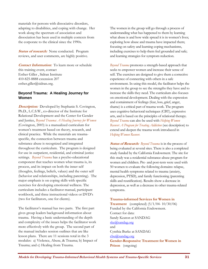materials for persons with dissociative disorders, adapting to disabilities, and coping with change. Her work along the spectrum of association and dissociation has been used in multiple contexts from the corporate to the clinical since the 1990s.

**Status of research:** None conducted. Program reviews, and user comments, are highly positive.

**Contact Information:**To learn more or schedule this training event, contact Esther Giller , Sidran Institute 410-825-8888 extension 207 esther.giller@sidran.org.

### **Beyond Trauma: A Healing Journey for Women**

**Description:**Developed by Stephanie S. Covington, Ph.D., L.C.S.W., co-director of the Institute for Relational Development and the Center for Gender and Justice, *Beyond Trauma: A Healing Journey for Women* (Covington, 2003) is a manualized curriculum for women's treatment based on theory, research, and clinical practice. While the materials are traumaspecific, the connection between trauma and substance abuse is recognized and integrated throughout the curriculum. The program is designed for use in outpatient, residential, and criminal justice settings. *Beyond Trauma* has a psycho-educational component that teaches women what trauma is, its process, and its impact on both the inner self (thoughts, feelings, beliefs, values) and the outer self (behavior and relationships, including parenting). The major emphasis is on coping skills with specific exercises for developing emotional wellness. The curriculum includes a facilitator manual, participant workbook, and three instructional videos or DVD's (two for facilitators, one for clients).

The facilitator's manual has two parts. The first part gives group leaders background information about trauma. Having a basic understanding of the depth and complexity of the issues helps the facilitator work more effectively with the group. The second part of the manual includes session outlines that are like lesson plans. There are 11 sessions total in the 3 modules: a) Violence, Abuse, & Trauma; b) Impact of Trauma; and c) Healing from Trauma.

The women in the group will go through a process of understanding what has happened to them by learning what abuse is and how wide spread it is in women's lives; exploring how abuse and trauma have impacted them; focusing on safety and learning coping mechanisms, including exercises to help them feel grounded and safe; and learning strategies for symptom reduction.

*Beyond Trauma* promotes a strength-based approach that seeks to empower women and increase their sense of self. The exercises are designed to give them a corrective experience of connecting with others in a safe environment. In using this model, the facilitator helps the women in the group to see the strengths they have and to increase the skills they need. The curriculum also focuses on emotional development. Dealing with the expression and containment of feelings (fear, loss, grief, anger, shame) is a critical part of trauma work. The program uses cognitive-behavioral techniques (CBT), expressive arts, and is based on the principles of relational therapy. *Beyond Trauma* can also be used with *Helping Women Recover: A Program for Treating Addiction* (see description) to extend and deepen the trauma work introduced in *Helping Women Recover.*

**Status of Research:** *Beyond Trauma* is in the process of being evaluated at several sites. There is also a completed study funded by the California Endowment. The site for this study was a residential substance-abuse program for women and children. Pre- and post-tests were used with 50 women to evaluate the following domains: relapse, mental health symptoms related to trauma (anxiety, depression, PTSD), and family functioning (parenting skills and reunification). Results show a decrease in depression, as well as a decrease in other trauma-related symptoms.

### **Trauma-informed Services for Women in**

**Treatment**(completed) (5/1/04- 10/30/06) Funded by the California Endowment. Contact for data: Sandy Keaton at SANDAG ske@sandag.org and Cynthia Burke at SANDAG cbu@sandag.org **Gender-Responsive Treatment for Women in Prison**(ongoing)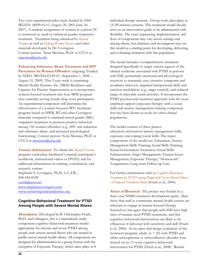Two year experimental pilot study funded by NIH IR21DA 18699-01A1 (August 20, 2005-June 30, 2007). A random assignment of women in a prison TC to treatment as usual or enhanced gender-responsive treatment. Treatment being enhanced by *Beyond Trauma* as well as *Helping Women Recover* and other materials developed by Dr. Covington. Contact person: Nena Messina, Ph.D. at UCLA at nmessina@ucla.edu

**Enhancing Substance Abuse Treatment and HIV** 

**Prevention for Women Offenders** (ongoing) Funded by NIDA 1R01DA22149-01. (September 1, 2006 – August 31, 2009). This 3-year study is examining Mental Health Systems, Inc. (MHS) Readiness and Capacity for Practice Improvement as it incorporates women-focused treatment into four MHS program sites currently serving female drug court participants. An experimental component will determine the effectiveness of a women-focused (WF) treatment program based on HWR, BT and other Covington materials compared to standard mixed-gender (MG) outpatient treatment to promote positive behaviors among 150 women offenders (e.g., HIV risk reduction and substance abuse, and increased psychological functioning). Contact person: Nena Messina, Ph.D. at UCLA at nmessina@ucla.edu

**Contact Information:** To obtain the *Beyond Trauma* program curriculum (facilitator's manual, participant's workbook, instructional videos or DVD's) and for additional information on training, consultation, and research, contact Stephanie S. Covington, Ph.D., L.C.S.W., 858-454-8528 sscird@aol.com www.stephaniecovington.com www.centerforgenderandjustice.org .

## **Cognitive-Behavioral Treatment for PTSD Among People with Severe Mental Illness**

**Description:**Developed by B. Christopher Frueh, Ph.D. and colleagues, this is a manualized, multicomponent cognitive-behavioral treatment model appropriate for chronic and severe PTSD among people with serious mental illness who are treated in public-sector mental health clinics. All components are designed for administration in a group format with the exception of Exposure Therapy, which takes place in 8 individual therapy sessions. Group work takes place in 14 (90-minute) sessions. This treatment model should serve as an intervention guide to be administered with flexibility. The exact sequencing, implementation, and dose of components may vary across settings and among clients, but clinicians and investigators may use this model as a starting point for developing, delivering, and evaluating treatment with this population.

The model includes a comprehensive treatment designed specifically to target various aspects of the clinical syndrome associated with PTSD in persons with SMI, particularly emotional and physiological reactivity to traumatic cues, intrusive symptoms and avoidance behavior, impaired interpersonal skills and emotion modulation (e.g., anger control), and reduced range of enjoyable social activities. It incorporates the PTSD psychosocial treatment approach with the most empirical support (exposure therapy) with a social skills and anxiety management training component that has been shown to work for other clinical populations.

The model consists of three phases: education/motivation/anxiety management skills; exposure; and coping/social skills. The major components of the model are: Education; Anxiety Management Skills Training; Social Skills Training; Social Environment Awareness; Social Skills Enhancement; Anger Management; Trauma Issues Management; Exposure Therapy; "Homework" Assignments; Long-term Follow-up Care.

For further information refer to *Cognitive-Behavioral Treatment for PTSD among People with Severe Mental Illness: A Proposed Treatment Model* (Frueh et al., 2004).

**Status of Research:** The project was funded by a three-year NIMH treatment development grant. Data show that staff at community mental health centers are reluctant to engage in trauma-focused therapy themselves, but agree that people with SMI have high rates of trauma, need PTSD treatments, and that cognitive-behavioral interventions are likely to be efficacious if delivered with sensitivity and skill (Frueh et al., 2006). In an open trial design evaluation of the treatment program, adults ( $n = 20$ ) with PTSD and either schizophrenia or schizoaffective disorder were treated via an 11-week cognitive-behavioral intervention for PTSD (Frueh et al., 2008). Results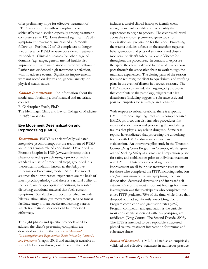offer preliminary hope for effective treatment of PTSD among adults with schizophrenia or schizoaffective disorder, especially among treatment completers  $(n = 13)$ . Data showed significant PTSD symptom improvement, maintained at 3-month follow-up. Further, 12 of 13 completers no longer met criteria for PTSD or were considered treatment responders. Clinical outcomes for other targeted domains (e.g., anger, general mental health) also improved and were maintained at 3-month follow-up. Participants evidenced high treatment satisfaction, with no adverse events. Significant improvements were not noted on depression, general anxiety, or physical health status.

**Contact Information:**For information about the model and obtaining a draft manual and materials, contact:

B. Christopher Frueh, Ph.D.

The Menninger Clinic and Baylor College of Medicine frueh@hawaii.edu

## **Eye Movement Desensitization and Reprocessing (EMDR)**

**Description:** EMDR is a scientifically validated integrative psychotherapy for the treatment of PTSD and other trauma-related conditions. Developed by Francine Shapiro in 1989 (www.emdr.com), it is a phase-oriented approach using a protocol with a standardized set of procedural steps, grounded in a theoretical foundation known as the Adaptive Information Processing model (AIP). The model assumes that unprocessed experiences are the basis of much psychopathology and there is a natural ability of the brain, under appropriate conditions, to resolve disturbing emotional material that fuels current symptoms. Standardized procedures which include bilateral stimulation (eye movements, taps or tones) facilitate entry into an accelerated learning state in which traumatic experiences can be processed effectively.

The eight phases and specific protocols used to address the client's presenting complaints are described in detail in the book *Eye Movement Desensitization and Reprocessing: Basic Principles, Protocols, and Procedures* (Shapiro 2001) and training is available in many US locations throughout the year. The model

includes a careful clinical history to identify client strengths and vulnerabilities and to identify the experiences to begin to process. The client is educated about the symptom picture and given tools for stabilization and preparation for the work. Processing the trauma includes a focus on the attendant negative beliefs, emotion and physical sensations and closely monitors the client's subjective level of discomfort throughout the procedures. In contrast to exposure therapies, the client is allowed to move at his/her own pace through the associative chain to work though the traumatic experiences. The closing parts of the session focus on returning the client to equilibrium, and verifying plans in the event of distress in between sessions. The EMDR protocols include the targeting of past events that contribute to the pathology, triggers that elicit disturbance (including triggers to substance use), and positive templates for self-image and behavior.

With respect to substance abuse, there is a specific EMDR protocol targeting urges and a comprehensive EMDR protocol that also includes procedures for increased stabilization and processing the underlying trauma that plays a key role in drug use. Some case reports have indicated that processing the underlying trauma with EMDR also results in increased stabilization. An innovative pilot study in the Thurston County Drug Court Program in Olympia, Washington utilized Seeking Safety as a structured preparation phase for safety and stabilization prior to individual treatment with EMDR. Outcomes showed significant improvement on all four post-treatment assessments for those who completed the ITTP, including reduction and/or elimination of trauma symptoms, decreased dissociation, decreased depression and increased selfesteem. One of the most important findings for future investigation was that participants who completed the entire ITTP graduated 75% of the time, while those that dropped out had significantly lower Drug Court Program completion and graduation rates (25%). Program completion and graduation is the variable most consistently associated with low post-program recidivism (Drug Courts: The Second Decade; 2006). The ITTP is intended to be a replicable, structured, phased trauma treatment intervention for trauma and substance abuse.

**Status of Research:** EMDR is listed as an empirically validated and effective treatment in numerous practice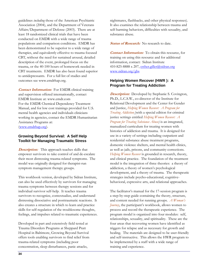guidelines *including* those of the American Psychiatric Association (2004), and the Department of Veterans Affairs/Department of Defense (2003). There are at least 18 randomized clinical trials that have been conducted on EMDR with a wide range of trauma populations and comparison conditions. EMDR has been demonstrated to be superior to a wide range of therapies, and equivalently effective to trauma focused CBT, without the need for sustained arousal, detailed description of the event, prolonged focus on the trauma, or the 40-100 hours of homework needed in CBT treatments. EMDR has also been found superior to antidepressants. For a full list of studies and outcomes see www.emdrhap.org.

**Contact Information:** For EMDR clinical training and supervision offered internationally, contact EMDR Institute at: www.emdr.com For the EMDR Chemical Dependency Treatment Manual, and for low cost trainings provided for U.S. mental health agencies and individuals clinicians working in agencies, contact the EMDR Humanitarian Assistance Programs at: (www.emdrhap.org).

### **Growing Beyond Survival: A Self Help Toolkit for Managing Traumatic Stress**

**Description:**This approach teaches skills that empower survivors to take control of and de-escalate their most distressing trauma-related symptoms. The model was originally designed for therapist-run symptom management therapy groups.

This workbook version, developed by Sidran Institute, can also be used effectively by survivors for managing trauma symptoms between therapy sessions and for individual survivor self-help. It teaches trauma survivors to recognize, contextualize, and understand distressing dissociative and posttraumatic reactions. It also creates a structure in which to learn and practice skills for self-regulation of the troublesome thoughts, feelings, and impulses related to traumatic experiences.

Developed in part and extensively field tested at Trauma Disorders Programs at Sheppard Pratt Hospital in Baltimore, Growing Beyond Survival offers tools enabling survivors to find relief from trauma-related symptoms (including poor concentration, sleep disturbances, panic attacks,

nightmares, flashbacks, and other physical responses). It also examines the relationship between trauma and self-harming behaviors, difficulties with sexuality, and substance abuse.

*Status of Research:* No research to date.

**Contact Information:**To obtain this resource, for training on using this resource and for additional information, contact: Sidran Institute 410-825-8888 x 207, esther.giller@sidran.org www.sidran.org/gbs

## **Helping Women Recover (HWR ): A Program for Treating Addiction**

*Description:* Developed by Stephanie S. Covington, Ph.D., L.C.S.W., co-director of the Institute for Relational Development and the Center for Gender and Justice, *Helping Women Recover: A Program for Treating Addiction* (with a special edition for criminal justice settings entitled *Helping Women Recover: A Program for Treating Substance Abuse)* is an integrated, manualized curriculum for treating women with histories of addiction and trauma. It is designed for use in a variety of settings including outpatient and residential substance abuse treatment programs, domestic violence shelters, and mental health clinics, as well as jails, prisons, and community corrections. *Helping Women Recover* is grounded in research, theory, and clinical practice. The foundation of the treatment model is the integration of three theories: a theory of addiction, a theory of women's psychological development, and a theory of trauma. The therapeutic strategies include psycho-educational, cognitivebehavioral, expressive arts, and relational approaches.

The facilitator's manual for the 17-session program is a step-by-step guide containing the theory, structure, and content needed for running groups. *A Woman's Journey*, the participant's workbook, allows women to process and record the therapeutic experience. The program model is organized into four modules: self, relationships, sexuality, and spirituality. These are the four areas that recovering women have identified as triggers for relapse and as necessary for growth and healing. The materials are designed to be user-friendly and self-instructive. This allows the HWR program to be implemented by a staff with a wide range of training and experience.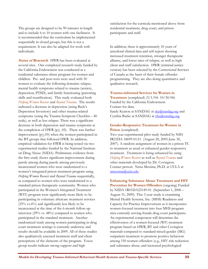The groups are designed to be 90 minutes in length and to include 6 to 10 women with one facilitator. It is recommended that the curriculum be implemented sequentially in closed groups, but this is not a requirement. It can also be adapted for work with individuals.

**Status of Research:** HWR has been evaluated at several sites. One completed research study funded by the California Endowment was conducted at a residential substance-abuse program for women and children. Pre- and post-tests were used with 50 women to evaluate the following domains: relapse, mental health symptoms related to trauma (anxiety, depression, PTSD), and family functioning (parenting skills and reunification). This study evaluated both *Helping Women Recover* and *Beyond Trauma.* The results indicated a decrease in depression (using Beck's Depression Inventory) and other trauma-related symptoms (using the Trauma Symptom Checklist – 40 scale), as well as less relapse. There was a significant decrease in both depression and trauma symptoms at the completion of HWR ( $p \leq .05$ ). There was further improvement ( $p \le 0.05$ ) when the women participated in the BT groups that followed HWR. In addition, empirical validation for HWR is being tested via two experimental studies funded by the National Institute on Drug Abuse (NIDA). Preliminary evidence from the first study shows significant improvement during parole among during parole among previously incarcerated women who were randomized to a women's integrated prison treatment program using *Helping Women Recover* and *Beyond Trauma* sequentially, as compared to women who were randomized to a standard prison therapeutic community. Women who participated in the Women's Integrated Treatment (WIT) program were significantly more likely to be participating in voluntary aftercare treatment services (25% vs.4%) and significantly less likely to be incarcerated at the time of the 6-month follow-up interview (29% vs. 48%) compared to women who participated in the standard treatment. Another randomized study among women participating in drug court treatment settings is currently underway and results should be available in 2009. All of these studies also qualitatively assessed treatment staff and client perceptions of the elements of the program. Focus group results indicate strong support and high

satisfaction for the curricula mentioned above from residential treatment, drug court, and prison participants and staff.

In addition, there is approximately 10 years of anecdotal clinical data and self-report showing increased treatment retention, stronger therapeutic alliance, and lower rates of relapse, as well as high client and staff satisfaction. HWR (criminal justice version) has been selected by the Correctional Services of Canada as the basis of their female offender programming. They are also doing quantitative and qualitative research.

#### **Trauma-informed Services for Women in**

**Treatment** (completed) (5/1/04- 10/30/06) Funded by the California Endowment. Contact for data: Sandy Keaton at SANDAG at ske@sandag.org and Cynthia Burke at SANDAG at cbu@sandag.org

#### **Gender-Responsive Treatment for Women in Prison** (completed)

Two year experimental pilot study funded by NIH IR21DA 18699-01A1 (August 20, 2005-June 30, 2007). A random assignment of women in a prison TC to treatment as usual or enhanced gender-responsive treatment. Treatment is being enhanced by using *Helping Women Recover* as well as *Beyond Trauma* and other materials developed by Dr. Covington. Contact person: Nena Messina, Ph.D. at UCLA at nmessina@ucla.edu

**Enhancing Substance Abuse Treatment and HIV Prevention for Women Offenders** (ongoing) Funded by NIDA 1R01DA22149-01. (September 1, 2006 – August 31, 2009). This 3-year study is examining Mental Health Systems, Inc. (MHS) Readiness and Capacity for Practice Improvement as it incorporates women-focused treatment into four MHS program sites currently serving female drug court participants. An experimental component will determine the effectiveness of a women-focused (WF) treatment program based on HWR, BT and other Covington materials compared to standard mixed-gender (MG) outpatient treatment to promote positive behaviors among 150 women offenders (e.g., HIV risk reduction and substance abuse, and increased psychological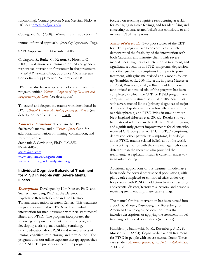functioning). Contact person: Nena Messina, Ph.D. at UCLA at nmessina@ucla.edu

Covington, S. (2008). Women and addiction: A

trauma-informed approach*. Journal of Psychoactive Drugs*,

SARC Supplement 5, November 2008.

Covington, S., Burke, C., Keaton, S., Norcott, C. (2008). Evaluation of a trauma-informed and genderresponsive intervention for women in drug treatment. *Journal of Psychoactive Drugs*, Substance Abuse Research Consortium Supplement 5, November 2008.

HWR has also been adapted for adolescent girls in a program entitled *Voices: A Program of Self-Discovery and Empowerment for Girls.* (see description)

To extend and deepen the trauma work introduced in HWR, *Beyond Trauma: A Healing Journey for Women* (see description) can be used with HWR.

**Contact Information:**To obtain the HWR

facilitator's manual and a *Woman's Journal* and for additional information on training, consultation, and research, contact: Stephanie S. Covington, Ph.D., L.C.S.W. 858-454-8528 sscird@aol.com www.stephaniecovington.com www.centerforgenderandjustice.org.

## **Individual Cognitive-Behavioral Treatment for PTSD in People with Severe Mental Illness**

**Description:**Developed by Kim Mueser, Ph.D. and Stanley Rosenberg, Ph.D. at the Dartmouth Psychiatric Research Center and the Dartmouth Trauma Intervention Research Center. This treatment program is a manualized 12-16 week individual intervention for men or women with persistent mental illness and PTSD. The program incorporates the following components: orientation to the program, developing a crisis plan, breathing retraining, psychoeducation about PTSD and related effects of trauma, cognitive restructuring, and termination. The program does not utilize exposure therapy approaches for PTSD. The preponderance of the program is

focused on teaching cognitive restructuring as a skill for managing negative feelings, and for identifying and correcting trauma-related beliefs that contribute to and maintain PTSD symptoms.

**Status of Research:** Two pilot studies of the CBT for PTSD program have been completed which demonstrated the feasibility of the intervention with both Caucasian and minority clients with severe mental illness, high rates of retention in treatment, and significant reductions in PTSD symptoms, depression, and other psychiatric symptoms from pre- to posttreatment, with gains maintained at a 3-month followup (Hamblen et al., 2004; Lu et al., in press; Mueser et al., 2004; Rosenberg et al., 2004). In addition, one randomized controlled trial of the program has been completed, in which the CBT for PTSD program was compared with treatment as usual in 108 individuals with severe mental illness (primary diagnoses of major depression, bipolar disorder, schizoaffective disorder, or schizophrenia) and PTSD living in rural northern New England (Mueser et al.,2008,). Results showed high rates of retention in the CBT for PTSD program, and significantly greater improvements for clients who received CBT compared to TAU in PTSD symptoms, depression, other psychiatric symptoms, knowledge about PTSD, trauma-related beliefs about the world, and working alliance with the case manager (who was different than the therapist who provided the treatment). A replication study is currently underway in an urban setting.

Additional applications of this treatment model have been made for several other special populations, with pilot work completed or controlled trials under way for persons with PTSD in addiction treatment settings, adolescents, disaster/terrorism survivors, and person's receiving treatment in primary care settings.

The manual for this intervention has been turned into a book by Mueser, Rosenberg, and Rosenberg for American Psychological Association Press that includes descriptions of applying the treatment model to a range of special populations (see below).

Hamblen, J., Jankowski, M. K., Rosenberg, S. D., & Mueser, K. T. (2004). Cognitive-behavioral treatment for PTSD in people with severe mental illness: Three case studies. *American Journal of Psychiatric Rehabilitation, 7*, 147-170.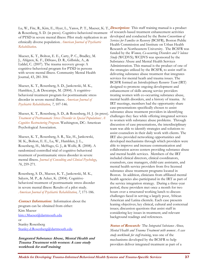Lu, W., Fite, R., Kim, E., Hyer, L., Yanos, P. T., Mueser, K. T., **Description:** This staff training manual is a product & Rosenberg, S. D. (in press). Cognitive-behavioral treatment of PTSD in severe mental illness: Pilot study replication in an ethnically diverse population. *American Journal of Psychiatric Rehabilitation*.

Mueser, K. T., Bolton, E. E., Carty, P. C., Bradley, M. J., Ahlgren, K. F., DiStaso, D. R., Gilbride, A., & Liddel, C. (2007). The trauma recovery group: A cognitive-behavioral program for PTSD in persons with severe mental illness. Community Mental Health Journal, 43, 281-304.

Mueser, K. T., Rosenberg, S. D., Jankowski, M. K., Hamblen, J., & Descamps, M. (2004). A cognitivebehavioral treatment program for posttraumatic stress disorder in severe mental illness. *American Journal of Psychiatric Rehabilitation, 7*, 107-146.

Mueser, K. T., Rosenberg, S. D., & Rosenberg, H. J. (in press). *Treatment of Posttraumatic Stress Disorder in Special Populations: A Cognitive Restructuring Program*. Washington, DC: American Psychological Association.

Mueser, K. T., Rosenberg, S. R., Xie, H., Jankowski, M. K., Bolton, E. E., Lu, W., Hamblen, J. L., Rosenberg, H., McHugo, G. J., & Wolfe, R. (2008). A randomized controlled trial of cognitive-behavioral treatment of posttraumatic stress disorder in severe mental illness. *Journal of Consulting and Clinical Psychology*, *76*, 259-271.

Rosenberg, S. D., Mueser, K. T., Jankowski, M. K., Salyers, M. P., & Acker, K. (2004). Cognitivebehavioral treatment of posttraumatic stress disorder in severe mental illness: Results of a pilot study. *American Journal of Psychiatric Rehabilitation, 7*, 171-186.

**Contact Information:**Information about the program can be obtained from either: Kim Mueser kim.t.Mueser@dartmouth.edu or Stanley Rosenberg Stanley.d.Rosenberg@dartmouth.edu

**Integrated Substance Abuse, Mental Health and Trauma Treatment with women: A case study workbook for staff training** 

of research-based treatment enhancement activities developed and conducted by the *Boston Consortium of Services for Families in Recovery* (BCSFR)*,* Boston Public Health Commission and Institute on Urban Health Research at Northeastern University. The BCSFR was funded by the *Women, Co-occurring Disorders and Violence Study* (WCDVS); WCDVS was sponsored by the Substance Abuse and Mental Health Services Administration. This manual is the product of one of the strategies utilized by the BCSFR, to assist staff in delivering substance abuse treatment that integrates services for mental heath and trauma issues. The BCSFR formed an *Interdisciplinary Resource Team* (IRT) designed to promote ongoing development and enhancement of skills among service providers treating women with co-occurring substance abuse, mental health disorders, and a history of trauma. At IRT meetings, members had the opportunity share case-presentations specifically chosen to assist substance abuse treatment providers in identifying challenges they face while offering integrated services to women with substance abuse problems. Through discussion of case presentations, the interdisciplinary team was able to identify strategies and solutions to assist counselors in their daily work with clients. The IRT also provided networking opportunities and developed mechanisms through which providers were able to improve and increase communication and collaboration across centers providing substance abuse and mental health services. Members of the IRT included clinical directors, clinical coordinators, counselors, case managers, child-care assistants, and mental health service providers from five licensed substance abuse treatment programs located in Boston. In addition, clinicians from affiliated mental health agencies also participated in the IRT as part of the service integration strategy. During a three-year period, these providers met once a month for two hours over a structured working lunch to discuss challenges faced in serving a largely poor, African American and Latina clientele. Each case presents leaning objectives; key clinical, cultural and contextual issues; discussion questions that assist staff in considering key issues in treatment; and relevant background readings and references.

**Status of Research:**The *Integrated Substance Abuse, Mental Health and Trauma Treatment with women: A case study workbook for staff-training*, was one of the mechanisms developed by the BCSFR to help providers deliver integrated treatment as part of a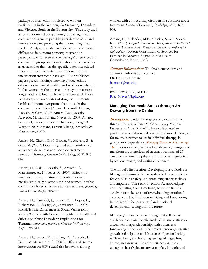package of interventions offered to women participating in the Women, Co-Occurring Disorders and Violence Study in the Boston site. The study used a non-randomized comparison group design with comparison agencies providing services as usual and intervention sites providing the trauma integrated model. Analyses to date have focused on the overall differences in outcomes among intervention participants who received the 'package' of services and comparison group participants who received services as usual rather than on the specific outcomes related to exposure to this particular component of the intervention treatment 'package.' Four published papers present findings showing a) race/ethnic differences in clinical profiles and services needs and b) that women in the intervention stay in treatment longer and at follow-up, have lower sexual HIV risk behaviors, and lower rates of drug use and mental health and trauma symptoms than those in the comparison condition (Amaro, Chernoff, Brown, Arévalo, & Gatz, 2007; Amaro, Dai, Arévalo, Acevedo, Matsumoto and Nieves, R., 2007; Amaro, Gampbel, Larson, Lopez, Richardson, Savage, & Wagner, 2005; Amaro, Larson, Zhang, Acevedo, & Matsumoto, 2007).

Amaro, H., Chernoff, M., Brown, V., Arévalo, S., & Gatz, M. (2007). Does integrated trauma-informed substance abuse treatment increase treatment retention? *Journal of Community Psychology,* 35(7), 845- 862.

Amaro, H., Dai, J., Arévalo, S., Acevedo, A., Matsumoto, A., & Nieves, R. (2007). Effects of integrated trauma treatment on outcomes in a racially/ethnically diverse sample of women in urban community-based substance abuse treatment. *Journal of Urban Health*, 84(4), 508-522.

Amaro, H., Gampbel, J., Larson, M. J., Lopez, L., Richardson, R., Savage, A., & Wagner, D., 2005. Racial/Ethnic Differences in Social Vulnerability among Women with Co-occurring Mental Health and Substance Abuse Disorders: Implications for Treatment Services. *Journal of Community Psychology,*  33(4), 495-511*.* 

Amaro, H., Larson, M. J., Zhang, A., Acevedo, D., Dai, J., & Matsumoto, A. (2007). Effects of trauma intervention on HIV sexual risk behaviors among

women with co-occurring disorders in substance abuse treatment. *Journal of Community Psychology*, 35(7), 895- 908.

Amaro, H., Melendez, M.P., Melnick, S., and Nieves, R.L. (2005). *Integrated Substance Abuse, Mental Health and Trauma Treatment with Women: A case study workbook for staff training.* Boston Consortium of Services for Families in Recover, Boston Public Health Commission, Boston, MA.

**Contact Information:**To obtain curriculum and additional information, contact: Dr. Hortensia Amaro h.amaro@neu.edu or Rita Nieves, R.N., M.P.H. Rita\_Nieves@bphc.org

## **Managing Traumatic Stress through Art: Drawing from the Center**

**Description:** Under the auspices of Sidran Institute, three art therapists, Barry M. Cohen, Mary-Michola Barnes, and Anita B. Rankin, have collaborated to produce this workbook style manual and model. Designed for trauma survivors to use in individual therapy, in groups, or independently, *Managing Traumatic Stress through Art* introduces inventive ways to understand, manage, and transform the aftereffects of trauma. It consists of 26 carefully structured step-by-step art projects, augmented by tear out images, and writing experiences.

The model's first section, Developing Basic Tools for Managing Traumatic Stress, is devoted to art projects for establishing safety and containing strong feelings and impulses. The second section, Acknowledging and Regulating Your Emotions, helps the trauma survivor to make sense of overwhelming emotional experiences. The final section, Being and Functioning in the World, focuses on self and relational development, leading into the future.

Managing Traumatic Stress through Art will inspire survivors to explore the aftermath of traumatic stress as it affects self-image, relationships with others, and functioning in the world. The projects encourage creative growth and help to establish a sense of personal safety, while exploring and honoring feelings of anger, fear, shame, and sadness. The art experiences are broad enough to be of value to survivors of a wide variety of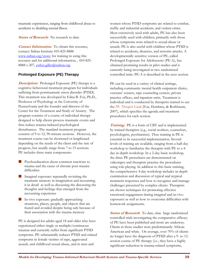traumatic experiences, ranging from childhood abuse to accidents to disabling mental illness.

**Status of Research:** No research to date.

**Contact Information:**To obtain this resource, contact: Sidran Institute 410-825-8888 www.sidran.org/store; for training in using this resource and for additional information, , 410-825- 8888 x 207, esther.giller@sidran.org

# **Prolonged Exposure (PE) Therapy**

.

**Description:** Prolonged Exposure (PE) therapy is a cognitive-behavioral treatment program for individuals suffering from posttraumatic stress disorder (PTSD). This treatment was developed by Edna B. Foa, Ph.D., Professor of Psychology at the University of Pennsylvania and the founder and director of the Center for the Treatment and Study of Anxiety. The program consists of a course of individual therapy designed to help clients process traumatic events and thus reduce trauma-induced psychological disturbances. The standard treatment program consists of 9 to 12, 90-minute sessions. However, the treatment course can be shortened or lengthened depending on the needs of the client and the rate of progress, but usually range from 7 to 15 sessions. PE includes three main components:

- Psychoeducation about common reactions to trauma and the cause of chronic post-trauma difficulties
- Imaginal exposure: repeatedly revisiting the traumatic memory in imagination and recounting it in detail as well as discussing the discussing the thoughts and feelings that emerged from the recounting experience
- In-vivo exposure: gradually approaching situations, places, people, and objects that are feared and avoided despite being safe because of their association with the trauma memory

PE is designed for adults aged 18 and older who have experienced either single or multiple/continuous traumas and currently suffer from significant PTSD symptoms. PE substantially reduces PTSD and related symptoms in female victims of rape, aggravated assault, and childhood sexual abuse, and in men and

women whose PTSD symptoms are related to combat, traffic and industrial accidents, and violent crime. Most extensively used with adults, PE has also been successfully used with children, primarily with those whose symptoms were related to sexual abuse or assault. PE is also useful with children whose PTSD is related to accidents, disasters, and terrorist attacks. A developmentally sensitive version of PE, called Prolonged Exposure for Adolescents (PE-A), has obtained promising results in pilot studies and is currently being investigated in two randomized controlled trials. PE-A is described in the next section.

PE can be used in a variety of clinical settings, including community mental health outpatient clinics, veterans' centers, rape counseling centers, private practice offices, and inpatient units. Treatment is individual and is conducted by therapists trained to use the *PE Therapist Guide* (Foa, Hembree, & Rothbaum, 2007), which specifies the agenda and treatment procedures for each session.

**Training:** PE is a form of CBT and is implemented by trained therapists (e.g., social workers, counselors, psychologists, psychiatrists). Thus training in PE is essential to its successful implementation. Several levels of training are available, ranging from a half-day workshop to familiarize the therapist with PE to a 4 day in-depth workshop. In a 2-day basic workshop, the three PE procedures are demonstrated on videotapes and therapists practice the procedures using role-playing. In addition to this basic training, the comprehensive 4-day workshop includes in-depth examination and discussion of typical and atypical treatment responses and how to recognize and manage challenges presented by complex clients. Therapists are shown techniques for promoting effective emotional engagement during imaginal and in-vivo exposures as well as how to overcome difficulties with homework assignments.

**Status of Research:** To date, nine large randomized controlled trials investigating the comparative efficacy of PE have been published and more are underway. Clients in these studies were predominantly African American and white. On average, over 70% of clients no longer have the diagnosis of PTSD after a 9- to 12 session course of PE therapy (i.e., they have a highly significant reduction in trauma-related symptoms,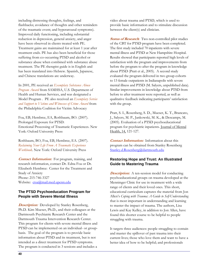including distressing thoughts, feelings, and flashbacks; avoidance of thoughts and other reminders of the traumatic event; and hyperarousal symptoms). Improved daily functioning, including substantial reduction in depression, general anxiety, and anger have been observed in clients treated with PE. Treatment gains are maintained for at least 1 year after treatment ends. PE has also been beneficial for those suffering from co-occurring PTSD and alcohol or substance abuse when combined with substance abuse treatment. The PE therapist guide is in English and has been translated into Hebrew. Spanish, Japanese, and Chinese translations are underway.

In 2001, PE received an *Exemplary Substance Abuse Program Award* from SAMHSA, U.S. Department of Health and Human Services, and was designated a Model Program . PE also received an *Exemplary Service and Support to Victims and Witnesses of Crime Award* from the Philadelphia Coalition for Victim Advocacy

Foa, EB, Hembree, EA, Rothbaum, BO. (2007). Prolonged Exposure for PTSD: Emotional Processing of Traumatic Experiences. New York: Oxford University Press

Rothbaum, BO, Foa, EB, Hembree, EA. (2007). *Reclaiming Your Life From A Traumatic Experience Workbook*. New York: Oxford University Press

**Contact Information:** For program, training, and research information, contact Dr. Edna Foa or Dr. Elizabeth Hembree: Center for the Treatment and Study of Anxiety Phone: 215-746-3327 Website: ctsa@mail.med.upenn.edu

### **The PTSD Psychoeducation Program for People with Severe Mental Illness**

*Description:* Developed by Stanley Rosenberg, Ph.D. Kim Mueser, Ph.D., and their colleagues at the Dartmouth Psychiatric Research Center and the Dartmouth Trauma Intervention Research Center. This program for clients with severe mental illness and PTSD can be implemented on an individual- or groupbasis. The goal of the program is to provide basic information about PTSD and its treatment, but is not intended as a direct treatment for PTSD symptoms. The program is conducted in 3 sessions and includes a

video about trauma and PTSD, which is used to provide basic information and to stimulate discussion between the client(s) and clinician.

**Status of Research**: Two non-controlled pilot studies of the CBT for PTSD program have been completed. The first study included 70 inpatients with severe mental illness and PTSD at New Hampshire Hospital. Results showed that participants reported high levels of satisfaction with the program and improvements from before the program to after the program in knowledge about PTSD (Pratt et al., 2005). A second study evaluated the program delivered in two group cohorts to 13 female outpatients in Indianapolis with severe mental illness and PTSD (M. Salyers, unpublished data). Similar improvements in knowledge about PTSD from before to after treatment were reported, as well as qualitative feedback indicating participants' satisfaction with the group.

Pratt, S. I., Rosenberg, S. D., Mueser, K. T., Brancato, J., Salyers, M. P., Jankowski, M. K., & Descamps, M. (2005). Evaluation of a PTSD psychoeducational program for psychiatric inpatients. Journal of Mental Health, 14, 121-127.

**Contact Information:**Information about this program can be obtained from Stanley Rosenberg Stanley.d.Rosenberg@dartmouth.edu

## **Restoring Hope and Trust: An Illustrated Guide to Mastering Trauma**

**Description:** A ten-session model for conducting psychoeducational groups on trauma developed at the Menninger Clinic for use in treatment with a wide range of clients and their loved ones. This short, educational curriculum captures the material from Jon Allen's *Coping with Trauma: A Guide to Self-Understanding*  that is most important in understanding and learning to master the impact of trauma. The authors, Lisa Lewis and Kay Kelley, in addition to Jon Allen, have found this shorter course to be helpful to people struggling with trauma.

It targets three audiences: people struggling to contain and master the spillover of past trauma into their current lives; those who love them and want to have a better idea of how to be helpful; and professionals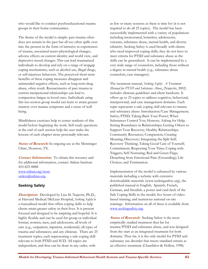who would like to conduct psychoeducational trauma groups in their home communities.

The theme of the model is simple: past trauma often does not remain in the past but all too often spills over into the present in the form of intrusive re-experiences of trauma, associated neuro-physiological changes, adverse effects on current identity and world view, and depressive mood changes. This can lead traumatized individuals to develop and rely on a range of stopgap coping mechanisms, such as alcohol use, illegal drugs, or self-injurious behaviors. The perceived short-term benefits of these coping measures disappear and unintended negative effects, such as long-term drug abuse, often result*.* Reenactments of past trauma in current interpersonal relationships can lead to compassion fatigue in loved ones. Individuals using this ten-session group model can learn to attain greater mastery over trauma symptoms and a sense of well being.

Mindfulness exercises help to center students of this model before beginning the work. Self-study questions at the end of each section help the user make the lessons of each chapter more personally relevant.

**Status of Research:** In ongoing use at the Menninger Clinic, Houston, TX.

**Contact Information:**To obtain this resource and for additional information, contact: Sidran Institute 410-825-8888 www.sidran.org/store orders@sidran.org.

### **Seeking Safety**

**Description:** Developed by Lisa M. Najavits, Ph.D., at Harvard Medical/McLean Hospital, *Seeking Safety* is a manualized model that offers coping skills to help clients attain greater safety in their lives. It is present focused and designed to be inspiring and hopeful. It is highly flexible and can be used for group or individual format; women, men, and adolescents; all levels of care (e.g., outpatient, inpatient, residential); all types of trauma and substances; and any clinician. There are 25 treatment topics, each representing a safe coping skill relevant to both PTSD and SUD. All topics are independent, and thus can be done in any order, with

as few or many sessions as there is time for (it is not required to do all 25 topics). The model has been successfully implemented with a variety of populations including incarcerated, homeless, adolescents, veterans, substance abuse, mental health, and diverse ethnicity. Seeking Safety is used broadly with clients who need improved coping skills; they do not have to meet criteria for PTSD and substance abuse as the skills can be generalized. It can be implemented by a very wide range of counselors, including those without a degree in mental health (e.g., substance abuse counselors, case managers).

The treatment manual, *Seeking Safety: A Treatment Manual for PTSD and Substance Abuse*, (Najavits, 2002) includes clinician guidelines and client handouts. It offers up to 25 topics to address cognitive, behavioral, interpersonal, and case management domains. Each topic represents a safe coping skill relevant to trauma and substance abuse: Introduction/Case Management; Safety; PTSD; Taking Back Your Power; When Substances Control You; Honesty; Asking for Help; Setting Boundaries in Relationships; Getting Others to Support Your Recovery; Healthy Relationships; Community Resources; Compassion; Creating Meaning; Discovery; Integrating the Split Self; Recovery Thinking; Taking Good Care of Yourself; Commitment; Respecting Your Time; Coping with Triggers; Self-Nurturing; Red and Green Flags; Detaching from Emotional Pain (Grounding); Life Choices; and Termination.

Implementation of the model is enhanced by various materials including a website with extensive downloadable materials (www.seekingsafety.org), the published manual in English, Spanish, French, German, and Swedish; a poster and card deck of the Safe Coping Skills in the model; five hours of videobased training; and numerous national on-site trainings. Information on all of these is available from www.seekingsafety.org.

**Status of Research:** Seeking Safety is the most empirically studied treatment thus far for trauma/PTSD and substance abuse, and was designed from the start as an integrated treatment for both domains. Thus far, it is the only model for PTSD and substance use disorder that meets standard criteria as an effective treatment (Chambless & Hollon, 1998;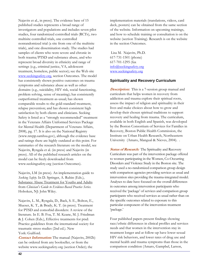Najavits et al., in press). The evidence base of 15 published studies represents a broad range of investigators and populations and includes seven pilot studies, four randomized controlled trials (RCTs), two multisite controlled trials, one controlled nonrandomized trial (a site from one of the multisite trials), and one dissemination study. The studies had samples of clients who were severe and chronic in both trauma/PTSD and substance abuse, and who represent broad diversity in ethnicity and range of settings (e.g., criminal justice, VA, adolescent treatment, homeless, public sector); see the Web site www.seekingsafety.org, section Outcomes. The model has consistently shown positive outcomes on trauma symptoms and substance abuse as well as other domains (e.g., suicidality, HIV risk, social functioning, problem solving, sense of meaning); has consistently outperformed treatment-as-usual; has shown comparable results to the gold-standard treatment, relapse prevention; and has shown consistent high satisfaction by both clients and clinicians. Seeking Safety is listed as a "strongly recommended" treatment in the Veterans Affairs Uniformed Services Package for Mental Health (Department of Veterans Affairs, 2008), pg. 17. It is also on the National Registry (www.nrepp.samhsa.gov), although the evidence base and ratings there are highly outdated at this point. For summaries of the research literature on the model, see Najavits, Ryngala et al. (in press) and Najavits (in press). All of the published research articles on the model can be freely downloaded from www.seekingsafety.org (section Outcomes).

Najavits, LM (in press). An implementation guide to *Seeking Safety*. In D. Springer, A. Rubin (Eds.), Substance Abuse Treatment for Youths and Adults from *Clinician's Guide to Evidence-Based Practice Series.*  Hoboken, NJ: John Wiley.

Najavits, L. M., Ryngala, D., Back, S. E., Bolton, E., Mueser, K. T., & Brady, K. T. (in press). Treatment for PTSD and comorbid disorders: A review of the literature. In E. B. Foa, T. M. Keane, M. J. Friedman & J. Cohen (Eds.), Effective treatments for ptsd: Practice guidelines from the international society for traumatic stress studies (2nd ed.). New York: Guilford.

**Contact Information:** The manual (Najavits, 2002b) can be ordered from any bookseller, or from the website www.seekingsafety.org (section Order); the

implementation materials (translations, videos, card deck, posters) can be obtained from the same section of the website. Information on upcoming trainings, and how to schedule training or consultation is on the website (section Training). Research is on the website in the section Outcomes.

Lisa M. Najavits, Ph.D. 617-731-1501 (phone) 617-701-1295 (fax info@seekingsafety.org www.seekingsafety.org

#### **Spirituality and Recovery Curriculum**

**Description:** This is a 7-session group manual and curriculum that helps women in recovery from addiction and trauma explore their spiritual roots, assess the impact of religion and spirituality in their lives and make choices about how to grow and develop their chosen spiritual traditions to support recovery and healing from trauma. The curriculum, available in both English and Spanish, was developed by the Boston Consortium of Services for Families in Recovery, Boston Public Health Commission, the Institute on Urban Health Research, Northeastern University (Amaro, Mangual & Nieves, 2004). .

**Status of Research:** The Spirituality and Recovery Curriculum was part of the intervention package offered to women participating in the Women, Co-Occurring Disorders and Violence Study in the Boston site. The study used a no-randomized comparison group design with comparison agencies providing services as usual and intervention sites providing the trauma-integrated model. Analyses to date have focused on the overall differences in outcomes among intervention participants who received the 'package' of services and comparison group participants who received services as usual rather than on the specific outcomes related to exposure to this particular component of the intervention treatment 'package.'

Four published papers present findings showing race/ethnic differences in clinical profiles and services needs and that women in the intervention stay in treatment longer and at follow-up have lower sexual HIV risk behaviors, and lower rates of drug use and mental health and trauma symptoms than those in the comparison condition (Amaro, Gampbel, Larson,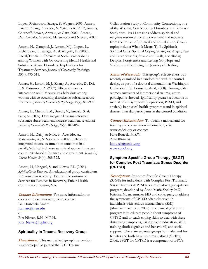Lopez, Richardson, Savage, & Wagner, 2005; Amaro, Larson, Zhang, Acevedo, & Matsumoto, 2007; Amaro, Chernoff, Brown, Arévalo, & Gatz, 2007; Amaro, Dai, Arévalo, Acevedo, Matsumoto and Nieves, 2007).

Amaro, H., Gampbel, J., Larson, M.J., Lopez, L., Richardson, R., Savage, A., & Wagner, D. (2005). Racial/Ethnic Differences in Social Vulnerability among Women with Co-occurring Mental Health and Substance Abuse Disorders: Implications for Treatment Services. *Journal of Community Psychology,*  33(4), 495-511*.* 

Amaro, H., Larson, M. J., Zhang, A., Acevedo, D., Dai, J., & Matsumoto, A. (2007). Effects of trauma intervention on HIV sexual risk behaviors among women with co-occurring disorders in substance abuse treatment. *Journal of Community Psychology*, 35(7), 895-908.

Amaro, H., Chernoff, M., Brown, V., Arévalo, S., & Gatz, M. (2007). Does integrated trauma-informed substance abuse treatment increase treatment retention? *Journal of Community Psychology*, 35(7), 845-862.

Amaro, H., Dai, J Arévalo, S., Acevedo, A., Matsumoto, A., & Nieves, R. (2007). Effects of integrated trauma treatment on outcomes in a racially/ethnically diverse sample of women in urban community-based substance abuse treatment. *Journal of Urban Health*, 84(4), 508-522.

Amaro, H, Mangual, S, and Nieves, RL. (2004). *Spirituality in Recovery:* An educational group curriculum for women in recovery. Boston Consortium of Services for Families in Recovery, Public Health Commission, Boston, MA.

**Contact Information:** For more information or copies of these materials, please contact Dr. Hortensia Amaro h.amaro@neu.edu or Rita Nieves, R.N., M.P.H., Rita\_Neives@bphc.org

### **Spirituality in Trauma Recovery Group**

**Description:** This manualized group intervention was developed as part of the D.C. Trauma

Collaboration Study at Community Connections, one of the Women, Co-Occurring Disorders, and Violence Study sites. Its 11 sessions address spiritual and religious resources for empowerment and recovery from the impact of physical and sexual abuse. Group topics include: What It Means To Be Spiritual; Spiritual Gifts; Spiritual Coping Strategies; Anger; Fear and Powerlessness; Shame and Guilt; Loneliness; Despair; Forgiveness and Letting Go; Hope and Vision; and Continuing the Journey of Healing.

**Status of Research:** This group's effectiveness was recently examined in a randomized wait-list control design, as part of a doctoral dissertation at Washington University in St. Louis(Bowland, 2008). Among older women survivors of interpersonal trauma, group participants showed significantly greater reductions in mental health symptoms (depression, PTSD, and anxiety); in physical health symptoms; and in spiritual distress than did participants in the control condition.

**Contact Information:**To obtain a manual and for training and consultation information, visit www.ccdc1.org or contact Kate Boucek, M.S.W. 202-608-4784 kboucek@ccdc1.org www.ccdc1.org

## **Symptom-Specific Group Therapy (SSGT) for Complex Post Traumatic Stress Disorder (CPTSD)**

**Description:**Symptom-Specific Group Therapy (SSGT) for individuals with Complex Post Traumatic Stress Disorder (CPTSD) is a manualized, group-based program, developed by Anne-Marie Shelley PhD, Kristina Muenzenmaier MD and colleagues, to address the symptoms of CPTSD often observed in individuals with serious mental illness (SMI) (Muenzenmaier et al, 2005). The clinical goal of the program is to educate people about symptoms of CPTSD and to teach coping skills to deal with these distressing symptoms, using psycho-education, skills training (both cognitive and behavioral) and social support. There are separate groups for males and for females and both have been manualized (Shelley, 2006). SSGT for CPTSD is a component of BPC's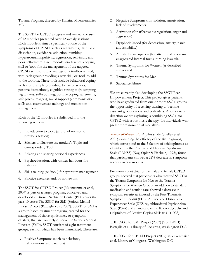Trauma Program, directed by Kristina Muenzenmaier MD.

The SSGT for CPTSD program and manual consists of 12 modules presented over 12 weekly sessions. Each module is aimed specifically at one of the symptoms of CPTSD, such as nightmares, flashbacks, dissociation, avoidance, addiction, numbing, hyperarousal, impulsivity, aggression, self-injury and poor self-esteem. Each module also teaches a coping skill or 'tool' for the management of the targeted CPTSD symptom. The analogy of a toolbox is used, with each group providing a new skill, or 'tool' to add to the toolbox. These tools include behavioral coping skills (for example grounding, behavior scripts, positive distractions), cognitive strategies (re-scripting nightmares, self-soothing, positive coping statements, safe places imagery), social support (communication skills and assertiveness training) and medication management.

Each of the 12 modules is subdivided into the following sections:

- 1. Introduction to topic (and brief revision of previous session)
- 2. Stickers to illustrate the module's Topic and corresponding Tool
- 3. Relating and sharing personal experiences.
- 4. Psychoeducation, with written handouts for patients
- 5. Skills training (or 'tool') for symptom management
- 6. Practice exercises and/or homework

The SSGT for CPTSD Project (Muenzenmaier et al, 2007) is part of a larger program, conceived and developed at Bronx Psychiatric Center (BPC) over the past 10 years: The SSGT for SMI (Serious Mental Illness) Project (Battaglia et al, 2007). SSGT for SMI is a group-based treatment program, created for the management of those syndromes, or symptom clusters, that are routinely observed in Serious Mental Illnesses (SMIs). SSGT consists of eight treatment groups, each of which has been manualized. These are:

1. Positive Symptoms (such as delusions, hallucinations and paranoia)

- 2. Negative Symptoms (for isolation, amotivation, lack of involvement)
- 3. Activation (for affective dysregulation, anger and aggression)
- 4. Dysphoric Mood (for depression, anxiety, panic and irritability)
- 5. Autistic Preoccupation (for attentional problems, exaggerated internal focus, turning inward).
- 6. Trauma Symptoms for Women (as described above) and
- 7. Trauma Symptoms for Men
- 8. Substance Abuse

We are currently also developing the SSGT Peer Empowerment Project. This project gives patients who have graduated from one or more SSGT groups the opportunity of receiving training to become assistant group leaders and co-leaders. Another new direction we are exploring is combining SSGT for CPTSD with art or music therapy, for individuals who prefer more non-verbal modalities.

**Status of Research:** A pilot study (Shelley et al, 2001) examining the efficacy of the first 5 groups, which correspond to the 5 factors of schizophrenia as identified by the Positive and Negative Syndrome Scale (PANSS) (Kay, Opler & Fiszbein, 1992), found that participants showed a 22% decrease in symptom severity over 6 months.

Preliminary pilot data for the male and female CPTSD groups, showed that participants who received SSGT in the Trauma Symptoms for Men or the Trauma Symptoms for Women Groups, in addition to standard medication and routine care, showed a decrease in symptom severity as indexed by the Post-Traumatic Symptom Checklist (PCL), Abbreviated Dissociative Experiences Scale (DES-A), Abbreviated Psychoticism Scale (PS-A) and an increase in the Knowledge, Use and Helpfulness of Positive Coping Skills (KUH-PCS).

THE SSGT for SMI Project (2007) (Vol. I-VIII) Battaglia et al. Library of Congress, Washington D.C.

THE SSGT for CPTSD Project (2007) Muenzenmaier et al. Library of Congress, Washington D.C.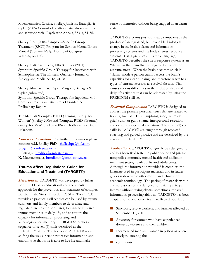Muenzenmaier, Castille, Shelley, Jamison, Battaglia & Opler (2005) Comorbid posttraumatic stress disorder and schizophrenia. Psychiatric Annals, 35 (1), 51-56.

Shelley A.M. (2004) Symptom-Specific Group Treatment (SSGT) Program for Serious Mental Illness Manual (Volume I-VI). Library of Congress, Washington D.C.

Shelley, Battaglia, Lucey, Ellis & Opler (2001) Symptom-Specific Group Therapy for Inpatients with Schizophrenia. The Einstein Quarterly Journal of Biology and Medicine, 18, 21-28.

Shelley, Muenzenmaier, Spei, Margolis, Battaglia & Opler (submitted) Symptom-Specific Group Therapy for Inpatients with Complex Post Traumatic Stress Disorder: A Preliminary Report

The Manuals 'Complex PTSD (Trauma) Group for Women' (Shelley 2006) and 'Complex PTSD (Trauma) Group for Men' (Shelley 2006) are both available from Lulu.com.

**Contact Information:** For further information please contact: A.M. Shelley PhD, shelleybpc@aol.com, brpgams@omh.state.ny.us J. Battaglia, brcdjbb@omh.state.ny.us K. Muenzenmaier, brmdkmm@omh.state.ny.us

## **Trauma Affect Regulation: Guide for Education and Treatment (TARGET©)**

*Description:* TARGET© was developed by Julian Ford, Ph.D., as an educational and therapeutic approach for the prevention and treatment of complex Posttraumatic Stress Disorder (PTSD). TARGET© provides a practical skill set that can be used by trauma survivors and family members to de-escalate and regulate extreme emotion states, to manage intrusive trauma memories in daily life, and to restore the capacity for information processing and autobiographical memory. TARGET© teaches a sequence of seven (7) skills described as the FREEDOM steps. The focus in TARGET© is on shifting the way a person processes information and emotions so that s/he is able to live life and make

sense of memories without being trapped in an alarm state.

TARGET© explains post-traumatic symptoms as the product of an ingrained, but reversible, biological change in the brain's alarm and information processing systems and the body's stress response systems. Using graphics and simple language, TARGET© describes the stress response system as an "alarm" in the brain that is triggered by trauma or extreme stress. When the brain becomes stuck in "alarm" mode a person cannot access the brain's capacities for clear thinking, and therefore reacts to all types of current stressors as survival threats. This causes serious difficulties in their relationships and daily life activities that can be addressed by using the FREEDOM skill set.

**Essential Components:** TARGET© is designed to address the primary personal issues that are related to trauma, such as PTSD symptoms, rage, traumatic grief, survivor guilt, shame, interpersonal rejection, and existential/spiritual alienation. The seven (7) core skills in TARGET© are taught through repeated coaching and guided practice and are described by the acronym, FREEDOM.

**Applications:** TARGET© originally was designed for and has been field tested in public sector and private nonprofit community mental health and addiction treatment settings with adults and adolescents. Although the information provided is complex, the language used in participant materials and in leader guides is down-to-earth rather than technical or academic terminology. The pacing of materials within and across sessions is designed to sustain participant interest without taxing clients' sometimes impaired information processing abilities. TARGET© has been adapted for several other trauma-affected populations:

- Survivors, rescue workers, and families affected by September 11, 2001
- Advocacy for women who have experienced domestic violence and their children
- Incarcerated men and women in prison or when newly re-entering the
- **community**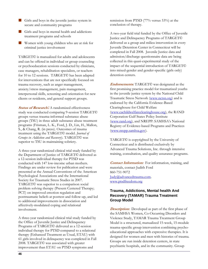- Girls and boys in the juvenile justice system in secure and community programs
- Girls and boys in mental health and addictions treatment programs and schools
- Women with young children who are at risk for criminal justice involvement

TARGET© is manualized for adults and adolescents and can be offered in individual or group counseling or psychoeducation sessions conducted by clinicians, case managers, rehabilitation specialists, or teachers for 10 to 12 sessions. TARGET© has been adapted for interventions that are not specifically focused on trauma recovery, such as anger management, anxiety/stress management, pain management, interpersonal skills, screening and orientation for new clients or residents, and general support groups.

**Status of Research***:*A randomized effectiveness study was conducted comparing 9-session TARGET© groups versus trauma-informed substance abuse groups (TSU) in three adult substance abuse treatment programs (Frisman, L. K., Ford, J. D., Lin, H., Mallon, S., & Chang, R. (in press). Outcomes of trauma treatment using the TARGET© model. *Journal of Groups in Addiction and Recovery*). TARGET© was superior to TSU in maintaining sobriety.

A three-year randomized clinical trial study funded by the Department of Justice of TARGET© delivered as a 12-session individual therapy for PTSD was conducted with 147 low-income urban mothers. Findings are under review for publication and were presented at the Annual Conventions of the American Psychological Associations and the International Society for Traumatic Stress Studies in 2007. TARGET© was superior to a comparison social problem solving therapy (Present Centered Therapy; PCT) on improved emotion regulation and posttraumatic beliefs at posttest and follow-up, and led to additional improvements in dissociation and affectively-modulated coping and relational involvement.

A three-year randomized clinical trial study funded by the Office of Juvenile Justice and Delinquency Programs of TARGET© delivered as a 12-session individual therapy for PTSD compared to a relational therapy (Enhanced Treatment as Usual, ETAU) with 61 girls involved in delinquency was completed in Fall 2008. TARGET© was associated with greater improvement than ETAU on PTSD symptoms and

remission from PTSD (77% versus 53%) at the conclusion of therapy.

A two-year field trial funded by the Office of Juvenile Justice and Delinquency Programs of TARGET© delivered as a group and milieu intervention in every Juvenile Detention Center in Connecticut will be completed in Fall 2008. Juvenile Justice data and admission/discharge questionnaire data are being collected in this quasi-experimental study of the impact of the sequential introduction of TARGET© into mixed-gender and gender-specific (girls only) detention centers.

**Endorsements**: TARGET© was designated as the first promising practice model for traumatized youths in the juvenile justice system by the National Child Traumatic Stress Network (www.nctsn.org) and is endorsed by the California Evidence-Based Clearinghouse for Child Welfare (www.cachildwelfareclearinghouse.org), the RAND Corporation Gulf States Policy Institute (www.rand.org), and NREPP: SAMHSA's National Registry of Evidence-based Programs and Practices (www.nrepp.samhsa.gov).

TARGET© is copyrighted by the University of Connecticut and is distributed exclusively by Advanced Trauma Solutions, Inc. through intensive training, consultation, and quality assurance programs.

**Contact Information:** For information, training, and materials, contact Judith Ford 860-751-9072 Judy@advancedtrauma.com. www.ptsdfreedom.org

## **Trauma, Addictions, Mental health And Recovery (TAMAR) Trauma Treatment Group Model**

**Description:** Developed as part of the first phase of the SAMHSA Women, Co-Occurring Disorders and Violence Study, TAMAR Trauma Treatment Group Model is a structured, manualized 15-week, 15-module trauma-specific group intervention combining psychoeducational approaches with expressive therapies. It is designed for women and men with histories of trauma. Groups are run inside detention centers, in state psychiatric hospitals, and in the community. Group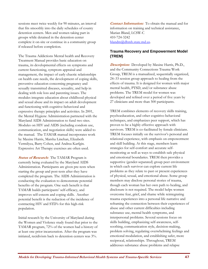sessions meet twice weekly for 90 minutes, an interval that fits smoothly into the daily schedules of county detention centers. Men and women taking part in groups while detained in the detention center complete it on-site or continue in a community group if released before completion.

The Trauma Addictions Mental health and Recovery Treatment Manual provides basic education on trauma, its developmental effects on symptoms and current functioning, symptom appraisal and management, the impact of early chaotic relationships on health care needs, the development of coping skills, preventive education concerning pregnancy and sexually transmitted diseases, sexuality, and help in dealing with role loss and parenting issues. The modules integrate education about childhood physical and sexual abuse and its impact on adult development and functioning with cognitive-behavioral and expressive therapy principles and activities. In 2001, the Mental Hygiene Administration partnered with the Maryland AIDS Administration to fund two sites. Modules on HIV and AIDS (including condom use, communication, and negotiation skills) were added to the manual. The TAMAR manual incorporates work by Maxine Harris, Marsha Linehan, Elizabeth Vermilyea, Barry Cohen, and Andrea Karfgin. Expressive Art Therapy exercises are often used.

**Status of Research:**The TAMAR Program is currently being evaluated by the Maryland AIDS Administration. Participants are given pre-tests when starting the group and post-tests after they have completed the program. The AIDS Administration is conducting the evaluation to demonstrate potential benefits of the program. One such benefit is that TAMAR builds participants' self-efficacy, and improves self-esteem and coping skills. Another potential benefit is the reduction of the incidence of contracting HIV and STD's for this high-risk population.

Initial research by the University of Maryland during the Women and Violence study found that prior to the TAMAR program, 72% of the women had a history of at least one prior incarceration. After the program was initiated, recidivism back to detention centers was 3%.

**Contact Information:**To obtain the manual and for information on training and technical assistance, Marian Bland, LCSW-C 410-724-3242 blandm@dhmh.state.md.us.

### **Trauma Recovery and Empowerment Model (TREM)**

**Description:**Developed by Maxine Harris, Ph.D., and the Community Connections Trauma Work Group, TREM is a manualized, sequentially organized, 24–33 session group approach to healing from the effects of trauma. It is designed for women with major mental health, PTSD, and/or substance abuse problems. The TREM model for women was developed and refined over a period of five years by 27 clinicians and more than 500 participants.

TREM combines elements of recovery skills training, psychoeducation, and other cognitive-behavioral techniques, and emphasizes peer support, which has proven to be a highly effective approach with survivors. TREM is co-facilitated by female clinicians. TREM focuses initially on the survivor's personal and relational experience, with emphasis on empowerment and skill building. At this stage, members learn strategies for self-comfort and accurate selfmonitoring as well as ways to establish safe physical and emotional boundaries. TREM then provides a supportive (gender-separated) group peer environment in which each survivor can explore current life problems as they relate to past or present experiences of physical, sexual, and emotional abuse. Some group members may disclose personal stories of trauma, though each woman has her own path to healing, and disclosure is not required. The model helps women overcome fear, grief, and shame while reintegrating trauma experiences into a personal life narrative and reframing the connection between their experiences of abuse and other current difficulties including substance use, mental health symptoms, and interpersonal problems. Several sessions focus on skills building, emphasizing self-awareness, selfsoothing, communication style, decision-making, problem solving, regulating overwhelming feelings and emotional modulation, and establishing safer, more reciprocal, relationships. Throughout, TREM addresses substance abuse problems and relapse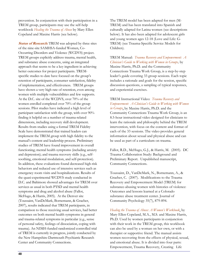prevention. In conjunction with their participation in a TREM group, participants may use the self-help workbook *Healing the Trauma of Abuse* by Mary Ellen Copeland and Maxine Harris (see below).

**Status of Research:** TREM was adopted by three sites of the nine-site SAMHSA-funded Women, Co-Occurring Disorders and Violence (WCDVS) project. TREM groups explicitly address trauma, mental health, and substance abuse concerns, using an integrated approach that seems to be a key ingredient in achieving better outcomes for project participants. TREMspecific studies to date have focused on the group's retention of participants, consumer satisfaction, fidelity of implementation, and effectiveness. TREM groups have shown a very high rate of retention, even among women with multiple vulnerabilities and few supports. At the D.C. site of the WCDVS, over 70% of the women enrolled completed over 70% of the group sessions. Pilot studies have indicated a high level of participant satisfaction with the group, with over 90% finding it helpful on a number of trauma-related dimensions, including recovery skill development. Results from studies using a formal TREM Fidelity Scale have demonstrated that trained leaders can implement the TREM group with high fidelity to the manual's content and leadership process. Preliminary studies of TREM have found improvement in overall functioning; mental health symptoms (including anxiety and depression); and trauma recovery skills (e.g., selfsoothing, emotional modulation, and self-protection). In addition, these evaluations found decreased high-risk behaviors and reduced use of intensive services such as emergency room visits and hospitalizations. Results of the quasi-experimental WCDVS study conducted in D.C. and Baltimore showed advantages for TREM over services as usual in both PTSD and mental health symptoms and drug and alcohol abuse (Fallot, McHugo, & Harris, 2005). At the Denver site (Toussaint, VanDeMark, Bornemann, & Graeber, 2007), results indicated that TREM participants, in comparison to those receiving usual services, had better outcomes on both mental health symptoms in general and trauma-related symptoms in particular (e.g., sense of personal safety, feelings of dissociation, coping with trauma). An NIMH-funded randomized controlled trial of TREM is currently in progress, jointly conducted by the New Hampshire-Dartmouth Psychiatric Research Center and Community Connections.

The TREM model has been adapted for men (M-TREM) and has been translated into Spanish and culturally adapted for Latina women (see descriptions below). It has also been adapted for adolescent girls and young women ages 12-18 (Love and Life: G-TREM) (see Trauma-Specific Service Models for Children).

TREM Manual: *Trauma Recovery and Empowerment: A Clinician's Guide to Working with Women in Groups,* by Maxine Harris, Ph.D. and the Community Connections Trauma Work Group, is a step-by-step leader's guide covering 33 group sessions. Each topic includes a rationale and goals for the session, specific discussion questions, a sampling of typical responses, and experiential exercises.

TREM Instructional Video: *Trauma Recovery and Empowerment: A Clinician's Guide to Working with Women in Groups*, by Maxine Harris, Ph.D. and the Community Connections Trauma Work Group, is an 8.5-hour instructional video designed for clinicians to learn the rationale and philosophy behind the TREM intervention, with focus on the content and format of each of the 33 sessions. The video provides general information about sexual and physical abuse and can be used as part of a curriculum on trauma.

Fallot, R.D., McHugo, G.J., & Harris, M. (2005). DC Trauma Collaboration Study: Background and Preliminary Report. Unpublished manuscript, Community Connections.

Toussaint, D., VanDeMark, N., Bornemann, A., & Graeber, C. (2007). Modifications to the Trauma Recovery and Empowerment Model (TREM) for substance-abusing women with histories of violence: Outcomes and lessons learned at a Colorado substance abuse treatment center. Journal of Community Psychology 35(7), 879-894.

*Healing the Trauma of Abuse: A Women's Workbook*, by Mary Ellen Copeland, M.A., M.S. and Maxine Harris, Ph.D. Used by women participants in conjunction with their work in the TREM group, this workbook can also be used by a woman on her own, or with a therapist or supportive friend. The manual assists women recovering from the effects of physical, sexual, and emotional abuse. It is divided into four parts: Empowerment, Trauma Recovery, Creating Life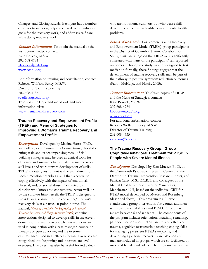Changes, and Closing Rituals. Each part has a number of topics to work on, helps women develop individual goals for the recovery work, and addresses self-care while doing recovery work.

**Contact Information:**To obtain the manual or the instructional video contact; Kate Boucek, M.S.W. 202-608-4784 kboucek@ccdc1.org www.ccdc1.org

For information on training and consultation, contact Rebecca Wolfson Berley, M.S.W. Director of Trauma Training 202-608-4735 rwolfson@ccdc1.org To obtain the Copeland workbook and more information, visit: www.mentalhealthrecovery.com

## **Trauma Recovery and Empowerment Profile (TREP) and Menu of Strategies for Improving a Woman's Trauma Recovery and Empowerment Profile**

**Description:**Developed by Maxine Harris, Ph.D., and colleagues at Community Connections., this skills rating scale and its accompanying menu of skill building strategies may be used as clinical tools for clinicians and survivors to evaluate trauma recovery skill levels and work toward development of skills. TREP is a rating instrument with eleven dimensions. Each dimension describes a skill that is central to coping effectively with the impact of emotional, physical, and/or sexual abuse. Completed by a clinician who knows the consumer/survivor well, or by the survivor him/herself, the TREP is designed to provide an assessment of the consumer/survivor's recovery skills at a particular point in time. The manual, *Menu of Strategies for Improving a Woman's Trauma Recovery and Empowerment Profile*, contains interventions designed to develop skills in the eleven domains of trauma recovery. The interventions are used in conjunction with a case manager, counselor, therapist or peer advocate, and are in some circumstances used in a self-help format. Exercises are categorized into beginning and intermediate level exercises. Exercises may also be useful for individuals

who are not trauma survivors but who desire skill development to deal with addictions or mental health problems.

**Status of Research:** For women Trauma Recovery and Empowerment Model (TREM) group participants in the District of Columbia Trauma Collaboration Study, clinician ratings on the TREP were significantly correlated with many of the participants' self-reported outcomes. Though the study was not designed to test mediation formally, these findings suggest that the development of trauma recovery skills may be part of the pathway to positive symptom reduction outcomes (Fallot, McHugo, and Harris, 2005).

**Contact Information:**To obtain copies of TREP and the Menu of Strategies, contact: Kate Boucek, M.S.W. 202-608-4784 kboucek@ccdc1.org www.ccdc1.org For additional information, contact Rebecca Wolfson Berley, M.S.W. Director of Trauma Training 202-608-4735 rwolfson@ccdc1.org

## **The Trauma Recovery Group: Group Cognitive-Behavioral Treatment for PTSD in People with Severe Mental Illness**

**Description:** Developed by Kim Mueser, Ph.D. at the Dartmouth Psychiatric Research Center and the Dartmouth Trauma Intervention Research Center, and Patricia Carty, M.S., C.C.B.T. and colleagues at the Mental Health Center of Greater Manchester, Manchester, NH, based on the individual CBT for PTSD model developed by Mueser and Rosenberg (described above). This program is a 21-week standardized group intervention for women and men with severe mental illness and PTSD. Group size ranges between 6 and 8 clients. The components of the program include: orientation, breathing retraining, psychoeducation about PTSD and related effects of trauma, cognitive restructuring, teaching coping skills for managing persistent PTSD symptoms, and developing a personal recovery plan. Women and men are included in groups, which are co-facilitated by male and female co-leaders. The program has been in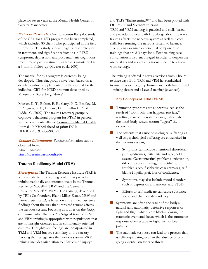place for seven years at the Mental Health Center of Greater Manchester.

**Status of Research:** One non-controlled pilot study of the CBT for PTSD program has been completed, which included 80 clients who participated in the first 11 groups. This study showed high rates of retention in treatment, and significant reductions in PTSD symptoms, depression, and post-traumatic cognitions from pre- to post-treatment, with gains maintained at a 3-month follow-up (Mueser et al., 2007).

The manual for this program is currently being developed. Thus far, groups have been based on a detailed outline, supplemented by the manual for the individual CBT for PTSD program developed by Mueser and Rosenberg (above).

Mueser, K. T., Bolton, E. E., Carty, P. C., Bradley, M. J., Ahlgren, K. F., DiStaso, D. R., Gilbride, A., & Liddel, C. (2007). The trauma recovery group: A cognitive-behavioral program for PTSD in persons with severe mental illness. Community Mental Health Journal. Published ahead of print: DOI: 10.1007/s10597-006-9075-2.

**Contact Information:**Further information can be obtained from: Kim T. Mueser kim.t.Mueser@dartmouth.edu

## **Trauma Resiliency Model (TRM)**

**Description:** The Trauma Resource Institute (TRI) is a non-profit trauma training center that provides training nationally and internationally in the Trauma Resiliency Model™ (TRM) and the Veterans Resiliency Model™ (VRM). The training, developed by TRI's Co-founders, Elaine Miller-Karas, MSW and Laurie Leitch, PhD, is based on current neuroscience findings about the way that untreated trauma affects the nervous system. Focusing as it does on the *biology* of trauma rather than the *psychology* of trauma TRM and VRM training is appropriate with populations that are not insight-oriented and in communally-oriented cultures. Thoughts and feelings are incorporated in TRM and VRM but are secondary to the sensory tracking that re-regulates the nervous system. VRM training includes orientation to "Battlemind injury"

and TRI's "Balancemind™" and has been piloted with OEF/OIF and Vietnam veterans. TRM and VRM training is practical and skills-based and provides trainees with knowledge about the ways trauma affects the nervous system as well as 6 core skills for returning the nervous system to balance. There is an extensive experiential component in trainings that are 2-3 days long. Post-training case consultation is also encouraged in order to deepen the use of skills and address questions specific to various work settings.

The training is offered in several versions from 4 hours to three days. Both TRM and VRM have individual treatment as well as group formats and both have a Level 1 training (basic) and a Level 2 training (advanced).

#### **1. Key Concepts of TRM/VRM:**

- Traumatic symptoms are conceptualized as the result of "too much, that happens too fast," resulting in nervous system dysregulation when the mind-body system cannot "digest" the experience.
- $\blacksquare$  The patterns that cause physiological suffering as well as psychological suffering are entrenched in the nervous system;
	- Symptoms can include attentional disorders, pain syndromes, irritability and rage, cold sweats, Gastrointestinal problems, exhaustion, difficulty concentrating, distractibility, troubled sleep, flashbacks & nightmares, selfblame & guilt, grief, loss of confidence.
	- Symptoms may also include mood disorders such as depression and anxiety, and PTSD.
	- Efforts to self-medicate can cause substance abuse and chemical dependency.
- Symptoms are often the result of the body's natural (and automatic) defensive responses of fight and flight which were blocked during the traumatic event and freeze which is the automatic response when escape or fight has not been possible.
- The traumatic response can lead to a process that is self-perpetuating even in the absence of ongoing external stressors or threat.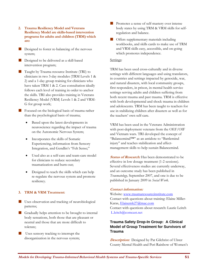- **2. Trauma Resiliency Model and Veterans Resiliency Model are skills-based intervention programs for adults and children (TRM) which are:**
- **Designed to foster re-balancing of the nervous** system;
- **Designed to be delivered as a skill-based** intervention program;
- **Taught by Trauma resource Institute (TRI) to** clinicians in two 3-day modules (TRM Levels 1 & 2) and a 1-day group training for clinicians who have taken TRM 1 & 2. Case consultation ideally follows each level of training in order to anchor the skills. TRI also provides training in Veterans Resiliency Model (VRM) Levels 1 & 2 and VRM-G for group work;
- Focused on the biological basis of trauma rather than the psychological basis of trauma;
	- Based upon the latest developments in neuroscience regarding the impact of trauma on the Autonomic Nervous System;
	- Incorporates the skills of Somatic Experiencing, information from Sensory Integration, and Gendlin's "Felt Sense;"
	- Used also as a self-care and team-care model for clinicians to reduce secondary traumatization and burn-out;
	- Designed to teach the skills which can help re-regulate the nervous system and promote resiliency.

### **3. TRM & VRM Treatment:**

- Uses observation and tracking of neurobiological patterns;
- Gradually helps attention to be brought to internal body sensations, both those that are pleasant or neutral and those that are more difficult to tolerate;
- Uses sensory tracking to interrupt the disorganization in the nervous system;
- **Promotes a sense of self-mastery over intense** body states by using TRM & VRM skills for selfregulation and balance.
- **Offers supplementary materials including** workbooks, and skills cards to make use of TRM and VRM skills easy, accessible, and on-going which promotes independence.

#### Settings:

TRM has been used cross-culturally and in diverse settings with different languages and using translators, in countries and settings impacted by genocide, war, and natural disasters, with local community groups, first responders, in prison, in mental health service settings serving adults and children suffering from both recent trauma and past trauma. TRM is effective with both developmental and shock trauma in children and adolescents. TRM has been taught to teachers for use in stabilizing children after disasters as well as for the teachers' own self-care.

VRM has been used in the Veterans Administration with post-deployment veterans from the OEF/OIF and Vietnam wars. TRI developed the concept of "Balancemind™" as an antidote to "Battlemind injury" and teaches stabilization and affectmanagement skills to help sustain Balancemind.

**Status of Research:** Has been demonstrated to be effective in low dosage treatment (1-2 sessions). Several effectiveness studies are currently underway, and an outcome study has been published in *Traumatology,* September 2007, and one is due to be published in January 2009 in *Social Work*.

### **Contact information:**

Website: www.traumaresourceinstitute.com Contact with questions about training: Elaine Miller-Karas, Elainemk27@mac.com Contact with questions about research: Laurie Leitch L.leitch@comcast.net

# **Trauma Safety Drop-In Group: A Clinical Model of Group Treatment for Survivors of Trauma**

**Description:**Designed by Pat Gilchrist of Ulster County Mental Health and Peri Rainbow of Women's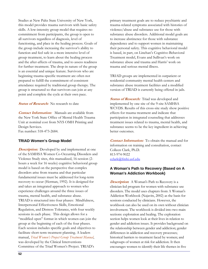Studies at New Paltz State University of New York, this model provides trauma survivors with basic safety skills. A low-intensity group model that requires no commitment from participants, the group is open to all survivors regardless of diagnosis, level of functioning, and place in the healing process. Goals of the group include increasing the survivor's ability to function and feel safe in a more intensive level of group treatment, to learn about the healing process and the after-affects of trauma, and to assess readiness for further treatment. The drop-in nature of the group is an essential and unique feature. Survivors who are beginning trauma-specific treatment are often not prepared to fulfill the commitment of consistent attendance required by traditional group therapy. The group is structured so that survivors can join at any point and complete the cycle at their own pace.

**Status of Research:** No research to date

**Contact Information:**Manuals are available from the New York State Office of Mental Health Trauma Unit at nominal cost from NYS OMH Printing and Design Services.

Fax number: 518-473-2684.

### **TRIAD Women's Group Model**

*Description:* Developed by and implemented at one of the SAMHSA Women Co-Occurring Disorders and Violence Study sites, this manualized, 16-session (2 hours a week for 16 weeks) cognitive behavioral group model is based on the perspective that complex disorders arise from trauma and that particular fundamental issues must be addressed for long-term recovery to occur (Herman, 1992). It is designed for and takes an integrated approach to women who experience challenges around the three issues of trauma, mental health, and substance abuse. TRIAD is structured into four phases: Mindfulness, Interpersonal Effectiveness Skills, Emotional Regulation, and Distress Tolerance, with four weekly sessions in each phase. This design allows for a "modified open" format in which women can join the group at the beginning of each of the four phases. Each session includes specific goals and objectives to facilitate short-term treatment planning. A leaders manual, *Triad Women's Project Group Treatment Manual*, was developed by the Clinical Interventions Committee of the Triad Women's Project. TRIAD's

primary treatment goals are to reduce psychiatric and trauma-related symptoms associated with histories of violence/abuse and substance use for those with substance abuse disorders. Additional model goals are to increase abstinence for those with substance dependence and to support women in maintaining their personal safety. This cognitive behavioral model is based, in part, on Linehan's Cognitive-Behavioral Treatment model, Evans and Sullivan's work on substance abuse and trauma and Harris' work on trauma and serious mental illness.

TRIAD groups are implemented in outpatient or residential community mental health centers and substance abuse treatment facilities and a modified version of TRIAD is currently being offered in jails.

**Status of Research:** Triad was developed and implemented by one site of the 9-site SAMHSA WCVDS. Results of this cross-site study show positive effects for trauma treatment and indicate that participation in integrated counseling that addresses treatment issues related to trauma, mental health, and substance seems to be the key ingredient in achieving better outcomes.

**Contact Information:**To obtain the manual and for information on training and consultation, contact Colleen Clark, Ph.D. 813-974-9022 cclark@fmhi.usf.edu

# **A Woman's Path to Recovery (Based on A Woman's Addiction Workbook)**

**Description**: A Woman's Path to Recovery is a clinician-led program for women with substance use disorders. The model uses chapters from A Woman's Addiction Workbook (Najavits, 2002) as the basis for sessions conducted by clinicians. However, the workbook can also be used on its own without clinician involvement. The workbook is divided into two main sections: exploration and healing. The exploration section helps women look at their lives in relation to gender and addiction issues. It provides background on the relationship between gender and addiction; gender differences in addiction and recovery processes; historical barriers to treatment faced by women; and subgroups of women at risk for addiction. It then encourages women to identify their life themes in five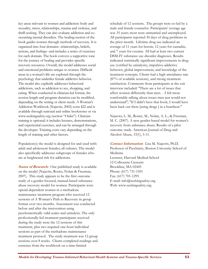key areas relevant to women and addiction: body and sexuality, stress, relationships, trauma and violence, and thrill-seeking. They can also evaluate addiction and cooccurring mental disorders. The healing section of the book guides women through methods of recovery. It is organized into four domains--relationships, beliefs, actions, and feelings--and includes a series of exercises for each domain. The book conveys a supportive tone for the journey of healing and provides specific recovery resources. Overall, the model addresses social and emotional problems unique to women. Difficult areas in a woman's life are explored through the psychology that underlies female addictive behavior. The model also explicitly addresses behavioral addictions, such as addiction to sex, shopping, and eating. When conducted in clinician-led format, the session length and program duration can be modified, depending on the setting or client needs. A Woman's Addiction Workbook (Najavits, 2002) costs \$22 and is available through national and online bookstores or via www.seekingsafety.org (section "Order"). Clinician training is optional; it includes lectures, demonstrations, and experiential exercises, and can be arranged through the developer. Training costs vary depending on the length of training and other factors.

Population(s) the model is designed for and used with: adult and adolescent females; all cultures. The model also specifically addresses subgroups of females who are at heightened risk for addictions.

**Status of Research:** One published study is available on the model (Najavits, Rosier, Nolan & Freeman, 2007). This study appears to be the first outcome study of a gender-focused, manual-based substanceabuse recovery model for women. Participants were opioid-dependent women in a methadone maintenance treatment program who received 12 sessions of A Woman's Path to Recovery in group format over two months. Assessment was conducted before and after the intervention using psychometrically valid scales and urinalysis. The only professionally-led treatment participants received during the study were the 12 sessions of this treatment, plus two required one-hour individual sessions as part of the methadone maintenance treatment protocol. The study treatment was 12 group sessions over 8 weeks. Clients completed readings and exercises from the workbook on a time-limited

schedule of 12 sessions. The groups were co-led by a male and female counselor. Participants' average age was 35 years; most were unmarried and unemployed. All participants reported 30 days of drug problems in the prior month. Lifetime drug use indicated an average of 11 years for heroin, 12 years for cannabis, and 7 years for cocaine. All had at least two current DSM-IV substance use disorder diagnoses. Results indicated statistically significant improvements in drug use (verified by urinalysis), impulsive-addictive behavior, global improvement, and knowledge of the treatment concepts. Clients had a high attendance rate (87% of available sessions), and strong treatment satisfaction. Comments from participants at the exit interview included: "There are a lot of issues that affect women differently than men. . .I felt more comfortable talking about issues men just would not understand"; "If I didn't have that book, I would have been back out there [using drugs ] in a heartbeat."

Najavits, L. M., Rosier, M., Nolan, A. L., & Freeman, M. C. (2007). A new gender-based model for women's recovery from substance abuse: Results of a pilot outcome study. American Journal of Drug and Alcohol Abuse, 33(1), 5-11.

**Contact Information**: Lisa M. Najavits, Ph.D. Professor of Psychiatry, Boston University School of Medicine Lecturer, Harvard Medical School 12 Colbourne Crescent Brookline, MA 02445 Phone: (617) 731-1501 Fax: (617) 701-1295 E-mail: info@seekingsafety.org Web: www.seekingsafety.org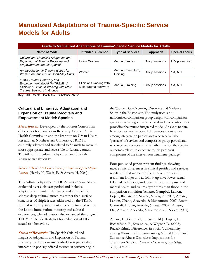# **Manualized Adaptations of Trauma-Specific Service Models for Adults**

| <b>Guide to Manualized Adaptations of Trauma-Specific Service Models for Adults</b>                                                |                                                  |                                |                |                      |  |  |  |
|------------------------------------------------------------------------------------------------------------------------------------|--------------------------------------------------|--------------------------------|----------------|----------------------|--|--|--|
| Name of Model                                                                                                                      | <b>Intended Audience</b>                         | <b>Type of Services</b>        | Approach       | <b>Special Focus</b> |  |  |  |
| Cultural and Linguistic Adaptation and<br>Expansion of Trauma Recovery and<br>Empowerment Model: Spanish                           | Latina Women                                     | Manual, Training               | Group sessions | HIV prevention       |  |  |  |
| An Introduction to Trauma Issues for<br>Women on Inpatient or Short-Stay Units                                                     | Women                                            | Manual/Curriculum,<br>Training | Group sessions | SA, MH               |  |  |  |
| Men's Trauma Recovery and<br>Empowerment Model (M-TREM): A<br>Clinician's Guide to Working with Male<br>Trauma Survivors in Groups | Clinicians working with<br>Male trauma survivors | Manual, Training               | Group sessions | SA. MH               |  |  |  |

**Key:** MH – Mental Health; SA – Substance Abuse

# **Cultural and Linguistic Adaptation and Expansion of Trauma Recovery and Empowerment Model: Spanish**

**Description:** Developed by the Boston Consortium of Services for Families in Recovery, Boston Public Health Commission and the Institute on Urban Health Research at Northeastern University, TREM is culturally adapted and translated to Spanish to make it more appropriate and accessible to Latina women. The title of this cultural adaptation and Spanish language translation is:

*Saber Es Poder: Modelo de Trauma y Recuperación para Mujeres Latinas*, (Harris. M., Wallis, F., & Amaro, H, 2006).

This cultural adaptation of TREM was conducted and evaluated over a six year period and includes adaptations in content, language and approach to address deep cultural structures rather than surface structures. Multiple issues addressed by the TREM manualized group treatment are contextualized within the Latino immigration, minority and cultural experiences, The adaptation also expanded the original TREM to include strategies for reduction of HIV sexual risk behaviors.

**Status of Research:**The Spanish Cultural and Linguistic Adaptation and Expansion of Trauma Recovery and Empowerment Model was part of the intervention package offered to women participating in

the Women, Co-Occurring Disorders and Violence Study in the Boston site. The study used a norandomized comparison group design with comparison agencies providing services as usual and intervention sites providing the trauma-integrated model. Analyses to date have focused on the overall differences in outcomes among intervention participants who received the 'package' of services and comparison group participants who received services as usual rather than on the specific outcomes related to exposure to this particular component of the intervention treatment 'package.'

Four published papers present findings showing race/ethnic differences in clinical profiles and services needs and that women in the intervention stay in treatment longer and at follow-up have lower sexual HIV risk behaviors, and lower rates of drug use and mental health and trauma symptoms than those in the comparison condition (Amaro, Gampbel, Larson, Lopez, Richardson, Savage, & Wagner, 2005; Amaro, Larson, Zhang, Acevedo, & Matsumoto, 2007; Amaro, Chernoff, Brown, Arévalo, & Gatz, 2007; Amaro, Dai, Arévalo, Acevedo, Matsumoto and Nieves, 2007).

Amaro, H., Gampbel, J., Larson, M.J., Lopez, L., Richardson, R., Savage, A., & Wagner, D. (2005). Racial/Ethnic Differences in Social Vulnerability among Women with Co-occurring Mental Health and Substance Abuse Disorders: Implications for Treatment Services. *Journal of Community Psychology,*  33(4), 495-511*.*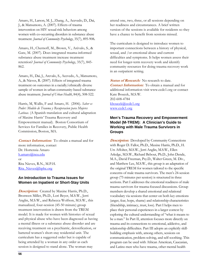Amaro, H., Larson, M. J., Zhang, A., Acevedo, D., Dai, J., & Matsumoto, A. (2007). Effects of trauma intervention on HIV sexual risk behaviors among women with co-occurring disorders in substance abuse treatment. *Journal of Community Psychology*, 35(7), 895-908**.** 

Amaro, H., Chernoff, M., Brown, V., Arévalo, S., & Gatz, M. (2007). Does integrated trauma-informed substance abuse treatment increase treatment retention? *Journal of Community Psychology*, 35(7), 845- 862.

Amaro, H., Dai, J., Arevalo, S., Acevedo, A., Matsumoto, A., & Nieves, R. (2007). Effects of integrated trauma treatment on outcomes in a racially/ethnically diverse sample of women in urban community-based substance abuse treatment. *Journal of Urban Health*, 84(4), 508-522.

Harris, M, Wallis, F and Amaro, H. (2006). *Saber es Poder: Modelo de Trauma y Recuperacion para Mujeres Latinas.* (A Spanish translation and cultural adaptation of Maxine Harris' Trauma Recovery and Empowerment manual). Boston Consortium of Services for Families in Recovery, Public Health Commission, Boston, MA.

**Contact Information:**To obtain a manual and for more information, contact Dr. Hortensia Amaro h.amaro@neu.edu or Rita Nieves, R.N., M.P.H. Rita\_Nieves@bphc.org

### **An Introduction to Trauma Issues for Women on Inpatient or Short-Stay Units**

**Description:**Created by Maxine Harris, Ph.D., Bronwen Millet, Ph.D., Lori Beyer, M.S.W., Jerri Anglin, M.S.W., and Rebecca Wolfson, M.S.W., this manualized, four-session (45-50 minute) group treatment intervention is drawn from the TREM model. It is made for women with histories of sexual and physical abuse who have been diagnosed as having a mental illness or a substance abuse disorder and are receiving treatment on a psychiatric, detoxification, or battered women's short-stay residential unit. The curriculum has a suggested order but is capable of being attended by a woman in any order as each session is designed to stand alone. The woman may

attend one, two, three, or all sessions depending on her readiness and circumstances. A brief written version of the sessions is available for residents so they have a chance to benefit from sessions missed.

The curriculum is designed to introduce women to important connections between a history of physical, sexual, and /or emotional abuse and current difficulties and symptoms. It helps women assess their need for longer-term recovery work and identify community resources for doing trauma recovery work in an outpatient setting.

**Status of Research:** No research to date. **Contact Information:**To obtain a manual and for additional information visit www.ccdc1.org or contact Kate Boucek, M.S.W. 202-608-4784 kboucek@ccdc1.org www.ccdc1.org

## **Men's Trauma Recovery and Empowerment Model (M-TREM): A Clinician's Guide to Working with Male Trauma Survivors in Groups**

**Description:** Developed by Community Connections with Roger D. Fallot, Ph.D., Maxine Harris, Ph.D., H. Urs Affolter, M.S.W., Jerri Anglin, M.S.W., Ellen Arledge, M.S.W., Richard Bebout, Ph.D., John Dende, M.A., David Freeman, Psy.D., Walter Green, M. Div., and Matthew Lee, M.S.W., this group is an adaptation of the original TREM for women tailored to the specific concerns of male trauma survivors. The men's 24-session group (75 minutes per session) is structured in three sections. Part I addresses the emotional readiness of male trauma survivors for trauma-focused discussions. Group members develop a shared emotional and relational vocabulary via sessions that center on both key emotions (anger, fear, hope, shame) and relationship characteristics (friendship, intimacy, trust, loss). Part I helps men to place their personal experiences in a larger context by exploring the cultural understanding of "what it means to be a man." In Part II, attention focuses more directly on trauma and its connections to emotional, addictive, and relationship difficulties. Part III adopts an explicitly skillbuilding emphasis with, among others, sessions on communication, problem-solving, and self-soothing. This program can be used with African American, Caucasian, and Latino men who have trauma, other mental health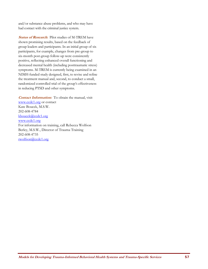and/or substance abuse problems, and who may have had contact with the criminal justice system.

**Status of Research**: Pilot studies of M-TREM have shown promising results, based on the feedback of group leaders and participants. In an initial group of six participants, for example, changes from pre-group to six-month post-group follow-up were consistently positive, reflecting enhanced overall functioning and decreased mental health (including posttraumatic stress) symptoms. M-TREM is currently being examined in an NIMH-funded study designed, first, to revise and refine the treatment manual and, second, to conduct a small, randomized controlled trial of the group's effectiveness in reducing PTSD and other symptoms.

**Contact Information:**To obtain the manual, visit www.ccdc1.org or contact Kate Boucek, M.S.W. 202-608-4784 kboucek@ccdc1.org www.ccdc1.org For information on training, call Rebecca Wolfson Berley, M.S.W., Director of Trauma Training 202-608-4735 rwolfson@ccdc1.org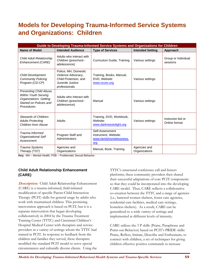# **Models for Developing Trauma-Informed Service Systems and Organizations: Children**

| Guide to Developing Trauma-Informed Service Systems and Organizations for Children                                       |                                                                                                          |                                                                           |                               |                                    |  |  |
|--------------------------------------------------------------------------------------------------------------------------|----------------------------------------------------------------------------------------------------------|---------------------------------------------------------------------------|-------------------------------|------------------------------------|--|--|
| <b>Name of Model</b>                                                                                                     | <b>Intended Audience</b>                                                                                 | <b>Type of Services</b>                                                   | <b>Intended Setting</b>       | Approach                           |  |  |
| <b>Child Adult Relationship</b><br>Enhancement (CARE)                                                                    | Adults who interact with<br>Children (preschool -<br>adolescence)                                        | Curriculum Guide, Training                                                | Various settings              | Group or Individual<br>sessions    |  |  |
| <b>Child Development</b><br><b>Community Policing</b><br>Program (CD-CP)                                                 | Police; MH, Domestic<br>Violence Advocacy,<br>Child Protection, and<br>Juvenile Justice<br>professionals | Training, Books, Manual,<br>DVD, Website:<br>www.nccev.org                | Various settings              |                                    |  |  |
| <b>Preventing Child Abuse</b><br>Within Youth Serving<br>Organizations: Getting<br>Started on Policies and<br>Procedures | Adults who interact with<br>Children (preschool -<br>adolescence)                                        | Manual                                                                    | Various settings              |                                    |  |  |
| Stewards of Children:<br><b>Adults Protecting</b><br>Children from Abuse                                                 | Adults                                                                                                   | Training, DVD, Workbook,<br>Website:<br>www.darknesstolight.org           | Various settings              | Instructor-led or<br>Online format |  |  |
| Trauma Informed<br><b>Organizational Self</b><br>Assessment                                                              | Program Staff and<br>Administrators                                                                      | Self-Assessment<br>instrument, Website:<br>www.familyhomelessness.<br>org |                               |                                    |  |  |
| Trauma Systems<br>Therapy (TST)                                                                                          | Agencies and<br>Organizations                                                                            | Manual, Book, Training                                                    | Agencies and<br>Organizations |                                    |  |  |

**Key:** MH – Mental Health; PSB – Problematic Sexual Behavior

## **Child Adult Relationship Enhancement (CARE)**

**Description:** Child Adult Relationship Enhancement (CARE) is a trauma-informed, field-initiated modification of specific Parent-Child Interaction Therapy (PCIT) skills for general usage by adults who work with traumatized children. This promising intervention approach is based on PCIT, but it is a separate intervention that began developing collaboratively in 2004 by the Trauma Treatment Training Center (TTTC) and Cincinnati Children's Hospital Medical Center with therapists and service providers in a variety of settings whom the TTTC had trained in PCIT. In response to feedback from the children and families they served, these therapists modified the standard PCIT model to serve special circumstances and culturally diverse clients. Using the

TTTC's structured conference call and listserv platforms, these community providers then shared their successful adaptations of core PCIT components so that they could be incorporated into the developing CARE model. Thus, CARE reflects a collaborative co-creation between the TTTC and a range of agencies (i.e., battered women shelters, foster care agencies, residential care facilities, medical care settings, homeless shelters). As a result, CARE can be generalized to a wide variety of settings and implemented at different levels of intensity.

CARE utilizes the 3 P skills (Praise, Paraphrase and Point-out-Behavior) based on PCIT's PRIDE skills: Praise, Reflect, Imitate, Describe and Enthusiasm, to connect with children, a set of techniques for giving children effective positive commands to increase

**Models for Developing Trauma-Informed Behavioral Health Systems and Trauma-Specific Services** 59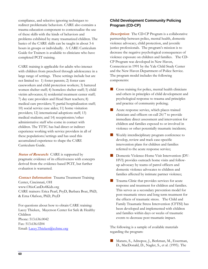compliance, and selective ignoring techniques to redirect problematic behaviors. CARE also contains a trauma education component to contextualize the use of these skills with the kinds of behaviors and problems exhibited by many traumatized children. The basics of the CARE skills can be taught in about 3-6 hours in groups or individually. A CARE Curriculum Guide for Trainers is available to clinicians who have completed PCIT training.

CARE training is applicable for adults who interact with children from preschool through adolescence in a large range of settings. These settings include but are not limited to: 1) foster parents; 2) foster care caseworkers and child protection workers; 3) battered women shelter staff; 4) homeless shelter staff; 5) child victim advocates; 6) residential treatment center staff; 7) day care providers and Head Start teachers; 8) medical care providers; 9) partial hospitalization staff; 10) social service case aides; 11) home visitation providers; 12) international adoptions staff; 13) medical students; and 14) receptionists/other administrative staff who come in contact with children. The TTTC has had direct or indirect experience working with service providers in all of these populations/settings and has used this accumulated experience to shape the CARE Curriculum Guide.

**Status of Research:** CARE is supported by pragmatic evidence of its effectiveness with concepts derived from the evidence-based PCIT, but further evaluation is warranted.

**Contact Information:** Trauma Treatment Training Center, Cincinnati, OH www.OhioCanDo4Kids.org CARE trainers: Erica Pearl, PsyD, Barbara Boat, PhD, & Erna Olafson, PhD, PsyD

For questions about how to obtain CARE training: Lacey Thieken, Mayerson Center for Safe & Healthy Children Phone: 513.636.0042 Fax: 513.636.0204 Email: Lacey.Thieken@cchmc.org

## **Child Development Community Policing Program (CD-CP)**

**Description:** The CD-CP Program is a collaborative partnership between police, mental health, domestic violence advocacy, child protection, and juvenile justice professionals. The program's mission is to decrease the negative psychological consequences of violence exposure on children and families. The CD-CP Program was developed in New Haven, Connecticut in 1991 by the Yale Child Study Center and the New Haven Department of Police Service. The program model includes the following components:

- Cross training for police, mental health clinicians and others in principles of child development and psychological response to trauma and principles and practice of community policing;
- **Acute response service, which places trained** clinicians and officers on-call 24/7 to provide immediate direct assessment and intervention for children and families exposed to or involved in violence or other potentially traumatic incidents;
- **Weekly interdisciplinary program conference to** develop, review and track case-specific intervention plans for children and families referred to the acute response service;
- Domestic Violence-Home Visit Intervention (DV-HVI) provides outreach home visits and followup advocacy by teams of patrol officers and domestic violence advocates to children and families affected by intimate partner violence;
- Trauma Clinic that provides services for acute response and treatment for children and families. This serves as a secondary prevention model for post-traumatic stress and long term treatment for the effects of traumatic stress. The Child and Family Traumatic Stress Intervention (CFTSI) has been developed and implemented with children and families within days or weeks of traumatic events to decrease post traumatic impact.

The following is a sample of available materials regarding the program:

Marans, S., Adnopoz, J., Berkman, M., Esserman, D., MacDonald, D., Nagler, S., et al. (1995). The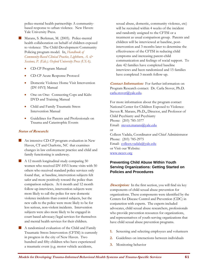police-mental health partnership: A communitybased response to urban violence. New Haven: Yale University Press.

Marans, S. Berkman, M. (2005). Police-mental health collaboration on behalf of children exposed to violence: The Child-Development Community Policing program model. In, *Handbook of Community-Based Clinical Practice, Lightburn, A. & Sessions, P. (Eds.). Oxford University Press (USA).*

- CD-CP Program Manual
- CD-CP Acute Response Protocol
- Domestic Violence Home Visit Intervention (DV-HVI) Manual
- One on One: Connecting Cops and Kids: DVD and Training Manual
- Child and Family Traumatic Stress Intervention Manual
- Guidelines for Parents and Professionals on Trauma and Catastrophic Events

#### **Status of Research:**

- An intensive CD-CP program evaluation in New Haven, CT and Charlotte, NC that examines changes in law enforcement practice and child and family functioning is underway.
- $\blacksquare$  A 12 month longitudinal study comparing 50 women who received DV-HVI home visits with 50 others who received standard police services only found that, at baseline, intervention subjects felt safer and more positively toward the police than comparison subjects. At 6 month and 12 month follow-up interviews, intervention subjects were more likely to call the police for new domestic violence incidents than control subjects, but the new calls to the police were more likely to be for less serious, non-violent incidents. Intervention subjects were also more likely to be engaged in court based advocacy/legal services for themselves and mental health services for their children.
- A randomized evaluation of the Child and Family Traumatic Stress Intervention (CFTSI) is currently in progress in the city of New Haven. Two hundred and fifty children who have experienced a traumatic event (e.g. motor vehicle accidents,

sexual abuse, domestic, community violence, etc) will be recruited within 4 weeks of the incident and randomly assigned to the CFTSI or a treatment as usual comparison group. Parents and children will be interviewed at baseline, postintervention and 3 months later to determine the effectiveness of the CFTSI in reducing child symptoms and increasing parent-child communication and feelings of social support. To date 42 families have completed baseline interviews and been randomized and 15 families have completed 3 month follow-up.

**Contact Information:**For further information on Program Research contact: Dr. Carla Stover, Ph.D. carla.stover@yale.edu.

For more information about the program contact National Center for Children Exposed to Violence: Steven R. Marans, Ph.D.**,** Director, and Professor of Child Psychiatry and Psychiatry Phone: (203) 785-3377 Email: steven.marans@yale.edu or Colleen Vadala, Coordinator and Chief Administrator Phone: (203) 785-2975 Email: colleen.vadala@yale.edu or Visit our Website: www.nccev.org

## **Preventing Child Abuse Within Youth Serving Organizations: Getting Started on Policies and Procedures**

**Description:** In the first section, you will find six key components of child sexual abuse prevention for organizations. These components were identified by the Centers for Disease Control and Prevention (CDC) in conjunction with experts. The experts included advocates, child sexual abuse researchers, professionals who provide prevention resources for organizations, and representatives of youth-serving organizations that have child sexual abuse prevention programs.

- **1.** Screening and selecting employees and volunteers
- **2.** Guidelines on interactions between individuals
- **3.** Monitoring behavior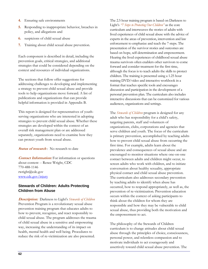- **4.** Ensuring safe environments
- **5.** Responding to inappropriate behavior, breaches in policy, and allegations and
- **6.** suspicions of child sexual abuse
- **7.** Training about child sexual abuse prevention.

Each component is described in detail, including the prevention goals, critical strategies, and additional strategies that could be considered depending on the context and resources of individual organizations.

The sections that follow offer suggestions for addressing challenges to developing and implementing a strategy to prevent child sexual abuse and provide tools to help organizations move forward. A list of publications and organizations that can provide helpful information is provided in Appendix B.

This report is designed for representatives of youthserving organizations who are interested in adopting strategies to prevent child sexual abuse. Whether these strategies are developed within the context of an overall risk management plan or are addressed separately, organizations need to examine how they can protect youth from sexual abuse.

#### **Status of research**: No research to date

**Contact Information:** For information or questions about content -- Renee Wright, CDC 770-488-1146 rwright@cdc.gov www.cdc.gov/injury

#### **Stewards of Children: Adults Protecting Children from Abuse**

**Description:**Darkness to Light's *Stewards of Children* Prevention Program is a revolutionary sexual abuse prevention training program that educates adults to how to prevent, recognize, and react responsibly to child sexual abuse. The program addresses the trauma of child sexual abuse in a sensitive and empowering way, increasing the understanding of its impact on health, mental health and well being. Procedures to reduce the risk of re-victimization are also presented.

The 2.5 hour training program is based on Darkness to Light's *"7 Steps to Protecting Our Children"* as the core curriculum and interweaves the stories of adults with lived experiences of child sexual abuse with the advice of experts in the areas of prevention, intervention and law enforcement to emphasize and teach the 7 steps. The presentation of the survivor stories and outcomes are based on hope, self-determination and empowerment. Hearing the lived experiences of childhood sexual abuse trauma survivors often enablers other survivors to come forward and consider treatment for the first time, although the focus is to teach adults the skills to protect children. The training is presented using a 1.25 hour training DVD/video and interactive workbook in a format that teaches specific tools and encourages discussion and participation in the development of a personal prevention plan. The curriculum also includes interactive discussions that can be customized for various audiences, organizations and settings.

The *Stewards of Children* program is designed for any adult who has responsibility for a child's safety, targeting parents, staff and volunteers of organizations, clubs, corporations and agencies that serve children and youth. The focus of the curriculum is primary prevention, accomplished by teaching adults how to prevent child sexual abuse from occurring the first time. For example, adults learn about the prevalence and consequences of sexual abuse and are encouraged to monitor situations where one-on-one contact between adults and children might occur, to screen adults who work with children, and to initiate conversation about healthy sexuality, appropriate physical contact and child sexual abuse prevention. The curriculum also addresses secondary prevention by teaching adults to identify when abuse has occurred, how to respond appropriately, as well as, the prevention of re-victimization. Prevention education occurs within the context of asking participants to think about the children for whom they are responsible and how they may be vulnerable to child sexual abuse, thus providing both the motivation and the empowerment to act.

The philosophy of the Stewards of Children curriculum is to change attitudes about child sexual abuse through the principles of choice, consciousness, personal power, and relentless compassion and to motivate individuals to act courageously and assertively toward child sexual abuse prevention. The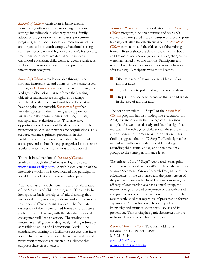*Stewards of Children* curriculum is being used in numerous youth serving agencies, organizations and settings including child advocacy centers, family advocacy programs on military bases, prevention programs, faith-based, sports and recreational clubs and organizations, youth camps, educational settings (primary, secondary and higher education), foster care, treatment foster care, residential settings, early childhood education, child welfare, juvenile justice, as well as numerous other agency, non profit and intervention programs.

*Steward of Children* is made available through two formats, instructor led and online. In the instructor led format, a *Darkness to Light* trained facilitator is taught to lead group discussion that reinforces the learning objectives and addresses thoughts and feelings stimulated by the DVD and workbook. Facilitators have ongoing contact with *Darkness to Light* that includes updates in their training and support for initiatives in their communities including funding strategies and evaluation tools. They also have opportunities to learn about the development of child protection policies and practices for organizations. This resource enhances primary prevention in that facilitators not only train individuals in child sexual abuse prevention, but also equip organizations to create a culture where prevention efforts are supported.

The web-based version of *Stewards of Children* is available through the Darkness to Light website, www.darknesstolight.org. A web-based version of the interactive workbook is downloaded and participants are able to work at their own individual pace.

Additional assets are the structure and standardization of the Stewards of Children program. The curriculum incorporates basic principles of adult learning that includes delivery in visual, auditory and written modes to support different learning styles. The facilitated discussion of the instructor led format affords active participation in learning with the idea that personal engagement will lead to action. The workbook is written at an 8<sup>th</sup> grade reading level, making it broadly accessible to adults of all educational levels. The standardized training for facilitators ensures that facts about child sexual abuse are delivered accurately and prevention strategies are enacted in a climate that supports their effectiveness.

**Status of Research:** In an evaluation of the *Stewards of Children* program, nine organizations and nearly 500 individuals participated in a comparison of pre- and posttraining evaluating the effectiveness of the *Stewards of Children* curriculum and the efficiency of the training format. Results showed a 38% improvement in both child sexual abuse knowledge and attitudes, changes that were maintained over two months. Participants also reported significant increases in preventive behaviors after training. Participants were more likely to:

- Discuss issues of sexual abuse with a child or another adult
- **Pay attention to potential signs of sexual abuse**
- Drop in unexpectedly to ensure that a child is safe in the care of another adult

The core curriculum, "7 Steps" of the *Stewards of Children* program has also undergone evaluation. In 2004, researchers with the College of Charleston completed a web-based study and found a significant increase in knowledge of child sexual abuse prevention after exposure to the "7 Steps" information. This finding suggests that the "7 Steps" effectively reached individuals with varying degrees of knowledge regarding child sexual abuse, and then brought all groups to the same performance level.

The efficacy of the "7 Steps" web-based versus print version was also evaluated in 2005. The study used two separate Solomon 4 Group Research Designs to test the effectiveness of the web-based and the print version of the prevention materials. In addition to comparing the efficacy of each version against a control group, the research design afforded comparison of the web-based and print versions of the prevention information. The results established that regardless of presentation format, exposure to 7 Steps has a significant impact on knowledge and attitudes about sexual abuse and its prevention. This finding has particular interest for the web-based Stewards of Children program.

**Contact Information:**To obtain additional information: Pat Patrick, LISW 843-954-5444 ppatrick@d2l.org www.darknesstolight.org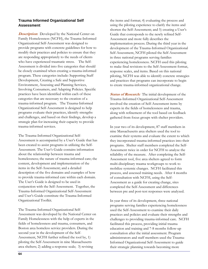## **Trauma Informed Organizational Self Assessment**

**Description:** Developed by the National Center on Family Homelessness (NCFH), the Trauma-Informed Organizational Self-Assessment was designed to provide programs with concrete guidelines for how to modify their practices and policies to ensure that they are responding appropriately to the needs of clients who have experienced traumatic stress. The Self-Assessment is divided into five categories that should be closely examined when creating a trauma-informed program. These categories include: Supporting Staff Development, Creating a Safe and Supportive Environment, Assessing and Planning Services, Involving Consumers, and Adapting Policies. Specific practices have been identified within each of these categories that are necessary to the creation of a trauma-informed program. The Trauma-Informed Organizational Self-Assessment is designed to help programs evaluate their practices, identify strengths and challenges, and based on their findings, develop a strategic plan for increasing their capacity to provide trauma-informed services.

The Trauma-Informed Organizational Self-Assessment is accompanied by a User's Guide that has been created to assist programs in utilizing the Self-Assessment. The User's Guide contains information about the relationship between trauma and homelessness; the nature of trauma-informed care; the content, development and implementation of the items in the Self-Assessment; and a detailed description of the five domains and examples of how to provide trauma-informed care within each domain. The User's Guide is designed to be used in conjunction with the Self-Assessment. Together, the Trauma-Informed Organizational Self-Assessment and User's Guide constitute the Trauma-Informed Organizational Toolkit.

The Trauma-Informed Organizational Self-Assessment was developed by the National Center on Family Homelessness with the help of experts in the fields of homelessness and trauma, consumers, and Boston area homeless service providers. During the second year in the development of the Self-Assessment, NCFH further refined the tool by, 1) piloting the Self-Assessment in nine Massachusetts area shelters; 2) adding a response scale; 3) revising

the items and format; 4) evaluating the process and using the piloting experience to clarify the items and shorten the Self-Assessment; and 5) creating a User's Guide that corresponds to the newly refined Self-Assessment and more fully describes the implementation process. During the third year in the development of the Trauma-Informed Organizational Self-Assessment, NCFH piloted the Self-Assessment in three national programs serving families experiencing homelessness. NCFH used this piloting to make final revisions to the Self-Assessment format, response scales, and items. Based on this national piloting, NCFH was able to identify concrete strategies and practices that programs can incorporate to begin to create trauma-informed organizational change.

**Status of Research:** The initial development of the Trauma-Informed Organizational Self-Assessment involved the creation of Self-Assessment items by experts in the fields of homelessness and trauma, along with refinement of the tool based on feedback gathered from focus groups with shelter providers.

In year two of its development, 87 staff members in nine Massachusetts area shelters used the tool to examine their systems and evaluate the extent to which they incorporated trauma-informed practices into their programs. Shelter staff members completed the Self-Assessment twice in order for NCFH to analyze the reliability of the measure. After completing the Self-Assessment tool, five area shelters agreed to form multi-disciplinary trauma workgroups to work to mobilize systemic changes. NCFH facilitated this process, and assessed training needs. After 4 months of consultation with NCFH, using the Self-Assessment as a guide for creating change, sites completed the Self-Assessment and differences between pre and post-test responses were analyzed.

In year three of its development, three national programs serving families experiencing homelessness used the Self-Assessment to examine their daily practices and policies and evaluate their strengths and challenges to providing trauma-informed care. NCFH facilitated this process, providing initial trauma education and training and 7-8 months follow-up consultation after the initial assessment. Program administrators and staff members used the Trauma-Informed Organizational Self-Assessment to guide their strategic planning towards becoming more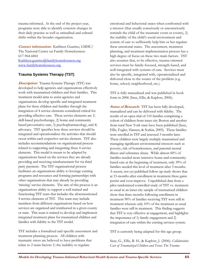trauma-informed.. At the end of the project year, programs were able to identify concrete changes in their daily practice as well as attitudinal and cultural shifts within the broader organization.

**Contact information:** Kathleen Guarino, LMHC/ The National Center on Family Homelessness 617-964-6841 Kathleen.guarino@familyhomelessness.org www.familyhomelessness.org

## **Trauma Systems Therapy (TST)**

*Description:* Trauma Systems Therapy (TST) was developed to help agencies and organizations effectively work with traumatized children and their families. This treatment model aims to assist agencies and organizations develop specific and integrated treatment plans for these children and families through the integration of 4 service elements considered critical for providing effective care. These service elements are 1) skill-based psychotherapy, 2) home and community based preventative care, 3) psychopharmacology, and 4) advocacy. TST specifies how these services should be integrated and operationalizes the activities that should occur within each respective service element. TST also includes recommendations on organizational process related to supporting and integrating these 4 service elements. This model is meant to be adapted by organizations based on the services they are already providing and receiving reimbursement for via third party payment. The TST organizational process facilitates an organizations ability to leverage existing programs and resources and forming partnerships with other organizations that may already be providing 'missing' service elements. The aim of this process is an organizations ability to support a well trained and functioning TST team that includes the aforementioned 4 service elements of TST. This team may include members from different organizations based on how services are organized and reimbursed in a given county or state. This team is trained to develop and implement integrated treatment plans for traumatized children and families with fidelity to the TST model.

TST includes a formalized and specific assessment and treatment planning process. All children with traumatic stress are believed to have problems that relate to 2 main factors 1) the inability to regulate

emotional and behavioral states when confronted with a stressor (that usually consciously or unconsciously reminds the child of the traumatic event or events), 2) the inability of the child's social environment and system of care to sufficiently help him or her regulate these emotional states. The assessment, treatment planning, and treatment implementation process has a high degree of focus on these two main factors. TST also assumes that, to be effective, trauma-oriented services must be family-focused, strength-based, and well-integrated with systems of care. Services must also be specific, integrated with, operationalized and delivered close to the source of the problem (e.g. home, school, neighborhood, etc.).

TST is fully manualized and was published in book form in 2006 (Saxe, Ellis, & Kaplow, 2006).

**Status of Research:** TST has been fully developed, manualized and can be delivered with fidelity. The results of an open trial of 110 families comprising a cohort of children from inner city Boston and another from rural New York state have been published (Saxe, Ellis, Fogler, Hansen, & Sorkin, 2005). These families were enrolled in TST and assessed 3 months later. These children were largely multiply traumatized and managing significant environmental stressors such as poverty, risk of homelessness, and parental mental illness and substance abuse. While almost 60% of families needed more intensive home and communitybased care at the beginning of treatment, only 39% of families needed this level of treatment after 3 months. A recent, not yet published follow up study shows that at 15-months after enrollment in treatment these gains persist and even improve. Unpublished data from a pilot randomized controlled study of TST vs. treatment as usual in an inner city sample of traumatized children show that three months following enrollment in treatment 90% of families receiving TST were still in treatment whereas only 10% of the treatment as usual families were still in treatment. This finding suggests that TST is very effective at engagement, and highlights the importance of 1) family engagement and 2) integration of care within the existing services system.

TST is currently being adapted for this age group.

Saxe, G., Ellis, B. H., & Kaplow, J. (2006). *Collaborative Care of Traumatized Children and Teens: The Trauma*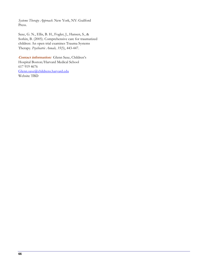*Systems Therapy Approach*. New York, NY: Guilford Press.

Saxe, G. N., Ellis, B. H., Fogler, J., Hansen, S., & Sorkin, B. (2005). Comprehensive care for traumatized children: An open trial examines Trauma Systems Therapy. *Psychiatric Annals, 35*(5), 443-447.

**Contact information:**Glenn Saxe, Children's Hospital Boston/Harvard Medical School 617 919 4676 Glenn.saxe@childrens.harvard.edu Website TBD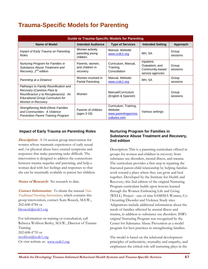## **Trauma-Specific Models for Parenting**

| <b>Guide to Trauma-Specific Models for Parenting</b>                                                                                                                      |                                                     |                                                                          |                                                                      |                   |  |
|---------------------------------------------------------------------------------------------------------------------------------------------------------------------------|-----------------------------------------------------|--------------------------------------------------------------------------|----------------------------------------------------------------------|-------------------|--|
| Name of Model                                                                                                                                                             | <b>Type of Services</b><br><b>Intended Audience</b> |                                                                          | <b>Intended Setting</b>                                              | Approach          |  |
| Impact of Early Trauma on Parenting<br>Roles                                                                                                                              | Women actively<br>parenting young<br>children.      | Manual, Website:<br>www.ccdc1.org                                        | MH, SA                                                               | Group<br>sessions |  |
| <b>Nurturing Program for Families in</b><br>Substance Abuse Treatment and<br>Recovery, 2 <sup>nd</sup> edition                                                            | Parents, women,<br>and children in<br>recovery      | Curriculum, Manual,<br>Training,<br>Consultation                         | Inpatient,<br>Outpatient, and<br>Community-based<br>service agencies | Group<br>sessions |  |
| Parenting at a Distance                                                                                                                                                   | Women involved in<br><b>Partial Parenting</b>       | Manual, Website:<br>www.ccdc1.org                                        | MH, SA                                                               | Group<br>sessions |  |
| Pathways to Family Reunification and<br>Recovery (Caminos Para la<br>Reunificacion y la Recuperacion): An<br><b>Educational Group Curriculum for</b><br>Women in Recovery | Women                                               | Manual/Curriculum<br>(English & Spanish)                                 |                                                                      | Group<br>sessions |  |
| <b>Strengthening Multi-Ethnic Families</b><br>and Communities: A Violence<br><b>Prevention Parent Training Program</b>                                                    | Parents of children<br>$(aqes 3-18)$                | Curriculum, Training,<br>Website:<br>www.parentingacross<br>cultures.com | Various settings                                                     |                   |  |

#### **Impact of Early Trauma on Parenting Roles**

**Description:** A 14-session group intervention for women whose traumatic experiences of early sexual and /or physical abuse have created symptoms and responses that make parenting tasks difficult. The intervention is designed to address the connections between trauma sequelae and parenting, and help a woman deal with her feelings and responses so that she can be maximally available to parent her children.

**Status of Research:** No research to date.

**Contact Information:** *To* obtain the manual *Non-Traditional Parenting Interventions,* which contains this group intervention, contact: Kate Boucek, M.S.W., 202-608-4784 or kboucek@ccdc1.org

For information on training or consultation, call Rebecca Wolfson Berley, M.S.W., Director of Trauma Training 202-608-4735 or rwolfson@ccdc1.org Or visit website at: www.ccdc1.org

### **Nurturing Program for Families in Substance Abuse Treatment and Recovery, 2nd edition**

Description: This is a parenting curriculum offered in groups for women and children in recovery from substance use disorders, mental illness, and trauma. The curriculum provides a first step in repairing the fractured parent-child relationship by helping families work toward a place where they can grow and heal together. Developed by the Institute for Health and Recovery, this 2nd edition of the original Nurturing Program curriculum builds upon lessons learned through the Women Embracing Life and Living (WELL) Project - one of nine SAMHSA Women, Co-Occurring Disorder and Violence Study sites. Adaptations include additional information about the needs of families affected by mental illness and trauma, in addition to substance use disorders. IHR's original Nurturing Program was recognized by the Center for Substance Abuse Prevention as a model program for best practices in strengthening families.

The model is based on the relational development principles of authenticity, mutuality and empathy, and emphasizes the critical role self-nurturing plays in the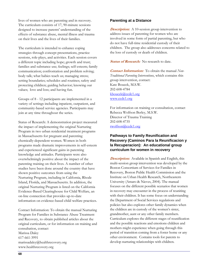lives of women who are parenting and in recovery. The curriculum consists of 17, 90-minute sessions designed to increase parents' understanding of the effects of substance abuse, mental illness and trauma on their lives and the lives of their families.

The curriculum is intended to enhance coping strategies through concept presentations, practice sessions, role-plays, and activities. Each session covers a different topic including hope; growth and trust; families and substance use; feelings; self-esteem; family communication; confrontation and problem solving; body talk; what babies teach us; managing stress; setting boundaries; schedules and routines; safety and protecting children; guiding behavior; knowing our values; love and loss; and having fun.

Groups of 8 - 12 participants are implemented in a variety of settings including inpatient, outpatient, and community-based service agencies. Participants may join at any time throughout the series.

Status of Research: A demonstration project measured the impact of implementing the original Nurturing Program in two urban residential treatment programs in Massachusetts for pregnant and parenting chemically-dependent women. Women in both programs made dramatic improvements in self-esteem and experienced significant gains in parenting knowledge and attitudes. Participants were also overwhelmingly positive about the impact of the parenting training on their lives. A number of other studies have been done around the country that have shown positive outcomes from using the Nurturing Program, including in California, Rhode Island, Florida, and Massachusetts. In addition, the original Nurturing Program is listed on the California Evidence-Based Clearinghouse for Child Welfare, an on-line connection that provides up-to-date information on evidence-based child welfare practices.

Contact Information: To obtain the manual Nurturing Program for Families in Substance Abuse Treatment and Recovery, to obtain published articles about the original curriculum, or for information on training and consultation, contact Marissa Daley 617-661-3991 marissadaley@healthrecovery.org www.healthrecovery.org

#### **Parenting at a Distance**

**Description:** A 10-session group intervention to address issues of parenting for women who are involved in some form of partial parenting, but who do not have full-time residential custody of their children. The group also addresses concerns related to the loss of custody or death of children.

**Status of Research:** No research to date.

**Contact Information:**To obtain the manual *Non-Traditional Parenting Interventions*, which contains this group intervention, contact: Kate Boucek, M.S.W. 202-608-4784 kboucek@ccdc1.org www.ccdc1.org

For information on training or consultation, contact Rebecca Wolfson Berley, M.S.W. Director of Trauma Training 202-608-4735 rwolfson@ccdc1.org

#### **Pathways to Family Reunification and Recovery (Caminos Para la Reunificacion y la Recuperacion): An educational group curriculum for women in recovery**

**Description:**Available in Spanish and English, this multi-session group intervention was developed by the Boston Consortium of Services for Families in Recovery, Boston Public Health Commission and the Institute on Urban Health Research, Northeastern University (Amaro & Nieves, 2004). The manual focuses on the different possible scenarios that women in recovery may encounter in the process of reuniting with their children. It has some focus on understanding the Department of Social Services regulations and policies but also explores other family dynamics when the children are in custody of the women's sister, grandmother, aunt or any other family members. Curriculum explores the different stages of reunification and the possible reactions and emotions children and mothers might experience when going through this period of transition coming from a foster home or any other environment. Contains tools for parents to develop nurturing relationships with children.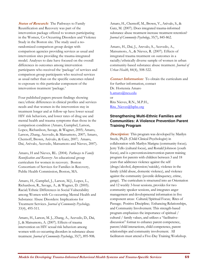**Status of Research:** The Pathways to Family Reunification and Recovery was part of the intervention package offered to women participating in the Women, Co-Occurring Disorders and Violence Study in the Boston site. The study used a norandomized comparison group design with comparison agencies providing services as usual and intervention sites providing the trauma-integrated model. Analyses to date have focused on the overall differences in outcomes among intervention participants who received the 'package' of services and comparison group participants who received services as usual rather than on the specific outcomes related to exposure to this particular component of the intervention treatment 'package.'

Four published papers present findings showing race/ethnic differences in clinical profiles and services needs and that women in the intervention stay in treatment longer and at follow-up have lower sexual HIV risk behaviors, and lower rates of drug use and mental health and trauma symptoms than those in the comparison condition (Amaro, Gampbel, Larson, Lopez, Richardson, Savage, & Wagner, 2005; Amaro, Larson, Zhang, Acevedo, & Matsumoto, 2007; Amaro, Chernoff, Brown, Arévalo, & Gatz, 2007; Amaro, Dai, Arévalo, Acevedo, Matsumoto and Nieves, 2007).

Amaro, H and Nieves, RL. (2004). *Pathways to Family Reunification and Recovery*: An educational group curriculum for women in recovery. Boston Consortium of Services for Families in Recovery, Public Health Commission, Boston, MA.

Amaro, H., Gampbel, J., Larson, M.J., Lopez, L., Richardson, R., Savage, A., & Wagner, D. (2005). Racial/Ethnic Differences in Social Vulnerability among Women with Co-occurring Mental Health and Substance Abuse Disorders: Implications for Treatment Services. *Journal of Community Psychology,*  33(4), 495-511*.* 

Amaro, H., Larson, M. J., Zhang, A., Acevedo, D., Dai, J., & Matsumoto, A. (2007). Effects of trauma intervention on HIV sexual risk behaviors among women with co-occurring disorders in substance abuse treatment. *Journal of Community Psychology*, 35(7), 895-908**.** 

Amaro, H., Chernoff, M., Brown, V., Arévalo, S., & Gatz, M. (2007). Does integrated trauma-informed substance abuse treatment increase treatment retention? *Journal of Community Psychology*, 35(7), 845-862.

Amaro, H., Dai, J., Arevalo, S., Acevedo, A., Matsumoto, A., & Nieves, R. (2007). Effects of integrated trauma treatment on outcomes in a racially/ethnically diverse sample of women in urban community-based substance abuse treatment. *Journal of Urban Health*, 84(4), 508-522.

**Contact Information:**To obtain the curriculum and for further information, contact Dr. Hortensia Amaro h.amaro@neu.edu or Rita Nieves, R.N., M.P.H., Rita\_Nieves@bphc.org

#### **Strengthening Multi-Ethnic Families and Communities: A Violence Prevention Parent Training Program**

**Description:**This program was developed by Marilyn Steele, Ph,D. (Child Clinical Psychologist) in collaboration with Marilyn Marigna (community focus); Jerry Tello (cultural focus), and Ronald Johnson (youth focus), and is a prevention**-**intervention parent training program for parents with children between 3 and 18 years that addresses violence against the self (drugs/alcohol, depression/suicide), violence in the family (child abuse, domestic violence), and violence against the community (juvenile delinquency, crime, gangs). The curriculum is structured into an Orientation and 12 weekly 3-hour sessions, provides for two community speaker sessions, and integrates anger management and developmental information in five component areas: Cultural/Spiritual Focus; Rites of Passage; Positive Discipline; Enhancing Relationships, and Community Involvement. This strength-based program emphasizes the importance of spiritual / cultural / family values, and utilizes a "facilitativediscussion" format to enhance parent competence, parent/child interactions, child competence, parent relationships and community involvement. All facilitators must attend a Five-Day Training Workshop.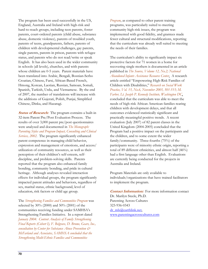The program has been used successfully in the US, England, Australia and Ireland with high-risk and hard-to-reach groups, including teen parents, foster parents, court-ordered parents (child abuse, substance abuse, domestic violence), parents of troubled youth, parents of teens, grandparents, fathers, parents of children with developmental challenges, gay parents, single parents, parents in prison, parents with refugee status, and parents who do not read/write or speak English. It has also been used in the wider community in schools (all levels), churches, and with parents whose children are 0-5 years. Parent materials have been translated into Arabic, Bengali, Bosnian-Serbo Croatian, Chinese, Farsi, African-Based French, Hmong, Korean, Laotian, Russian, Samoan, Somali, Spanish, Turkish, Urdu, and Vietnamese. By the end of 2007, the number of translations will increase with the additions of Gujerati, Polish, Punjai, Simplified Chinese, Dinka, and Hazaragi.

*Status of Research:* The program contains a built-in 32-item Parent Pre/Post Evaluation Process. The results of over 3,000 parent pre/post questionnaires were analyzed and documented in *The Monograph: Parenting Styles and Program Impact, Consulting and Clinical Services, 2002*. The program significantly enhanced parent competence in managing child behavior, expression and management of emotions, and access/ utilization of community resources, as well as their perception of their children's self-esteem, selfdiscipline, and problem-solving skills. Parents reported that the program also enhanced family bonding, community bonding, and pride in cultural heritage. Although analyses revealed interaction effects for individual groups, the program significantly impacted parent attitudes and behaviors, regardless of sex, marital status, ethnic background, level of education, risk factors or child age group.

The *Strengthening Families and Communities Program* was selected by 30% (2000) and 50% (2001) of the communities receiving funding under SAMHSA's Strengthening Families Initiative. In a report dated *January 2004: Content Analysis of Family Strengthening Final Reports (Cohort I), F. Belgrave, D. Brome, Gears, Inc., consultation by Center for Substance Abuse Prevention & McFarland and Associates, SAMHSA concluded that the Strengthening Multi-Ethnic Families and Communities* 

*Program*, as compared to other parent training programs, was particularly suited to meeting community high-risk issues, the program was implemented with good fidelity, and grantees made fewer cultural and structural modifications, reporting that the curriculum was already well suited to meeting the needs of their families.

The curriculum's ability to significantly impact six protective factors for 71 women in a home for recovering single mothers is documented in an article published in *The Source, Volume 12, No.2; National Abandoned Infants Assistance Resource Center*. A research article entitled "Empowering High-Risk Families of Children with Disabilities," *Research on Social Work Practice, Vol. 15, No.6, November 2005, 501-515; M. Farber, Lt. Joseph P. Kennedy Institute, Washington DC*, concluded that the curriculum was able to meet the needs of high-risk African American families rearing children with development delays, and that all outcomes evidenced statistically significant and practically meaningful positive trends. A recent evaluation (July 2007) of 82 parent classes in the United Kingdom (2004-2005) concluded that the Program had a positive impact on the participants and the children, and to some extent the wider family/community. Three-fourths (75%) of the participants were of minority ethnic origin, reporting a total of 89 different ethnicities, and almost half (46%) had a first language other than English. Evaluations are currently being conducted for the projects in Australia and Ireland.

Program Materials are only available to individuals/organizations that have trained facilitators to implement the program.

**Contact Information:**For more information contact Dr. Marilyn Steele, Ph.D. Parenting Across Cultures 323-936-0343 dr\_mls@earthlink.net, www.parentingacrosscultures.com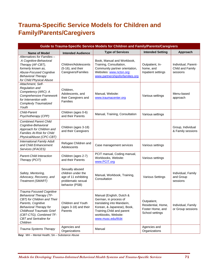# **Trauma-Specific Service Models for Children and Family/Parents/Caregivers**

| Guide to Trauma-Specific Service Models for Children and Family/Parents/Caregivers                                                                                                                                                             |                                                                                                       |                                                                                                                                                                                          |                                                                          |                                                     |
|------------------------------------------------------------------------------------------------------------------------------------------------------------------------------------------------------------------------------------------------|-------------------------------------------------------------------------------------------------------|------------------------------------------------------------------------------------------------------------------------------------------------------------------------------------------|--------------------------------------------------------------------------|-----------------------------------------------------|
| <b>Name of Model</b>                                                                                                                                                                                                                           | <b>Intended Audience</b>                                                                              | <b>Type of Services</b>                                                                                                                                                                  | <b>Intended Setting</b>                                                  | Approach                                            |
| Alternatives for Families -<br>A Cognitive-Behavioral<br>Therapy (AF-CBT),<br>formerly known as,<br><b>Abuse-Focused Cognitive</b><br><b>Behavioral Therapy</b><br>for Child Physical Abuse                                                    | Children/Adolescents<br>(5-16), and their<br>Caregivers/Families                                      | Book, Manual and Workbook,<br>Training, Consultation,<br>Community partner orientation,<br>Websites: www.nctsn.org;<br>www.partnershipsforfamilies.org                                   | Outpatient, In-<br>home, and<br>Inpatient settings                       | Individual, Parent-<br>Child and Family<br>sessions |
| Attachment, Self-<br>Regulation and<br>Competency (ARC): A<br>Comprehensive Framework<br>for Intervention with<br><b>Complexly Traumatized</b><br>Youth                                                                                        | Children,<br>Adolescents, and<br>their Caregivers and<br>Families                                     | Manual, Website:<br>www.traumacenter.org                                                                                                                                                 | Various settings                                                         | Menu-based<br>approach                              |
| Child-Parent<br>Psychotherapy (CPP)                                                                                                                                                                                                            | Children (ages 0-6)<br>and their Parents                                                              | Manual, Training, Consultation                                                                                                                                                           | Various settings                                                         |                                                     |
| <b>Combined Parent Child</b><br>Cognitive-Behavioral<br>Approach for Children and<br><b>Families At-Risk for Child</b><br>PhysicalAbuse (CPC-CBT)                                                                                              | Children (ages 3-18)<br>and their Caregivers                                                          |                                                                                                                                                                                          |                                                                          | Group, Individual<br>& Family sessions              |
| <b>International Family Adult</b><br>and Child Enhancement<br>Services (IFACES)                                                                                                                                                                | Refugee Children and<br>Adolescents                                                                   | Case management services                                                                                                                                                                 | Various settings                                                         |                                                     |
| <b>Parent-Child Interaction</b><br>Therapy (PCIT)                                                                                                                                                                                              | Children (ages 2-7)<br>and their Parents                                                              | PCIT manual, Coding manual,<br>Workbooks, Website:<br>www.PCIT.org                                                                                                                       | Various settings                                                         |                                                     |
| Safety, Mentoring,<br>Advocacy, Recovery, and<br>Treatment (SMART)                                                                                                                                                                             | Sexually abused<br>children under the<br>age of 11 exhibiting<br>problematic sexual<br>behavior (PSB) | Manual, Workbook, Training,<br>Consultation                                                                                                                                              | <b>Various Settings</b>                                                  | Individual, Family<br>and Group<br>sessions         |
| Trauma Focused Cognitive<br><b>Behavioral Therapy (TF-</b><br>CBT) for Children and Their<br>Parents, Cognitive<br>Behavioral Therapy for<br>Childhood Traumatic Grief<br>(CBT-CTG), Combined TF-<br><b>CBT</b> and Sertraline for<br>Children | Children and Youth<br>(ages 3-18) and their<br>Parents                                                | Manual (English, Dutch &<br>German, in process of<br>translating into Mandarin,<br>Korean, & Japanese), Book,<br>Training, Child and parent<br>workbooks, Website:<br>www.musc.edu/tfcbt | Outpatient,<br>Residential, Home,<br>Foster Home, and<br>School settings | Individual, Family<br>or Group sessions             |
| Trauma Systems Therapy                                                                                                                                                                                                                         | Agencies and<br>Organizations                                                                         | Manual                                                                                                                                                                                   | Agencies and<br>Organizations                                            |                                                     |

**Key:** MH – Mental Health; SA – Substance Abuse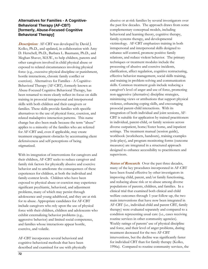#### **Alternatives for Families - A Cognitive-Behavioral Therapy (AF-CBT) [formerly, Abuse-Focused Cognitive Behavioral Therapy]**

**Description:** AF-CBT was developed by David J. Kolko, Ph.D., and updated, in collaboration with Amy D. Herschell, Ph.D., Barbara L. Baumann, Ph.D., and Meghan Shaver, M.S.W., to help children, parents and other caregivers involved in child physical abuse or exposed to related circumstances involving physical force (e.g., excessive physical discipline or punishment, hostile interactions, chronic family conflict or coercion). Alternatives for Families - A Cognitive-Behavioral Therapy (AF-CBT), formerly known as Abuse-Focused Cognitive Behavioral Therapy, has been renamed to more clearly reflect its focus on skills training in prosocial intrapersonal and interpersonal skills with both children and their caregivers or families. These skills provide families with specific alternatives to the use of physical force, coercion, and related maladaptive interaction patterns. This name change has also been made because the term "abuse" applies to a minority of the families who are referred for AF-CBT and, even if applicable, may create treatment engagement obstacles by accentuating client defensiveness and self-perceptions of being stigmatized.

With its integration of interventions for caregivers and their children, AF-CBT seeks to reduce caregiver and family risk factors for physically abusive and coercive behavior and to ameliorate the consequences of these experiences for children, at both the individual and family-context levels. Children who have been exposed to physical abuse or coercion may experience significant psychiatric, behavioral, and adjustment problems, many of which may persist through adolescence and young adulthood, and they are at risk for re-abuse. Appropriate candidates for AF-CBT include caregivers who rely upon the use of physical force with their children, children and adolescents who exhibit externalizing behavior problems (e.g., aggressive behavior) and limited social competence, and families whose interactions appear hostile, coercive, and volatile.

AF-CBT incorporates several behavioral and cognitive-behavioral methods that have been described and examined for use with physically abusive or at-risk families by several investigators over the past few decades. The approach draws from some complementary conceptual models, including behavioral and learning theory, cognitive therapy, family-systems therapy, and developmental victimology. AF-CBT emphasizes training in both intrapersonal and interpersonal skills designed to enhance self-control, promote positive family relations, and reduce violent behavior. The primary techniques or treatment modules include the processing of abusive and coercive incidents, clarification, affect regulation, cognitive restructuring, effective behavior management, social skills training, and training in problem-solving and communication skills. Common treatment goals include reducing a caregiver's level of anger and use of force, promoting non-aggressive (alternative) discipline strategies, minimizing views or attributions that support physical violence, enhancing coping skills, and encouraging prosocial parent-child interactions. With its integration of both individual and joint sessions, AF-CBT is suitable for application by trained practitioners in individual, parent-child, or family sessions across diverse outpatient, home/foster home, and inpatient settings. The treatment manual (session guide), workbook (worksheets, handouts), training examples (role-plays), and program monitoring forms (outcome measures) are integrated in a structured approach designed to enhance accessibility to practitioners and supervisors.

**Status of Research:** Over the past three decades, many of the key procedures incorporated in AF-CBT have been found effective by other investigators in improving child, parent, and/or family functioning, and reducing abuse risk or re-abuse among diverse populations of parents, children, and families. In a clinical trial that examined both clinical and child welfare outcomes through 1-year follow-up, the two main interventions that have now been integrated in AF-CBT (i.e., individual child and parent CBT, family therapy) were evaluated separately and compared to a condition representing usual care (i.e., cases receiving routine services in other community agencies). Weekly ratings of parents' use of physical discipline and force, and their level of anger problems, during treatment decreased for the two AF-CBT interventions, but the decline was significantly faster for individual CBT than for family therapy (Kolko, 1996a). Compared to routine community services, the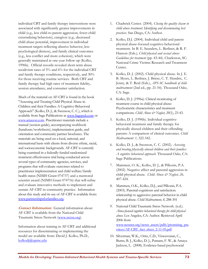individual CBT and family therapy interventions were associated with significantly greater improvements in child (e.g., less child-to-parent aggression, fewer child externalizing behaviors), caregiver (e.g., decreased child abuse potential, improvement in individual treatment targets reflecting abusive behavior, less psychological distress), and family clinical outcomes (e.g., less conflict and more cohesion), which were generally maintained at one-year follow-up (Kolko, 1996b). Official records revealed short-term abuse recidivism rates of 5% and 6% for the individual CBT and family therapy conditions, respectively, and 30% for those receiving routine services. Both CBT and family therapy had high rates of treatment fidelity, session attendance, and consumer satisfaction.

Much of the material on AF-CBT is found in the book "Assessing and Treating Child Physical Abuse in Children and their Families: A Cognitive-Behavioral Approach" (Kolko, D. J., & Swenson, C. C.), which is available from Sage Publications at www.Sagepub.com or www.amazon.com. Practitioner materials include a manual (session guide), accompanying workbook (handouts/worksheets), implementation guide, and orientation and community partner brochures. The materials are being used on a local, national, and international basis with clients from diverse ethnic, racial, and socioeconomic backgrounds. AF-CBT is currently being examined in a federally-funded randomized treatment effectiveness trial being conducted across several types of community agencies, services, and programs that will evaluate outcomes related to practitioner implementation and child welfare/family health status (NIMH Grant 074737) and a mentored scientist award (NIMH Grant 074716) that will refine and evaluate innovative methods to implement and sustain AF-CBT in community practice. Information about this study and its use of AF-CBT is available from: www.partnershipsforfamilies.org.

*Contact Information:* General information about AF-CBT is available from the National Child Traumatic Stress Network (www.nctsn.org).

Information about training in AF-CBT and additional resources for disseminating or implementing the model are available from: David J. Kolko, Ph.D., kolkodj@upmc.edu

- 1. Chadwick Center. (2004). *Closing the quality chasm in child abuse treatment: Identifying and disseminating best practices.* San Diego, CA: Author.
- 2. Kolko, D.J. (2004). Individual child and parent physical abuse-focused cognitive-behavioral treatment. In B. E. Saunders, L. Berliner, & R. F. Hanson (Eds.), *Child physical and sexual abuse: Guidelines for treatment* (pp. 43-44). Charleston, SC: National Crime Victims Research and Treatment Center.
- 3. Kolko, D. J. (2002). Child physical abuse. In J. E. B. Myers, L. Berliner, J. Briere, C. T. Hendrix, C. Jenny, & T. Reid (Eds.), *APSAC handbook of child maltreatment* (2nd ed., pp. 21-54). Thousand Oaks, CA: Sage.
- 4. Kolko, D. J. (1996a). Clinical monitoring of treatment course in child physical abuse: Psychometric characteristics and treatment comparisons. *Child Abuse & Neglect, 20*(1), 23-43.
- 5. Kolko, D. J. (1996b). Individual cognitivebehavioral treatment and family therapy for physically abused children and their offending parents: A comparison of clinical outcomes. *Child Maltreatment: 1*, 322-342.
- 6. Kolko, D. J., & Swenson, C. C. (2002). *Assessing and treating physically abused children and their families: A cognitive behavioral approach*. Thousand Oaks, CA: Sage Publications.
- 7. Mammen, O. K., Kolko, D. J., & Pilkonis, P.A. (2002). Negative affect and parental aggression in child physical abuse. *Child Abuse & Neglect, 26,* 407-424.
- 8. Mammen, O.K., Kolko, D.J., and Pilkonis, P.A. (2003). Parental cognitions and satisfaction: relationship to aggressive parental behavior in child physical abuse. *Child Maltreatment, 8*, 288-301
- 9. National Child Traumatic Stress Network. (n.d.). *Abuse-focused cognitive behavioral therapy for child physical abuse*. Los Angeles, CA: Author. Retrieved April 2006 from www.nctsnet.org/nctsn\_assets/pdfs/promising\_pra ctices/AF-CBT\_fact\_sheet\_2-11-05.pdf
- 10. Silverman, W.K., Ortiz, C.D., Viswesvaran, C., Burns, B. J., Kolko, D. J., Putnam, F. W., & Amaya-Jackson, L. (2008). Evidence-based psychosocial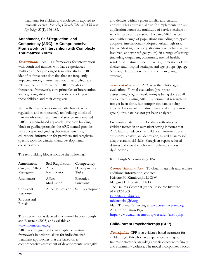treatments for children and adolescents exposed to traumatic events. *Journal of Clinical Child and Adolescent Psychology*, 37(1), 156-183.

### **Attachment, Self-Regulation, and Competency (ARC): A Comprehensive Framework for Intervention with Complexly Traumatized Youth**

**Description:**ARC is a framework for intervention with youth and families who have experienced multiple and/or prolonged traumatic stress. ARC identifies three core domains that are frequently impacted among traumatized youth, and which are relevant to future resiliency. ARC provides a theoretical framework, core principles of intervention, and a guiding structure for providers working with these children and their caregivers.

Within the three core domains (attachment, selfregulation, and competency), ten building blocks of trauma-informed treatment and service are identified. ARC is a menu-based approach. For each building block or guiding principle, the ARC manual provides key concepts and guiding theoretical structure, educational information for providers and caregivers, specific tools for clinicians, and developmental considerations.

The ten building blocks include the following:

| <b>Attachment</b>              | Self-Regulation          | <b>Competency</b>      |
|--------------------------------|--------------------------|------------------------|
| Caregiver Affect<br>Management | Affect<br>Identification | Developmental<br>Tasks |
| Attunement                     | Affect<br>Modulation     | Executive<br>Functions |
| Consistent<br>Response         | Affect Expression        | Self Development       |
| Routine and<br>Rituals         |                          |                        |

The intervention is detailed in a manual by Kinniburgh and Blaustein (2005) and available at.

www.traumacenter.org.

ARC was designed to be an adaptable treatment framework in order to allow for individualized treatment approaches that are based on a comprehensive assessment of developmental strengths and deficits within a given familial and cultural context. This approach allows for implementation and application across the multitude of service settings in which these youth present. To date, ARC has been used with a range of populations (including pre-/postadoptive, internationally adopted, urban high-risk, Native Alaskan, juvenile justice-involved, child-welfare involved, and war refugee youth), in a range of settings (including outpatient, community mental health, residential treatment, secure facility, domestic violence shelter, and hospital settings), and age groups (ap. age 5 through late adolescent, and their caregiving systems).

**Status of Research:** ARC is in the pilot stages of evaluation. Formal evaluation (pre-/postassessment/program evaluation) is being done at all sites currently using ARC. Experimental research has not yet been done, but comparison data is being collected at one site (treatment-as-usual comparison group); this data has not yet been analyzed.

Preliminary data from a pilot study with adoptive children treated in an outpatient setting indicates that ARC leads to reduction in child posttraumatic stress symptoms, anxiety, and depression, as well as increased adaptive and social skills. Caregivers report reduced distress and view their children's behaviors as less dysfunctional.

Kinniburgh & Blaustein (2005)

**Contact Information:** To obtain materials and acquire additional information, contact: Kristine M. Kinniburgh, LICSW Margaret E. Blaustein, Ph.D. The Trauma Center at Justice Resource Institute 617-232-1303 kkinniburgh@jri.org mblaustein@jri.org Main Trauma Center Page: www.traumacenter.org ARC Information Page: http://www.traumacenter.org/research/ascot.php

## **Child-Parent Psychotherapy (CPP)**

**Description:** CPP is an evidence-based treatment for children aged 0-6 who have experienced a range of traumatic stressors, including chronic exposure to family and community violence. The model incorporates a focus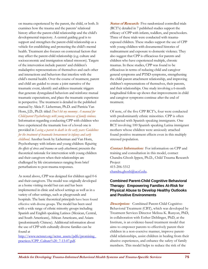on trauma experienced by the parent, the child, or both. It examines how the trauma and the parents' relational history affect the parent-child relationship and the child's developmental trajectory. A central guiding goal is to support and strengthen the parent-child relationship as a vehicle for establishing and protecting the child's mental health. Treatment also focuses on contextual factors that may affect the parent-child relationship (e.g. culture and socioeconomic and immigration related stressors). Targets of the intervention include parents' and children's maladaptive representations of themselves and each other and interactions and behaviors that interfere with the child's mental health. Over the course of treatment, parent and child are guided to create a joint narrative of the traumatic event, identify and address traumatic triggers that generate dysregulated behaviors and reinforce mutual traumatic expectations, and place the traumatic experience in perspective. The treatment is detailed in the published manual by Alicia F. Lieberman, Ph.D. and Patricia Van Horn, J.D., Ph.D. titled *Don't hit my mommy: A manual for Child-parent Psychotherapy with young witnesses of family violence.* Information regarding conducting CPP with children who have experienced the traumatic loss of a loved one is provided in *Losing a parent to death in the early years: Guidelines for the treatment of traumatic bereavement in infancy and early childhood.* Another book by Lieberman and Van Horn, Psychotherapy with infants and young children*: Repairing the effects of stress and trauma on early attachment,* presents the theoretical rationale for intervention with young children and their caregivers when their relationships are challenged by life circumstances ranging from brief perturbations to post-trauma responses.

As noted above, CPP was designed for children aged 0-6 and their caregivers. The model was originally developed as a home visiting model but can and has been implemented in clinic and school settings as well as in a variety of other settings, such as playgrounds and hospitals. The basic theoretical principals have been found effective with diverse groups. The model has been used with a wide range of ethnic minority groups including Spanish and English speaking Latinos (Mexican, Central, and South Americans), African Americans, and Asians (predominantly Chinese). Additional information about the use of CPP with culturally diverse families can be found at

http://www.nctsnet.org/nctsn\_assets/pdfs/promising\_ practices/CPP\_Culture%20\_7-13-07.pdf.

**Status of Research:** Five randomized controlled trials (RCT's) detailed in 7 published studies support the efficacy of CPP with infants, toddlers, and preschoolers. Three of these trials were conducted with traumaexposed children. These studies support the use of CPP with young children with documented histories of maltreatment and exposure to domestic violence. They also suggest that CPP is efficacious for parents and children who have experienced multiple, chronic traumas. In these studies, CPP was found to be efficacious in terms of reducing child and caregiver general symptoms and PTSD symptoms, strengthening the child-parent attachment relationship, and improving children's representations of themselves, their parents, and their relationships. One study involving a 6-month longitudinal follow-up shows that improvements in child and caregiver symptoms continue after the end of treatment.

Of note, of the five CPP RCT's, four were conducted with predominantly ethnic minorities. CPP is often conducted with Spanish speaking immigrants. One RCT involving 100 Spanish speaking Latina immigrant mothers whose children were anxiously attached found positive treatment effects even in this multiply stressed population.

**Contact Information:** For information on CPP and training and consultation in this model, contact Chandra Ghosh Ippen, Ph.D., Child Trauma Research Project 415-206-5312 chandra.ghosh@ucsf.edu.

#### **Combined Parent-Child Cognitive Behavioral Therapy: Empowering Families At-Risk for Physical Abuse to Develop Healthy Outlooks and Positive Environments**

**Description:** Combined Parent-Child Cognitive-Behavioral Treatment (CBT), which was developed by Treatment Services Director Melissa K. Runyon, PhD, in collaboration with Esther Deblinger, PhD, at the Institute, is an evidence-based treatment model that aims to empower parents to effectively parent their children in a non-coercive manner, improve parentchild relationships, assist children in healing from their abusive experiences, and enhance the safety of family members. This model helps to reduce the risk of the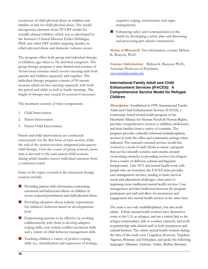recurrence of child physical abuse in children and families at-risk for child physical abuse. The model incorporates elements from TF-CBT model for sexually abused children, which was co-developed by the Institute's Clinical Director Esther Deblinger, PhD, and other CBT models targeting families in which physical abuse and domestic violence occurs.

The program offers both group and individual therapy to children, ages three to 18, and their caregivers. The group therapy program is time-limited and consists of 16-two hour sessions which involve meeting with both parents and children separately and together. The individual therapy program consists of 90 minute sessions which involve meeting separately with both the parent and child, as well as family meetings. The length of therapy may exceed 16 sessions if necessary.

The treatment consists of three components:

- 1. Child Intervention
- 2. Parent Intervention
- 3. Parent-Child Intervention

Parent and child interventions are conducted concurrently for the first hour of each session, while the end of the session involves integrated joint parentchild therapy. Over the course of group sessions, more time is devoted to the joint parent-child sessions during which families receive individual attention from a consistent coach.

Some of the topics covered in the structured therapy sessions include:

- Providing parents with information concerning emotional and behavioral effects on children of severe corporal punishment and child physical abuse
- **Providing education about realistic expectations** for children's behavior based on developmental level
- **Empowering parents to be effective by working** collaboratively with them to develop adaptive coping skills, non-violent conflict resolution skills and a variety of child behavior management skills
- $\blacksquare$  Teaching children a variety of positive coping skills (i.e., identification and expression of feelings,

cognitive coping, assertiveness and anger management)

**Enhancing safety and communication in the** family by developing a safety plan and discussing and processing past abusive interactions

**Status of Research:** For information, contact Melissa K. Runyon, Ph.D.

**Contact Information:**Melissa K. Runyon, Ph.D., Associate Professor of Psychiatry runyonmk@umdnj.edu

#### **International Family Adult and Child Enhancement Services (IFACES): A Comprehensive Service Model for Refugee Children**

**Description:** Established in 1999, International Family, Adult and Child Enhancement Services (FACES), a community-based mental health program of the Heartland Alliance for Human Needs & Human Rights, provides comprehensive services to children, adolescents, and their families from a variety of countries. The program provides culturally informed multidisciplinary services in both the office and community settings when indicated. The outreach-oriented services model has evolved as a result of staff efforts to create a program that can be culturally sensitive and creative around overcoming obstacles to providing services for refugees from a variety of different cultural and linguistic backgrounds. Like ACT and mental health work with people who are homeless, the FACES team provides case management services, tending to basic survival needs and adjustment challenges, often prior to beginning more traditional mental health services. Case management activities build trust between the program participant and staff and allow for assessment and engagement into mental health services at the same time.

The team is not only multidisciplinary, but also multi ethnic. Ethnic mental health workers have themselves come to the U.S. as refugees, and are a critical link to the refugee communities, able to conduct outreach, and work in partnership with clinical staff as both interpreters and cultural brokers. The ethnic mental health workers during the time of the study were Congolese, Kosovar, Togolese, Algerian, Bosnian, and Ethiopian, and spoke the following languages: Albanian, Amharic, Arabic, Berber, Bosnian,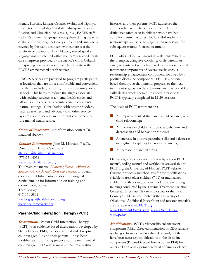French, Kurdish, Lingala, Oromo, Swahili, and Tigrinya. In addition to English, clinical staff also spoke Spanish, Russian, and Ukrainian. As a result, in all, FACES staff spoke 15 different languages among them during the time of the study. Although not every ethnicity and language is covered by the team, a concern with culture is at the forefront of the work. If a child being served speaks a language not represented within the team, a trained health care interpreter provided by the agency's Cross Cultural Interpreting Service serves in a similar capacity as the FACES ethnic mental health worker.

FACES services are provided to program participants at locations that are most comfortable and convenient for them, including at home, in the community, or at school. This helps to reduce the stigma associated with seeking services at a mental health clinic, and allows staff to observe and intervene in children's natural settings. Consultation with other providers, such as teachers, and advocacy with other service systems is also seen as an important component of the mental health service.

**Status of Research:**For information contact Dr. Liautaud (below)

**Contact Information:**Joan M. Liautaud, Psy.D., Director of Clinical Operations jliautaud@heartlandalliance.org (773)751-4054 www.heartlandalliance.org To obtain the manual *Nurturing Families Affected by Substance Abuse, Mental Illness and Trauma*, to obtain copies of published articles about the original curriculum, or for information on training and consultation, contact Terri Bogage 617-661-3991 terribogage@healthrecovery.org

## www.healthrecovery.org

#### **Parent-Child Interaction Therapy (PCIT)**

*Description:* Parent Child Interaction Therapy (PCIT) is an evidence-based intervention developed by Sheila Eyberg, PhD, for oppositional and disruptive children aged 2-7 and their parents. It has been modified as a promising practice for the treatment of children aged 2-12 with trauma and/or maltreatment

histories and their parents. PCIT addresses the common behavior challenges and/or relationship difficulties often seen in children who have had complex trauma histories. PCIT stabilizes family relationships and sets the stage, when necessary, for subsequent trauma-focused treatment.

PCIT offers effective parenting skills transmitted by the therapist, using live coaching, while parents or caregivers interact with children during two sequential treatment components of several weeks each: a relationship enhancement component followed by a positive discipline component. PCIT is a criteriabased therapy, so that parents progress to the next treatment stage when they demonstrate mastery of key skills during weekly 5-minute coded interactions. PCIT is typically completed in 12-20 sessions.

The goals of PCIT treatment are:

- An improvement of the parent-child or caregiverchild relationship;
- An increase in children's prosocial behaviors and a decrease in child behavior problems;
- An increase in positive parenting skills and a decrease in negative disciplinary behaviors by parents;
- A decrease in parental stress.

Dr. Eyberg's evidence-based, session by session PCIT manual, coding manual and workbooks are available at PCIT.org, the University of Florida's PCIT website. Current protocols and checklists for the modifications suitable to treat older children (7-12) or traumatized children and their caregivers are made available during trainings conducted by the Trauma Treatment Training Center at Cincinnati Children's Hospital or the Indian Country Child Trauma Center at the University of Oklahoma. Additional PowerPoint and research materials are available at www.PCIT.org; www.OhioCanDo4Kids.org, www.OKPCIT.org, and www.pcit.tv.

**Modifications:** PCIT's relationship enhancement component (Child-Directed Interaction or CDI) remains unchanged from its evidence-based original, but there have been necessary modifications to the discipline component (Parent-Directed Interaction or PDI) for older children with a primary referral of family violence.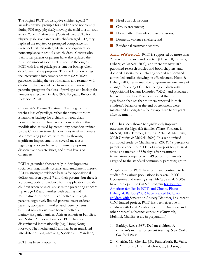The original PCIT for disruptive children aged 2-7 includes physical prompts for children who noncomply during PDI (e.g., physically moving the child to a timeout area.). When Chaffin et al. (2004) adapted PCIT for physically abusive parents with children aged 7-12, they replaced the required or prompted compliance for preschool children with graduated consequences for noncompliance in school-aged children. Centers who train foster parents or parents have also replaced the hands-on timeout room backup used in the original PCIT with loss of privileges as timeout backup when developmentally appropriate. This modification brings the intervention into compliance with SAMHSA's guidelines limiting the use of isolation and restraint with children. There is evidence from research on similar parenting programs that loss of privileges as a backup for timeout is effective (Barkley, 1997; Forgatch, Bullock, & Patterson, 2004).

Cincinnati's Trauma Treatment Training Center teaches loss of privilege rather than timeout room isolation as backup for a child's timeout chair noncompliance. Preliminary outcome data on this modification as used by community providers trained by the Cincinnati team demonstrates its effectiveness as a promising practice, with results showing significant improvement on several measures regarding problem behavior, trauma symptoms, dissociative characteristics, and stress levels of caregivers.

PCIT is grounded theoretically in developmental, social learning, family systems, and attachment theory. PCIT's strongest evidence base is for oppositional defiant children aged 2-7 and their parents, but there is a growing body of evidence for its application to older children when physical abuse is the presenting concern (up to age 12) and families with trauma and maltreatment histories. It is effective with single parents, cognitively limited parents, court-ordered parents, two-parent families, and foster parents. Cultural adaptations have been effective with Latino/Hispanic families, African American Families, and Native American families. PCIT has been disseminated internationally (e.g., Hong Kong, Norway, The Netherlands) and has been translated into different languages (e.g., Spanish and Mandarin).

PCIT has been adapted for:

- **Head Start classrooms;**
- Group treatment;
- Home rather than office based sessions;
- Domestic violence shelters; and
- Residential treatment centers.

**Status of Research:** PCIT is supported by more than 20 years of research and practice (Herschell, Calzada, Eyberg, & McNeil, 2002), and there are over 100 published research articles and book chapters, and doctoral dissertations including several randomized controlled studies showing its effectiveness. Hood & Eyberg (2003) examined the long-term maintenance of changes following PCIT for young children with Oppositional Defiant Disorder (ODD) and associated behavior disorders. Results indicated that the significant changes that mothers reported in their children's behavior at the end of treatment were maintained at long-term follow-up three to six years after treatment.

PCIT has been shown to significantly improve outcomes for high-risk families (Ware, Fortson, & McNeil, 2003; Timmer, Urquiza, Zebell & McGrath, 2005; Urquiza & McNeil, 2006). In a randomized controlled study by Chaffin, et al. (2004), 19 percent of parents assigned to PCIT had a re-report for physical abuse at a median of 850 days after treatment termination compared with 49 percent of parents assigned to the standard community parenting group.

Adaptations for PCIT have been and continue to be studied for various populations in several PCIT laboratories and training sites. McCabe et al. (2005) have developed the GANA program for Mexican American families in PCIT, and Choate, Pincus, Eyberg, & Barlow (2005) have adapted PCIT for children with Separation Anxiety Disorder. In a recent CDC-funded project, PCIT has been effective in children with Fetal Alcohol Spectrum Disorders and other prenatal substance exposure (Gurwitch, Mulvihil, Chaffin, et al., in preparation)

- 1. Barkley, R.A. (1987). Defiant children: A clinician's manual for parent training. New York: Guilford Press.
- 2. Chaffin, M., Silovsky, J.F., Funderburk, B., Valle, L.A., Brestan, E.V., Balachova, T., Jackson, S.,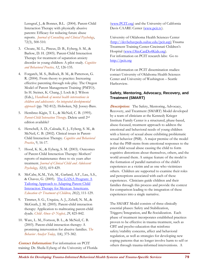Lensgraf, J., & Bonner, B.L. (2004). Parent-Child Interaction Therapy with physically abusive parents: Efficacy for reducing future abuse reports. *Journal of Consulting and Clinical Psychology*, 72(3), 500-510.

- 3. Choate, M. L., Pincus, D. B., Eyberg, S. M., & Barlow, D. H. (2005). Parent-Child Interaction Therapy for treatment of separation anxiety disorder in young children: A pilot study. *Cognitive and Behavioral Practice, 12*, 126-135.
- 4. Forgatch, M. S., Bullock, B. M., & Patterson, G. R. (2004). From theory to practice: Increasing effective parenting through role-play. The Oregon Model of Parent Management Training (PMTO). In H. Steiner, K. Chang, J. Lock & J. Wilson (Eds.), *Handbook of mental health interventions in children and adolescents: An integrated developmental approach* (pp. 782-812). Hoboken, NJ: Jossey-Bass.
- 5. Hembree-Kigin, T. L., & McNeil, C. B. (1995). *Parent-Child Interaction Therapy*. Delete until 2nd edition available?
- 6. Herschell, A. D., Calzada, E. J., Eyberg, S. M., & McNeil, C. B. (2002). Clinical issues in Parent-Child Interaction Therapy. *Cognitive and Behavioral Practice*, 9, 16-17.
- 7. Hood, K. K., & Eyberg, S. M. (2003). Outcomes of Parent-Child Interaction Therapy: Mothers' reports of maintenance three to six years after treatment. *Journal of Clinical Child and Adolescent Psychology, 32(3)*, 419-429.
- 8. McCabe, K.M., Yeh, M., Garland, A.F., Lau, A.S., & Chavez, G. (2005). The GANA Program: A Tailoring Approach to Adapting Parent Child Interaction Therapy for Mexican Americans. *Education & Treatment of Children, 28(2)*, 111-129.
- 9. Timmer, S. G., Urquiza, A. J., Zebell, N. M., & McGrath, J. M. (2005). Parent-child interaction therapy: Application to maltreating parent-child dyads. *Child Abuse & Neglect, 29*, 825-842.
- 10. Ware, L. M., Fortson, B. L., & McNeil, C. B. (2003). Parent-child interaction therapy: A promising intervention for abusive families. *The Behavior Analyst Today, 3(4)*, 375-382.

**Contact Information:** For information on PCIT training: Dr. Sheila Eyberg of the University of Florida (www.PCIT.org) and the University of California Davis CAARE Center (www.pcit.tv).

University of Oklahoma Health Sciences Center (http://devbehavpeds.ouhsc.edu/pcit.asp) Trauma Treatment Training Center-Cincinnati Children's Hospital (www.OhioCanDo4Kids.org). For information on PCIT research labs: Go to http://pcit.org

For information on PCIT dissemination studies: contact University of Oklahoma Health Sciences Center and University of Washington – Seattle Harborview.

#### **Safety, Mentoring, Advocacy, Recovery, and Treatment (SMART)**

**Description:**The Safety, Mentoring, Advocacy, Recovery, and Treatment (SMART) Model developed by a team of clinicians at the Kennedy Krieger Institute Family Center is a structured, phase-based, abuse-focused, treatment approach to address the emotional and behavioral needs of young children with a history of sexual abuse exhibiting problematic sexual behavior (PSB).A major premise of the model is that the PSB stems from emotional responses to the prior child sexual abuse causing the child to form cognitive distortions about themselves, others, and the world around them. A unique feature of the model is the formation of parallel narratives of the child's experiences as a victim and as one who victimizes others. Children are supported to examine their roles and perceptions associated with each of these experiences. Clinicians guide children and their families through this process and provide the context for comparison leading to the integration of these experiences into a single narrative.

The SMART Model consists of three clinically essential phases: Safety and Stabilization, Triggers/Integration, and Re-Socialization. Each phase of treatment incorporates established practices proven to be effective in trauma treatment, such as CBT and psycho-education that reinforce safety/stability concerns, affect and behavioral regulation, as well as strategies for developing new coping patterns that no longer involve harm to self or others through trauma-informed interventions. A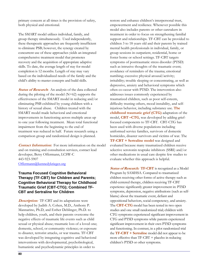primary concern at all times is the provision of safety, both physical and emotional.

The SMART model utilizes individual, family, and group therapy simultaneously. Used independently, these therapeutic approaches are frequently insufficient to eliminate PSB; however, the synergy created by concurrent use of these approaches yields an integrated comprehensive treatment model that promotes recovery and the acquisition of appropriate adaptive skills. To date, the average length of stay for model completion is 12 months. Length of stay may vary based on the individualized needs of the family and the child's ability to master concepts and build skills.

**Status of Research:** An analysis of the data collected during the piloting of the model  $(N=62)$  supports the effectiveness of the SMART model in reducing and/or eliminating PSB exhibited by young children with a history of sexual abuse. Children treated with the SMART model made behavioral and emotional improvements in functioning across multiple areas up to one year following treatment. Mean total functional impairment from the beginning to the end of treatment was reduced in half. Future research using a comparison group and randomized design is planned.

**Contact Information:** For more information on the model and on training and consultation services, contact lead developer, Betsy Offermann, LCSW-C 443-923-5907 Offermann@kennedykrieger.org

#### **Trauma Focused Cognitive Behavioral Therapy (TF-CBT) for Children and Parents; Cognitive Behavioral Therapy for Childhood Traumatic Grief (CBT-CTG); Combined TF-CBT and Sertraline for Children**

**Description:**TF-CBT and its adaptations were developed by Judith A. Cohen, M.D., Anthony P. Mannarino, Ph.D, and Esther Deblinger, Ph.D. to help children, youth, and their parents overcome the negative effects of traumatic life events such as child sexual or physical abuse; traumatic loss of a loved one; domestic, school, or community violence; or exposure to disaster, terrorist attacks, or war trauma. TF-CBT was developed by integrating cognitive and behavioral interventions with developmental, psychobiological, humanistic and psychodynamic principles in order to

restore and enhance children's interpersonal trust, empowerment and resilience. Whenever possible this model also includes parents or other caretakers in treatment in order to focus on strengthening familial support and relationships. TF-CBT can be provided to children 3 to 18 years old and their parents by trained mental health professionals in individual, family, or group sessions in outpatient, residential, home or foster home or school settings. TF-CBT targets symptoms of posttraumatic stress disorder (PTSD) such as intrusive thoughts of the traumatic event; avoidance of reminders of the trauma; emotional numbing; excessive physical arousal/activity; irritability; trouble sleeping or concentrating, as well as depressive, anxiety and behavioral symptoms which often co-occur with PTSD. The intervention also addresses issues commonly experienced by traumatized children, such as poor self-esteem, difficulty trusting others, mood instability, and selfinjurious behavior, including substance use. **The childhood traumatic grief (CTG)** adaptation of the model, **CBT –CTG**, was developed by adding grieffocused components to TF-CBT. CBT-CTG has been used with diverse populations including uniformed service families, survivors of domestic homicides, disaster survivors and victims of war. The **TF-CBT + Sertraline model** was designed and evaluated because many traumatized children receive selective serotonin reuptake inhibitors (SSRI) and/or other medications in usual care despite few studies to evaluate whether this approach is helpful.

**Status of Research:****TF-CBT** is recognized as a Model Program by SAMHSA. Compared to traumatized children receiving other forms of active therapy such as child-centered therapy, children receiving TF-CBT experience significantly greater improvement in: PTSD symptoms, depression, negative attributions (such as selfblame) about the traumatic event, defiant and oppositional behaviors, social competency, and anxiety. The **CBT-CTG** model has been tested in two open studies and one small randomized trial; children with CTG symptoms experienced significant improvement in CTG and PTSD symptoms while parents experienced significant improvement in their own PTSD symptoms and functioning. In contrast, in a pilot randomized trial the **TF-CBT + Sertraline** model did not appear to be more effective than TF-CBT + placebo in reducing children's PTSD or other symptoms.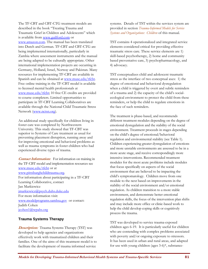The TF-CBT and CBT-CTG treatment models are described in the book "Treating Trauma and Traumatic Grief in Children and Adolescents" which is available from www.guilford.com or www.amazon.com. The manual has been translated into Dutch and German. TF-CBT and CBT-CTG are being implemented internationally, particularly in Zambia where assessment instruments and the manual are being adapted to be culturally appropriate. Other international implementation projects are occurring in Germany, Holland, Israel, Norway and Pakistan. Many resources for implementing TF-CBT are available in Spanish and can be obtained at www.musc.edu/tfcbt. Free online training in the TF-CBT model is available to licensed mental health professionals at www.musc.edu/tfcbt; 10 free CE credits are provided to course completers. Limited opportunities to participate in TF-CBT Learning Collaboratives are available through the National Child Traumatic Stress Network (www.nctsn.org).

An additional study specifically for children living in foster care was completed by Northwestern University. This study showed that TF-CBT was superior to Systems of Care treatment as usual for preventing placement disruption, running away and for improving emotional and behavioral problems as well as trauma symptoms in foster children who had experienced diverse types of trauma.

**Contact Information:** For information on training in the TF-CBT model and implementation resources see www.musc.edu/tfcbt or at www.pittsburghchildtrauma.org. For information about participating in a TF-CBT Learning Collaborative, contact Jan Markiewicz jmarkiewicz@psych.duhs.duke.edu For more information visit: www.modelprograms.samhsa.gov or contact: Judith Cohen jcohen1@wpahs.org

#### **Trauma Systems Therapy**

**Description:** Trauma Systems Therapy (TST) was developed to help agencies and organizations effectively work with traumatized children and their families. One of the aims of this treatment model is to facilitate the development of trauma informed service

systems. Details of TST within the services system are provided in section *Trauma-Informed Models for Service Systems and Organizations: Children* of this manual.

TST contains 4 operationalized and integrated service elements considered critical for providing effective traumatic stress care. These service elements are 1) skill-based psychotherapy, 2) home and community based preventative care, 3) psychopharmacology, and 4) advocacy.

TST conceptualizes child and adolescent traumatic stress as the interface of two conceptual axes: 1) the degree of emotional and behavioral dysregulation when a child is triggered by overt and subtle reminders of a trauma and 2) the capacity of the child's socialecological environment to protect the child from these reminders, or help the child to regulate emotions in the face of such reminders.

The treatment is phase-based, and recommends different treatment modules depending on the degree of emotional dysregulation and the stability of the social environment. Treatment proceeds in stages depending on the child's degree of emotional/behavioral regulation and environmental stability (see Table 1). Children experiencing greater dysregulation of emotions and more unstable environments are assessed to be in a more acute stage, and receive correspondingly more intensive interventions. Recommended treatment modules for the most acute problems include modules that focus specifically on aspects of the social environment that are believed to be impacting the child's symptomatology. Children move from one module to the next based on improvements in the stability of the social environment and/or emotional regulation. As children transition to a more stable environment, and demonstrate better emotional regulation skills, the focus of the intervention plan shifts and may include more office or clinic-based work to help the child develop coping skills or cognitively process the trauma.

TST was developed to service trauma-exposed children ages 6-19. It is particularly useful for children who are contending with complex problems associated with poverty and/or ongoing exposure to stressors. It has been used in urban and rural areas, and adapted for use with young children (ages 3-6)\*, substance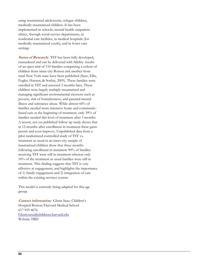using traumatized adolescents, refugee children, medically-traumatized children. It has been implemented in schools, mental health outpatient clinics, through social service departments, in residential care facilities, in medical hospitals (for medically-traumatized youth), and in foster care settings

**Status of Research:** TST has been fully developed, manualized and can be delivered with fidelity. results of an open trial of 110 families comprising a cohort of children from inner city Boston and another from rural New York state have been published (Saxe, Ellis, Fogler, Hansen, & Sorkin, 2005). These families were enrolled in TST and assessed 3 months later. These children were largely multiply traumatized and managing significant environmental stressors such as poverty, risk of homelessness, and parental mental illness and substance abuse. While almost 60% of families needed more intensive home and communitybased care at the beginning of treatment, only 39% of families needed this level of treatment after 3 months. A recent, not yet published follow up study shows that at 15-months after enrollment in treatment these gains persist and even improve. Unpublished data from a pilot randomized controlled study of TST vs. treatment as usual in an inner city sample of traumatized children show that three months following enrollment in treatment 90% of families receiving TST were still in treatment whereas only 10% of the treatment as usual families were still in treatment. This finding suggests that TST is very effective at engagement, and highlights the importance of 1) family engagement and 2) integration of care within the existing services system.

This model is currently being adapted for this age group.

**Contact information:** Glenn Saxe, Children's Hospital Boston/Harvard Medical School 617 919 4676 Glenn.saxe@childrens.harvard.edu Website TBD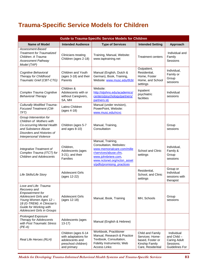# **Trauma-Specific Service Models for Children**

| <b>Guide to Trauma-Specific Service Models for Children</b>                                                                                                                                                   |                                                                                                      |                                                                                                                                                                                         |                                                                                                |                                                                                 |
|---------------------------------------------------------------------------------------------------------------------------------------------------------------------------------------------------------------|------------------------------------------------------------------------------------------------------|-----------------------------------------------------------------------------------------------------------------------------------------------------------------------------------------|------------------------------------------------------------------------------------------------|---------------------------------------------------------------------------------|
| <b>Name of Model</b>                                                                                                                                                                                          | <b>Intended Audience</b>                                                                             | <b>Type of Services</b>                                                                                                                                                                 | <b>Intended Setting</b>                                                                        | Approach                                                                        |
| Assessment-Based<br><b>Treatment for Traumatized</b><br>Children: A Trauma<br><b>Assessment Pathway</b><br>Model (TAP)                                                                                        | Clinicians treating<br>Children (ages 2-18)                                                          | Training, Manual, Website:<br>www.taptraining.net                                                                                                                                       | <b>Treatment centers</b>                                                                       | Individual and<br>Family<br>Sessions                                            |
| Cognitive Behavioral<br>Therapy for Childhood<br>Traumatic Grief (CBT-CTG)                                                                                                                                    | Children and Youth<br>(ages 3-18) and their<br>Parents                                               | Manual (English, Dutch &<br>German), Book, Training,<br>Website: www.musc.edu/tfcbt                                                                                                     | Outpatient,<br>Residential,<br>Home, Foster<br>Home, and School<br>settings                    | Individual,<br>Family or<br>Group<br>sessions                                   |
| Complex Trauma Cognitive<br><b>Behavioral Therapy</b>                                                                                                                                                         | Children &<br>Adolescents with or<br>without Caregivers,<br>SA, MH                                   | Website:<br>http://stjohns.edu/academics/<br>centers/psychology/partners/<br>partners.stj                                                                                               | Inpatient<br>psychiatric<br>facilities                                                         | Individual<br>sessions                                                          |
| <b>Culturally Modified Trauma-</b><br><b>Focused Treatment (CM-</b><br>TFT)                                                                                                                                   | Latino Children<br>(ages 4-18)                                                                       | Manual (under revision),<br>PowerPoint, Website:<br>www.musc.edu/ncvc                                                                                                                   |                                                                                                |                                                                                 |
| Group Intervention for<br>Children of Mothers with<br>Co-occurring Mental Health<br>and Substance Abuse<br>Disorders and Histories of<br>Interpersonal Violence                                               | Children (ages 5-7<br>and ages 8-10)                                                                 | Manual, Training,<br>Consultation                                                                                                                                                       |                                                                                                | Group<br>sessions                                                               |
| Integrative Treatment of<br>Complex Trauma (ITCT) for<br><b>Children and Adolescents</b>                                                                                                                      | Children,<br>Adolescents (ages<br>3-21), and their<br>Families                                       | Manual, Training,<br>Consultation, Websites:<br>www.memorialcare.com/mille<br>r/services/abuse.cfm,<br>www.johnbriere.com,<br>www.nctsnet.org/nctsn_asset<br>s/pdfs/promising practices | School and Clinic<br>settings                                                                  | Individual,<br>Family &<br>Group<br>sessions                                    |
| Life Skills/Life Story                                                                                                                                                                                        | <b>Adolescent Girls</b><br>(ages 12-22)                                                              |                                                                                                                                                                                         | Residential,<br>School, and Clinic<br>settings                                                 | Group or<br>Individual<br>sessions with<br>therapist                            |
| Love and Life: Trauma<br>Recovery and<br><b>Empowerment</b> for<br>Adolescent Girls and<br>Young Women Ages 12 -<br>18 (G-TREM): A Clinician's<br>Guide for Working with<br><b>Adolescent Girls in Groups</b> | <b>Adolescent Girls</b><br>(ages 12-18)                                                              | Manual, Book, Training                                                                                                                                                                  | MH, Schools                                                                                    | Group<br>sessions                                                               |
| <b>Prolonged Exposure</b><br><b>Therapy for Adolescents</b><br>with Post Traumatic Stress<br>$(PE-A)$                                                                                                         | Adolescents (ages<br>$13-17$                                                                         | Manual (English & Hebrew)                                                                                                                                                               |                                                                                                |                                                                                 |
| Real Life Heroes (RLH)                                                                                                                                                                                        | Children (ages 6-14<br>with adaptations for<br>adolescents and<br>preschool children)<br>and primary | Workbook, Practitioner<br>Manual, Research & Practice<br>Textbook, Consultation,<br>Fidelity Instruments; Web<br>Access Links:                                                          | Child and Family<br>Services: Home-<br>based, Foster or<br>Kinship Family<br>Care, Residential | Individual<br>and Child -<br><b>Caring Adult</b><br>Sessions;<br>Guidelines For |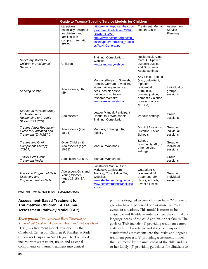| <b>Guide to Trauma-Specific Service Models for Children</b>                                           |                                                                                                        |                                                                                                                                                                                        |                                                                                                                                                                  |                                     |  |
|-------------------------------------------------------------------------------------------------------|--------------------------------------------------------------------------------------------------------|----------------------------------------------------------------------------------------------------------------------------------------------------------------------------------------|------------------------------------------------------------------------------------------------------------------------------------------------------------------|-------------------------------------|--|
|                                                                                                       | caregivers;<br>especially designed<br>for children and<br>families with<br>complex traumatic<br>stress | http://www.nrepp.samhsa.gov<br>/programfulldetails.asp?PRO<br><b>GRAM_ID=226;</b><br>http://www.nctsnet.org/nctsn<br>assets/pdfs/promising_practic<br>es/RLH_General.pdf               | Treatment, Mental<br><b>Health Clinics</b>                                                                                                                       | Assessment,<br>Service<br>Planning  |  |
| Sanctuary Model for<br>Children in Residential<br>Settings                                            | Children                                                                                               | Training, Consultation,<br>Website:<br>www.sanctuaryweb.com                                                                                                                            | Residential, Acute<br>Care, Out-patient,<br>Juvenile Justice,<br>and Substance<br>Abuse settings                                                                 |                                     |  |
| Seeking Safety                                                                                        | Adolescents, SA,<br><b>MH</b>                                                                          | Manual, (English, Spanish,<br>French, German, Swedish),<br>video training series; card<br>deck, poster; onsite<br>training/consultation;<br>research Website:<br>www.seekingsafety.com | Any clinical setting<br>(e.g., outpatient,<br>inpatient,<br>residential,<br>homeless.<br>criminal justice,<br>domestic violence,<br>private practice,<br>MH, SA) | Individual or<br>groups<br>sessions |  |
| <b>Structured Psychotherapy</b><br>for Adolescents<br><b>Responding to Chronic</b><br>Stress (SPARCS) | Adolescents                                                                                            | Leader Manual, Participant<br>Handouts & Worksheets,<br>Training, Consultation                                                                                                         | Various settings                                                                                                                                                 | Group<br>sessions                   |  |
| Trauma Affect Regulation:<br>Guide for Education and<br>Treatment (TARGET©)                           | Adolescents (age<br>$10-21)$                                                                           | Manuals, Training, QA,<br>Fidelity                                                                                                                                                     | MH & SA settings,<br>Juvenile Justice,,<br>Schools                                                                                                               | Group or<br>individual<br>sessions  |  |
| Trauma and Grief<br>Component Therapy<br>(TGCT)                                                       | Older Children &<br>Adolescents (ages<br>$10-18$                                                       | Manual, Workbook                                                                                                                                                                       | School,<br>community MH, or<br>other service<br>settings                                                                                                         | Group or<br>Individual<br>sessions  |  |
| <b>TRIAD Girls Group</b><br><b>Treatment Model</b>                                                    | Adolescent Girls, SA                                                                                   | Manual, Worksheets                                                                                                                                                                     |                                                                                                                                                                  | Group<br>sessions                   |  |
| Voices: A Program of Self-<br>Discovery and<br><b>Empowerment for Girls</b>                           | Adolescent Girls and<br>Young Women<br>(ages 12-18), SA,<br><b>MH</b>                                  | Facilitator's Manual, Girl's<br>workbook, Curriculum,<br>Training, Consultation, TA,<br>Websites:<br>www.stephaniecovington.com;<br>www.centerforgenderandjustic<br>e.com              | Outpatient &<br>residential SA<br>treatment. MH<br>clinics, schools,<br>juvenile justice                                                                         | Group or<br>Individual<br>sessions  |  |

**Key:** MH – Mental Health; SA – Substance Abuse

### **Assessment-Based Treatment for Traumatized Children: A Trauma Assessment Pathway Model (TAP)**

**Description:** *The Assessment-Based Treatment for Traumatized Children: A Trauma Assessment Pathway Model* (TAP) is a treatment model developed by the Chadwick Center for Children & Families at Rady Children's Hospital in San Diego. The TAP model incorporates assessment, triage, and essential components of trauma treatment into clinical

pathways designed to treat children from 2-18 years of age who have experienced one or more traumatic events or situations. This model is meant to be adaptable and flexible in order to meet the cultural and language needs of the child and his or her family. The goals of TAP include: (1) providing treatment center staff with the knowledge and skills to incorporate standardized assessments into the intake and ongoing treatment process; (2) providing a treatment model that is directed by the uniqueness of the child and his or her family; (3) providing guidelines for clinicians to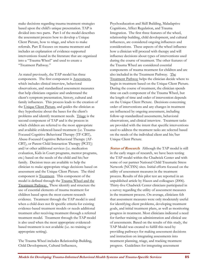make decisions regarding trauma treatment strategies based upon the child's unique presentation. TAP is divided into two parts. Part I of the model describes the assessment process how to develop a Unique Client Picture, how to triage, and when to make referrals. Part II focuses on trauma treatment and includes an explanation of evidence-supported interventions found in the literature that are organized into a "Trauma Wheel" and used to create a "Treatment Pathway."

As stated previously, the TAP model has three components. The first component is Assessment**,** which includes clinical interview, behavioral observations, and standardized assessment measures that help clinicians organize and understand the client's symptom presentation, history, cultural and family influences. This process leads to the creation of the Unique Client Picture, and guides the clinician as they hypothesize about the bases for the client's problems and identify treatment needs. Triage is the second component of TAP and is the process in which children are referred to the most appropriate and available evidenced-based treatment (i.e. Trauma-Focused Cognitive Behavioral Therapy (TF-CBT), Abuse-Focused Cognitive Behavioral Therapy (AF-CBT), or Parent Child Interaction Therapy (PCIT)) and/or other additional services (i.e. medication evaluation, Kids in Court programs, mentor programs, etc.) based on the needs of the child and his/her family. Decision trees are available to help the clinician to make appropriate triage decisions based on assessment and the Unique Client Picture. The third component is Treatment. This component of the model is defined through the Trauma Wheel and the Treatment Pathway. These identify and structure the use of essential elements of trauma treatment for children based upon the most current research evidence. Treatment through the TAP model is used when a child does not fit specific criteria for existing evidence-based treatment models or needs additional treatment after receiving treatment through a referred treatment model. Treatment through the TAP model is also used when the most appropriate evidencedbased treatment is not available (i.e. no training or appropriate setting).

The Trauma Wheel includes Relationship Building, Child Development, Cultural Influences,

Psychoeducation and Skill Building, Maladaptive Cognitions, Affect Regulation, and Trauma Integration. The first three features of the wheel, relationship building, child development, and cultural influences, are considered ongoing influences and considerations. These aspects of the wheel influence how a clinician will proceed with therapy and will influence decisions about types of interventions used during the course of treatment. The other features of the Trauma Wheel are considered essential components of trauma treatment for children and are also included in the Treatment Pathway. The Treatment Pathway helps the clinician decide where to begin in treatment based on the Unique Client Picture. During the course of treatment, the clinician spends time on each component of the Trauma Wheel, but the length of time and order of intervention depends on the Unique Client Picture. Decisions concerning order of interventions and any changes in treatment are influenced by ongoing assessment, including follow-up standardized assessments, behavioral observations, and clinical interview. Treatment tasks are provided with the intent that specific interventions used to address the treatment tasks are selected based on the needs of the individual client and his/her Unique Client Picture.

**Status of Research:** Although the TAP model is still in the early stages of research, we have been testing the TAP model within the Chadwick Center and with some of our partner National Child Traumatic Stress Network (NCTSN) sites. Initial efforts focused on the utility of assessment measures in the treatment process. Results of this pilot test are reported in an unpublished article by Hazen and colleagues (2006). Thirty-five Chadwick Center clinicians participated in a survey regarding the utility of assessment measures in the treatment process. On average, clinicians felt that assessment measures were only moderately useful for identifying client problems, developing treatment goals, and initial treatment plans, as well as monitoring progress in treatment. Most clinicians indicated a need for further training on administration and clinical use of assessments. Based on the results of this study, the TAP Model was created to fulfill this need by providing pathways for making assessment decisions and instruction on integrating assessments into treatment planning, triage, and tracking treatment progress. Guidelines for integrating assessment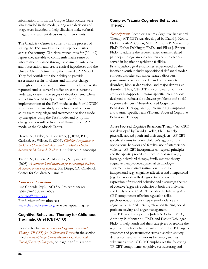information to form the Unique Client Picture were also included in the model, along with decision and triage trees intended to help clinicians make referral, triage, and treatment decisions for their clients.

The Chadwick Center is currently in the process of testing the TAP model at four independent sites across the country. Clinicians trained thus far  $(N = 47)$ report they are able to confidently make sense of information obtained through assessment, interview, and observation, and create clinical hypotheses and the Unique Client Picture using the revised TAP Model. They feel confident in their ability to provide assessment results to clients and monitor change throughout the course of treatment. In addition to the reported studies, several studies are either currently underway or are in the stages of development. These studies involve an independent study on the implementation of the TAP model at the four NCTSN sites trained, a case study and a treatment outcome study examining triage and treatment decisions made by therapists using the TAP model and symptom changes as a result of treatment through the TAP model at the Chadwick Center.

Hazen, A., Taylor, N., Landsverk, J., Ryan, B.E., Garland, A., Wilson, C. (2006). *Clinician Perspectives on the Use of Standardized Assessments in Mental Health Services for Maltreated Children.* Unpublished Manuscript.

Taylor, N., Gilbert, A., Mann, G., & Ryan, B.E. (2005). *Assessment-based treatment for traumatized children: A trauma assessment pathway*. San Diego, CA: Chadwick Center for Children & Families.

#### **Contact Information:**

Lisa Conradi, PsyD, NCTSN Project Manager (858) 576-1700 ext. 6008 lconradi@rchsd.org For further information see: www.chadwickcenter.org or www.taptraining.net

#### **Cognitive Behavioral Therapy for Childhood Traumatic Grief (CBT-CTG)**

Please refer to *Trauma Focused Cognitive Behavioral Therapy (TF-CBT) for Children and Parents* in the section titled *Trauma-Specific Service Models for Children and Family/Parents/Caregivers*, on page 70 of this report.

#### **Complex Trauma Cognitive Behavioral Therapy**

**Description:** Complex Trauma Cognitive Behavioral Therapy (CT-CBT) was developed by David J. Kolko, Ph.D., Judith A. Cohen, M.D., Anthony P. Mannarino, Ph.D, Esther Deblinger, Ph.D., and Elissa J. Brown, Ph.D. to address the severe, varied trauma-related psychopathology among children and adolescents served in inpatient psychiatric facilities. Psychopathological syndromes experienced by the inpatient youth include: oppositional defiant disorder, conduct disorder, substance-related disorders, posttraumatic stress disorder and other anxiety disorders, bipolar depression, and major depressive disorder. Thus, CT-CBT is a combination of two empirically-supported trauma-specific interventions designed to reduce: (1) behavior problems and socialcognitive deficits (Abuse-Focused Cognitive Behavioral Therapy) and (2) internalizing symptoms and trauma-specific fears (Trauma-Focused Cognitive Behavioral Therapy).

Abuse-Focused Cognitive Behavioral Therapy (AF-CBT) was developed by David J. Kolko, Ph.D. to help physically-abused youth and their caregivers. AF-CBT specifically aims to reduce children's aggression and oppositional behavior and families' use of interpersonal violence. AF-CBT incorporates conceptual principles and therapeutic procedures from several areas (e.g., learning, behavioral therapy, family-systems theory, cognitive therapy, developmental victimology). Treatment emphasizes instruction in specific intrapersonal (e.g., cognitive, affective) and interpersonal (e.g., behavioral) skills designed to promote the expression of prosocial behavior and discourage the use of coercive/aggressive behavior at both the individual and family levels. CT-CBT includes the following AF-CBT components: affection regulation skills, psychoeducation about interpersonal violence and cognitive behavioral therapy, relaxation training, social problem solving, and anger management. TF-CBT was developed by Judith A. Cohen, M.D., Anthony P. Mannarino, Ph.D, and Esther Deblinger, Ph.D. to help youth and their caregivers overcome the negative effects of child sexual abuse. TF-CBT targets symptoms of posttraumatic stress disorder, anxiety, depression, and self-injurious behavior, such as substance abuse. CT-CBT emphasizes the following TF-CBT components: cognitive restructuring and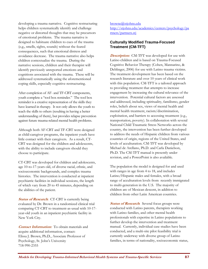developing a trauma narrative. Cognitive restructuring helps children systematically identify and challenge negative or distorted thoughts that may be precursors of emotional problems. The trauma narrative is designed to habituate children to cues of the trauma (e.g., smells, sights, sounds) without the feared consequences, such that emotional distress and avoidance decrease. The trauma narrative also helps children contextualize the trauma. During the narrative sessions, children and their therapist will identify previously unreported emotions and cognitions associated with the trauma. These will be addressed systematically using the aforementioned coping skills, especially cognitive restructuring.

After completion of AF- and TF-CBT components, youth complete a "tool box reminder." The tool box reminder is a creative representation of the skills they have learned in therapy. It not only allows the youth to teach the skills to others (resulting in having a better understanding of them), but provides relapse prevention against future trauma-related mental health problems.

Although both AF-CBT and TF-CBT were designed as child-caregiver programs, the inpatient youth have little contact with their caregivers. As a result, CT-CBT was designed for the children and adolescents, with the ability to include caregivers should they choose to participate.

CT-CBT was developed for children and adolescents, age 10-to-17-years old, of diverse racial, ethnic, and socioeconomic backgrounds, and complex trauma histories. The intervention is conducted at inpatient psychiatric facilities in individual sessions, the length of which vary from 20 to 45 minutes, depending on the abilities of the patient.

**Status of Research:** CT-CBT is currently being evaluated by Dr. Brown in a randomized clinical trial comparing CT-CBT to treatment-as-usual with 10-17 year-old youth in an inpatient psychiatric facility in New York City.

**Contact Information:** To obtain materials and acquire additional information, contact: Elissa J. Brown, Ph.D., Associate Professor of Psychology, St. John's University 718-990-2355

#### browne@stjohns.edu http://stjohns.edu/academics/centers/psychology/pa rtners/partners.stj

### **Culturally Modified Trauma-Focused Treatment (CM-TFT)**

**Description:** CM-TFT was developed for use with Latino children and is based on Trauma-Focused Cognitive Behavior Therapy (Cohen, Mannarino, & Deblinger, 2006) for use with Latino trauma victims. The treatment development has been based on the research literature and over 10 years of clinical work with this population. CM-TFT is a tailored approach to providing treatment that attempts to increase engagement by increasing the cultural relevance of the intervention. Potential cultural factors are assessed and addressed, including spirituality, familismo, gender roles, beliefs about sex, views of mental health and mental health treatment, racism/discrimination, exploitation, and barriers to accessing treatment (e.g., transportation, poverty). In collaboration with several National Child Traumatic Stress Networks across the country, the intervention has been further developed to address the needs of Hispanic children from various countries of origin, regions of the United States, and levels of acculturation. CM-TFT was developed by Michael de Arellano, Ph.D. and Carla Danielson, Ph.D. The CM-TFT manual is presently under revision, and a PowerPoint is also available.

The population the model is designed for and used with ranges in age from 4 to 18, and includes Latino/Hispanic males and females, with a broad range of acculturation levels from recently immigrated to multi-generation in the U.S. The majority of children are of Mexican descent, in addition to children from other Latin American countries.

**Status of Research**: Several focus groups were conducted with Latino parents, therapists working with Latino families, and other mental health professionals with expertise in Latino populations to further develop the intervention and treatment manual. Currently, individual case studies have been conducted, and a multi-site pilot feasibility trial is currently underway with diverse group of Latino families, in terms of nationality, socioeconomic status,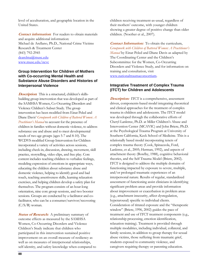level of acculturation, and geographic location in the United States.

**Contact information:** For readers to obtain materials and acquire additional information: Michael de Arellano, Ph.D., National Crime Victims Research & Treatment Center (843) 792-2945 dearelma@musc.edu www.musc.edu/ncvc

#### **Group Intervention for Children of Mothers with Co-occurring Mental Health and Substance Abuse Disorders and Histories of Interpersonal Violence**

**Description:** This is a structured, children's skillsbuilding group intervention that was developed as part of the SAMHSA Women, Co-Occurring Disorders and Violence Children's Subset Study. The group intervention has been modified from Einat Peled and Diane Davis' *Groupwork with Children of Battered Women: A Practitioner's Manual* to account for the presence of children in families without domestic violence, to address substance use and abuse and to meet developmental needs of two age groups (ages 5-7 and 8-10)*.* The WCDVS modified Group Intervention for Children incorporated a variety of activities across sessions, including check-in, discussion, drawing, movement, skill practice, storytelling, video clips, and free play. Core content includes teaching children to verbalize feelings, modeling expression of emotions in appropriate ways, educating the children about substance abuse and domestic violence, helping to identify good and bad touch, teaching assertiveness skills, learning relaxation exercises, and helping children develop a safety plan for themselves. The program consists of an hour-long orientation, nine core group sessions, and two booster sessions. Groups are conducted by a facilitator and cofacilitator, who can be a consumer/survivor/recovering (C/S/R) woman.

**Status of Research:** A preliminary summary of outcome effects as measured by the SAMHSA Women, Co-Occurring Disorders and Violence Children's Study indicate that children who participated in this intervention sustained positive improvement on an overall measure of resiliency as well as on measures of interpersonal relationships, self-identity, and safety knowledge when compared to children receiving treatment-as-usual, regardless of their mothers' outcome, with younger children showing a greater degree of positive change than older children. (Noether et al., 2007).

**Contact Information:**To obtain the curriculum, *Groupwork with Children of Battered Women: A Practitioner's Manual* by Einat Peled and Diane Davis as adapted by The Coordinating Center and the Children's Subcommittee for the Women, Co-Occurring Disorders and Violence Study, and for information on training and consultation, visit www.nationaltraumaconsortium.

#### **Integrative Treatment of Complex Trauma (ITCT) for Children and Adolescents**

**Description: ITCT** is a comprehensive, assessment driven, components-based model integrating theoretical and clinical approaches for the treatment of complex trauma in children and adolescents. The ITCT model was developed through the collaborative efforts of Cheryl Lanktree, Ph.D. at Miller Children's Abuse and Intervention Center (MCAVIC) and John Briere, Ph.D. at the Psychological Trauma Program at University of Southern California, Keck School of Medicine. This is a relationally based model incorporating tenets of complex trauma theory (Cook, Spinazzola, Ford, Lanktree, et al., 2005; Herman, 1992), and aspects of attachment theory (Bowlby, 1988), cognitive behavioral theories, and the Self Trauma Model (Briere, 2002). ITCT is designed to address the multiple domains of functioning impacted by exposure to severe, multiple, and/or prolonged traumatic experiences of an interpersonal nature. Results of regular, standardized assessment of functioning assist clinicians in identifying significant problem areas and provide information about improvement or exacerbation in problem areas (e.g., attachment insecurity, affect dysregulation, hyperarousal) specific to individual clients. Consideration of titrated exposure and the "therapeutic window" (Briere, 1996, 2002) guides the pace of treatment and use of ITCT treatment components (e.g., relationship processing, emotion identification, relaxation training). Treatment is provided through multiple modalities, including individual, collateral, and family sessions, in addition to group therapy for sexual abuse victims, those suffering from traumatic grief, students exposed to community violence, and caregivers requiring therapy or parenting education.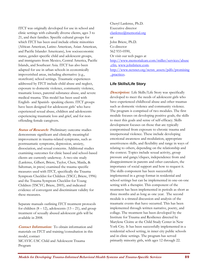ITCT was originally developed for use in school and clinic settings with culturally diverse clients, ages 3 to 21, and their families. Specific cultural groups for which ITCT has been used include ethnic minorities (African American, Latino American, Asian American, and Pacific Islander Americans), low socioeconomic status, gender-specific child and adolescent groups, and immigrants from Mexico, Central America, Pacific Islands, and Southeast Asia. ITCT has also been adapted for use in urban schools in economically impoverished areas, including alternative (e.g., storefront) school settings. Traumatic experiences addressed by ITCT include child abuse and neglect, exposure to domestic violence, community violence, traumatic losses, parental substance abuse, and severe medical trauma. This model has been used with English- and Spanish- speaking clients. ITCT groups have been designed for adolescent girls' who have experienced sexual abuse, children and adolescents experiencing traumatic loss and grief, and for nonoffending female caregivers.

**Status of Research:** Preliminary outcome studies demonstrate significant and clinically meaningful improvement in trauma-related symptoms, such as posttraumatic symptoms, depression, anxiety, dissociation, and sexual concerns. Additional studies examining outcomes for clinic based and school-based clients are currently underway. A two-site study (Lanktree, Gilbert, Briere, Taylor, Chen, Maida, & Saltzman, in press) examined the trauma specific measures used with ITCT, specifically the Trauma Symptom Checklist for Children (TSCC; Briere, 1996) and the Trauma Symptom Checklist for Young Children (TSCYC; Briere, 2005), and indicated evidence of convergent and discriminant validity for these measures.

Separate manuals outlining ITCT treatment protocols for children  $(8 - 12)$ , adolescents  $(13 - 21)$ , and group treatment of sexually abused adolescent girls will be available in 2008.

**Contact Information:**To obtain information and materials on ITCT and training/consultation in this model, contact MCAVIC-USC Child and Adolescent Trauma Program

Cheryl Lanktree, Ph.D. Executive director clanktree@memorial.org or John Briere, Ph.D. Co-director 562 933-0590, Or visit our web pages at http://www.memorialcare.com/miller/services/abuse .cfm, www.johnbriere.com. http://www.nctsnet.org/nctsn\_assets/pdfs/promising \_practices.

#### **Life Skills/Life Story**

**Description:**Life Skills/Life Story was specifically developed to meet the needs of adolescent girls who have experienced childhood abuse and other traumas such as domestic violence and community violence. The program is comprised of two modules. The first module focuses on developing positive goals, the skills to meet this goals and sense of self-efficacy. Skills development focuses on those that are typically compromised from exposure to chronic trauma and interpersonal violence. These include developing emotional awareness and modulation, appropriate assertiveness skills, and flexibility and range in ways of relating to others, depending on the relationship and the context. Topics include sexual activity, group pressure and gangs/cliques, independence from and disappointment in parents and other caretakers, the importance of social support and how to request it. The skills component has been successfully implemented in a group format in residential and school settings but can be implemented in one-on-one setting with a therapist. This component of the treatment has been implemented in periods as short as three months and as long as one year. The second module is a titrated discussion and analysis of the traumatic events that have occurred. This has been implemented through written narrative, poetry, and collage. The treatment has been developed by the Institute for Trauma and Resilience directed by Marylene Cloitre at the Child Study Center in New York City. It has been successfully implemented in a residential school setting, in inner city public schools and in clinic settings. The program has served primarily minority girls, with ages 12 through 22.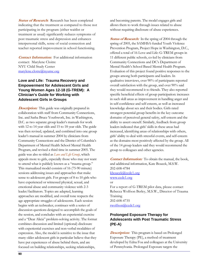**Status of Research:** Research has been completed indicating that the treatment as compared to those not participating in the program (either waitlist or treatment as usual) significantly reduces symptoms of post traumatic stress and depression and enhances interpersonal skills, sense of social connection and teacher reported improvement in school functioning.

*Contact Information:* For additional information contact: Marylene Cloitre NYU Child Study Center marylene.clotre@nyumc.org

#### **Love and Life: Trauma Recovery and Empowerment for Adolescent Girls and Young Women Ages 12-18 (G-TREM): A Clinician's Guide for Working with Adolescent Girls in Groups**

**Description:** This guide was originally prepared in collaboration with staff from Community Connections, Inc. and Sasha Bruce Youthwork, Inc. in Washington, D.C. as two separate group leader's manuals for work with 12 to 14 year olds and 15 to 18 year olds. The guide was then revised, updated, and combined into one group leader's manual in summer 2004 by clinicians from Community Connections and the District of Columbia's Department of Mental Health School Mental Health Program, and revised a third time in summer 2005. The guide was also re-titled as *Love and Life Group*, which appeals more to girls, especially those who may not want to attend what is publicly known as a "trauma group." This manualized model consists of 16 (75-90 minute) sessions addressing issues and approaches that make sense to adolescent girls. For groups of 8 to 10 girls who have experienced or witnessed physical, sexual, and emotional abuse and community violence with 2-3 leader/facilitators. Topics are adapted, learning approaches are modified, and overall tone respects the age appropriate struggles of adolescents. Each session begins with an icebreaker, continues with a series of discussion questions designed to accomplish the goals of the session, and concludes with an experiential exercise and a "Dear Alicia" problem-solving activity. The format combines discussion and limited (optional) disclosure with experiential exercises and non-verbal modalities of expression. Also, the model is sensitive to the issue that many older adolescent girls in particular believe that they have put experiences of abuse behind them, and are focused on building relationships, seeking relationships,

and becoming parents. The model engages girls and allows them to work through issues related to abuse without requiring disclosure of abuse experiences.

**Status of Research:** In the spring of 2004 through the spring of 2005, the SAMHSA-funded Youth Violence Prevention Program, Project Hope in Washington, D.C., offered a total of 16 Love and Life: G-TREM groups in 11 different public schools, co-led by clinicians from Community Connections and DC's Department of Mental Health's School Based Mental Health Program. Evaluation of this project found positive responses to the groups among both participants and leaders. In qualitative interviews, over 90% of participants reported overall satisfaction with the group, and over 90% said they would recommend it to friends. They also reported specific beneficial effects of group participation: increases in such skill areas as improvement in handling anger and in self-confidence and self-esteem, as well as increased knowledge about sex and their bodies. Girls rated strongest potential group benefits in the key outcome domains of perceived general safety, self-esteem and the ability to assert oneself. Similarly, feedback from group leaders indicated that girls' skills in these areas had increased, identifying areas of relationships with others, girls' ability to deal with stressful events, and self-esteem as the domains most positively affected by the group. All of the 14 group leaders said they would recommend the group to colleagues and other agencies.

**Contact Information:**To obtain the manual, the book, and additional information, Kate Boucek, M.S.W. 202-608-4784 kboucek@ccdc1.org www.ccdc1.org or For a report of G-TREM pilot data, please contact Rebecca Wolfson Berley, M.S.W., Director of Trauma Training

202-608-4735 rwolfson@ccdc1.org

## **Prolonged Exposure Therapy for Adolescents with Post Traumatic Stress (PE-A)**

**Description:** This program is based on Prolonged Exposure Therapy (PE), a method of treatment developed by Edna Foa and colleagues at the University of Pennsylvania. Prolonged Exposure targets the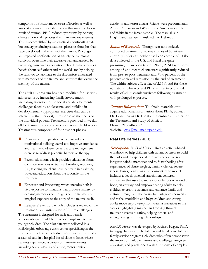symptoms of Posttraumatic Stress Disorder as well as associated symptoms of depression that may develop as a result of trauma. PE-A reduces symptoms by helping clients emotionally process their traumatic experiences. This is accomplished by systematically confronting safe but anxiety producing situations, places or thoughts that have developed in the wake of the trauma. Prolonged and repeated confrontation of anxiety helps trauma survivors overcome their excessive fear and anxiety by providing corrective information related to the survivors beliefs about self, others and the world, and by helping the survivor to habituate to the discomfort associated with memories of the trauma and activities that evoke the memory of the trauma.

The adult PE program has been modified for use with adolescents by increasing family involvement, increasing attention to the social and developmental challenges faced by adolescents, and building in developmentally appropriate exercises that can be selected by the therapist, in response to the needs of the individual patient. Treatment is provided in weekly 60 to 90 minute sessions over approximately 14 weeks. Treatment is composed of four distinct phases:

- Pretreatment Preparation, which includes a motivational building exercise to improve attendance and treatment adherence, and a case management exercise to address potential barriers to therapy.
- Psychoeducation, which provides education about common reactions to trauma, breathing retraining (i.e., teaching the client how to breath in a calming way), and education about the rationale for the treatment.
- Exposure and Processing, which includes both invivo exposure to situations that produce anxiety by evoking memories or thoughts of the trauma, and imaginal exposure to the story of the trauma itself.

Relapse Prevention, which includes a review of the treatment and anticipation of future challenges. The treatment is designed for male and female adolescents aged 13-17 but has been implemented with younger children. The pilot data were collected in a Philadelphia urban rape crisis center specializing in the treatment of adults and children who have been sexually assaulted, and in a hospital based clinic in Israel where patients experienced a variety of traumatic events including sexual assault and abuse, motor vehicle

accidents, and terror attacks. Clients were predominantly African American and White in the American sample, and White in the Israeli sample. The manual is in English and has been translated into Hebrew.

**Status of Research:**Though two randomized, controlled treatment outcome studies of PE-A are currently underway, neither has been completed. Pilot data collected in the U.S. and Israel are quite promising. In an open trial of PE-A, PTSD symptoms among 45 adolescent clients were significantly reduced from pre- to post-treatment and 71% percent of the patients achieved remission by the end of treatment. The within subject effect size of 2.13 found for these 45 patients who received PE is similar to published results of adult assault survivors following treatment with prolonged exposure.

**Contact Information:**To obtain materials or to acquire additional information about PE-A, contact Dr. Edna Foa or Dr. Elizabeth Hembree at Center for the Treatment and Study of Anxiety Phone: 215-746-3327 Website: ctsa@mail.med.upenn.edu

### **Real Life Heroes (RLH)**

**Description:** *Real Life Heroes* utilizes an activity-based workbook to help children with traumatic stress to build the skills and interpersonal resources needed to reintegrate painful memories and to foster healing after experiences of abuse, neglect, family violence, severe illness, losses, deaths, or abandonment. The model includes a developmental, attachment centered curriculum that uses the metaphor of heroes to rekindle hope, en-courage and empower caring adults to help children overcome traumas, and enhance family and cultural strengths. The curriculum integrates nonverbal and verbal modalities and helps children and caring adults move step-by-step from trauma narratives to life stories highlighting mastery and moving through traumatic events to safety, helping others, and strengthening nurturing relationships.

*Real Life Heroes* was developed by Richard Kagan, Ph.D. to engage hard-to-reach children and families in child and family service programs, children who often demonstrate the impact of multiple traumas and challenge caregivers, educators, and practitioners with symptoms of complex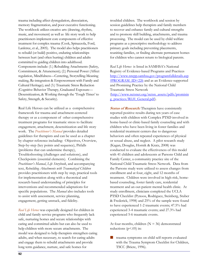trauma including affect dysregulation, dissociation, memory fragmentation, and poor executive functioning. The workbook utilizes creative arts (drawing, rhythm, music, and movement) as well as life story work to help practitioners implement core components of effective treatment for complex trauma (Cook, Spinazzola, Ford, Lanktree, et al., 2005). The model also helps practitioners to rebuild (or build) positive, enduring relationships between hurt (and often hurting) children and adults committed to guiding children into adulthood. Components include: (1.) Rebuilding Attachments (Safety, Commitment, & Attunement); (2.) Personal Power (Affect regulation, Mindfulness—Centering, Storytelling-Meaning making, Re-integration & Empowerment with Family and Cultural Heritage); and (3.) Traumatic Stress Reduction (Cognitive Behavior Therapy, Graduated Exposure— Desensitization, & Working through the 'Tough Times' to Safety, Strength, & Security).

Real Life Heroes can be utilized as a comprehensive framework for trauma and attachment-centered therapy or as a component of other comprehensive treatment programs for traumatic stress to facilitate engagement, attachment, desensitization and life story work. The *Practitioner's Manual* provides detailed guidelines for therapists and can be used as a chapter by chapter reference including: Objectives, Overview, Step-by-step (key points and sequence), Pitfalls (problems that can undermine therapy), Troubleshooting (challenges and solutions), and Checkpoints (essential elements). Combining the *Practitioner's Manual*, *Life Storybook*, and accompanying text, *Rebuilding Attachments with Traumatized Children* provides practitioners with step by step, practical tools for implementation along with a theoretical and research-based understanding of principles for interventions and recommended adaptations for specific populations. The *Manual* also includes tools to assist with assessment, service planning, engagement, getting unstuck, and fidelity.

*Real Life Heroes* was especially designed for children in child and family service programs who frequently lack safe, nurturing homes and secure relationships with caring and committed adults but can also be used to help children with more secure attachments. The model was designed to help therapists strengthen caring adults, and when necessary, to search for caring adults and engage them to rebuild attachments and provide long term guidance, nurture, and safe homes for

troubled children. The workbook and session by session guidelines help therapists and family members to recover and enhance family and cultural strengths and to promote skill building, attachments, and trauma processing. The model can be used by child welfare programs as a prescriptive methodology to address primary goals including preventing placements, reuniting families, or finding alternate permanent homes for children who cannot return to biological parents.

*Real Life Heroes* is listed in SAMHSA's National Registry of Evidence-based Programs and Practices http://www.nrepp.samhsa.gov/programfulldetails.asp ?PROGRAM\_ID=226 and as an Evidence-supported and Promising Practice by the National Child Traumatic Stress Network (http://www.nctsnet.org/nctsn\_assets/pdfs/promisin g\_practices/RLH\_General.pdf).

**Status of Research:** Therapists have consistently reported positive results during ten years of case studies with children with Complex PTSD involved in home-based or clinic-based family counseling and with children who have been living in foster families and residential treatment centers due to dangerous behaviors and often repeated experiences of physical or sexual abuse, and neglect. A pilot research study (Kagan, Douglas, Hornik & Kratz, 2008) was conducted to evaluate the effectiveness of this model with 41 children and adolescents at Parsons Child and Family Center, a community practice site of the National Child Traumatic Stress Network. Data from the Parsons study were utilized to assess changes from enrollment and at four, eight, and 12 months of treatment. Children were involved in high-risk, homebased counseling, foster family care, residential treatment and an out-patient mental health clinic. At study enrollment, clinicians completed the UCLA PTSD Checklist (Pynoos, Rodriguez, Steinberg, Stuber & Frederick, 1998) and 25% of the sample were found to have experienced 1-2 traumatic events; 47.5% had experienced 3-4 traumatic events; and 27.3% had experienced 5-6 traumatic events.

At four months, children  $(N = 36)$  demonstrated reductions ( $p < .05$ ) in:

 trauma symptoms on child self-reports evaluated with the Trauma Symptom Checklist for Children, TSCC (Briere, 1996).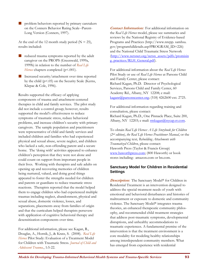**problem behaviors reported by primary caretakers** on the Conners Behavior Rating Scale--Parent-Long Version (Conners, 1997).

At the end of the 12 month study period ( $N = 25$ ), results included:

- **reduced trauma symptoms reported by the adult** caregiver on the PROPS (Greenwald, 1999a, 1999b) in relation to the number of *Real Life Heroes* chapters completed (p<.001).
- Increased security/attachment over time reported by the child (p<.05) on the Security Scale (Kerns, Klepac & Cole, 1996).

Results supported the efficacy of applying components of trauma and attachment-centered therapies in child and family services. The pilot study did not include a control group; however, results supported the model's effectiveness to reduce symptoms of traumatic stress, reduce behavioral problems, and increase children's security with primary caregivers. The sample population and practitioners were representative of child and family services and included children and families who had experienced physical and sexual abuse, severe neglect, and children who lacked a safe, non-offending parent and a secure home. The 'doing with' activities appeared to enhance children's perception that they were not alone and could count on support from important people in their lives. Working with therapists and safe adults on opening up and recovering memories of children being nurtured, valued, and doing good things appeared to foster the strengths needed for children and parents or guardians to reduce traumatic stress reactions. Therapists reported that the model helped them to engage children who had experienced multiple traumas including neglect, abandonment, physical and sexual abuse, domestic violence, losses, and separations, placements away from families of origin and that the curriculum helped therapists persevere with application of cognitive behavioral therapy and desensitization components over time.

For additional information, please see Kagan, R., Douglas, A., Hornik, J., & Kratz, S. (2008). *Real Life Heroes* Pilot Study: Evaluation of a Treatment Model for Children with Traumatic Stress. *Journal of Child and Adolescent Trauma.*, 1:5-22.

**Contact Information:**For additional information on the *Real Life Heroes* model, please see summaries and reviews by the National Registry of Evidence-based Programs and Practices (http://www.nrepp. samhsa. gov/programfulldetails.asp?PROGRAM\_ID=226) and the National Child Traumatic Stress Network (http://www.nctsnet.org/nctsn\_assets/pdfs/promisin g\_practices/RLH\_General.pdf).

For additional information about the *Real Life Heroes* Pilot Study or use of *Real Life Heroes* at Parsons Child and Family Center, please contact: Richard Kagan, Ph.D. Director of Psychological Services, Parsons Child and Family Center, 60 Academy Rd., Albany, NY 12208; e mail: kaganr@parsonscenter.org; (518) 4262600 ext. 2725.

For additional information regarding training and consultation, please contact: Richard Kagan, Ph.D., One Pinnacle Place, Suite 200, Albany, NY 12203; e mail: **rmkagan@nycap.rr.com**.

To obtain *Real Life Heroes: A Life Storybook for Children (2nd edition)*, *the Real Life Heroes Practitioner Manual*, or the accompanying text*, Rebuilding Attachments with Traumatized Children*, please contact: Haworth Press (Taylor & Francis Group) www.haworthpress.com; (800 Haworth) or book stores including: amazon.com or bn.com.

### **Sanctuary Model for Children in Residential Settings**

**Description:** The Sanctuary Model<sup>®</sup> for Children in Residential Treatment is an intervention designed to address the special treatment needs of youth with emotional and behavioral disturbances and histories of maltreatment or exposure to domestic and community violence. The Sanctuary Model® integrates trauma theories, an enhanced therapeutic community philosophy, and recommended child treatment strategies that address post-traumatic symptoms, developmental disruptions, and unhealthy accommodations to traumatic experiences. A fundamental premise of the intervention is that the treatment environment is a core modality for modeling healthy relationships among interdependent community members. What has emerged from experience with residential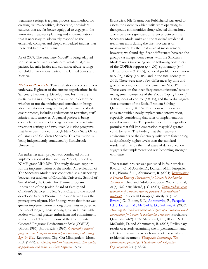treatment settings is a plan, process, and method for creating trauma-sensitive, democratic, nonviolent cultures that are far better equipped to engage in the innovative treatment planning and implementation that is necessary to adequately respond to the extremely complex and deeply embedded injuries that these children have sustained.

As of 2007, The Sanctuary Model® is being adapted for use in over twenty acute care, residential, outpatient, juvenile justice and substance abuse settings for children in various parts of the United States and Mexico.

**Status of Research:** Two evaluation projects are now underway. Eighteen of the current organizations in the Sanctuary Leadership Development Institute are participating in a three-year evaluation to determine whether or not the training and consultation brings about significant changes in key determinants of safe environments, including reductions in restraints, staff injuries, staff turnover. A parallel project is being conducted on seven of the agencies – five residential treatment settings and two juvenile justice programs – that have been funded through New York State Office of Family and Children's Services. This evaluation is being independently conducted by Stonybrook University.

An earlier research project was conducted on the implementation of the Sanctuary Model, funded by NIMH grant MH62896. The study showed support for the implementation of the model. An evaluation of The Sanctuary Model® was conducted as a partnership between researchers of Columbia University School of Social Work, the Center for Trauma Program Innovation of the Jewish Board of Family and Children's Services in New York City, and the model developer, Sandra Bloom. Dr. Jeanne Rivard was the primary investigator. Her findings were that there was greater implementation among those units exposed to the model longer, those serving girls, and those with leaders who had greater enthusiasm and commitment to the model. The short form of the Community Oriented Programs Environment Scale (COPES) (Moos, 1996) [Moos, R.H. (1996). *Community oriented program scale: Sampler set manual, test booklets, and scoring key (3rd Ed).* Redwood City, CA: Mindgarden; Moos, R.H. (1997). *Evaluating treatment environments: The quality of psychiatric and substance abuse programs.* New

assess the extent to which units were operating as therapeutic communities along selected dimensions. There were no significant differences between the Sanctuary Model units and the standard residential treatment units during the first two waves of measurement. By the final wave of measurement, however, we found significant differences between the groups via independent t-tests, with the Sanctuary Model® units improving on the following constructs of the COPES: support ( $p < .05$ ), spontaneity ( $p <$ .01), autonomy  $(p < .05)$ , personal problem orientation  $(p < .05)$ , safety  $(p < .05)$ , and in the total score  $(p = .05)$ .001). There were also a few differences by time and group, favoring youth in the Sanctuary Model® units. These were on the incendiary communication/ tension management construct of the Youth Coping Index (*p*   $<$  .05), locus of control ( $p = 15$ ), and the verbal aggression construct of the Social Problem Solving Questionnaire ( $p = .15$ ). Results were modest and consistent with a newly implemented intervention, especially considering that rates of implementation varied across units. The positive youth findings offer promise that full implementation may yield greater youth benefits. The finding that the treatment environments of the Sanctuary units were functioning at significantly higher levels than the standard residential units by the final wave of data collection suggests that implementation was becoming stronger with time.

Brunswick, NJ: Transaction Publishers.] was used to

The research project was published in four articles: Rivard, J.C., McCorkle, D., Duncan, M.E., Pasquale, L.E., Bloom, S. L., Abramovitz, R. (2004). *Implementing a Trauma Recovery Framework for Youths in Residential Treatment.* Child and Adolescent Social Work Journal, 21(5): 529-550; Rivard, J. C. (2004). *Initial findings of an evaluation of a trauma recovery framework in residential treatment*. Residential Group Quarterly 5(1): 3-5; Rivard,J.C., Bloom, S. L., Abramovitz, R., Pasquale, L.E., Duncan, M., McCorkle, D., Gelman, A. (2003). *Assessing the Implementation and Effects of a Trauma-focused Intervention for Youths in Residential Treatment* Psychiatric Quarterly 74(2): 137-154; Rivard, J.C., Bloom, S. L., McCorkle, D. and Abramovitz, R. (2005) Preliminary results of a study examining the implementation and effects of trauma recovery framework for youths in residential treatment. *Therapeutic Community: The International Journal for Therapeutic and Supportive Organizations* 26(1): 83-96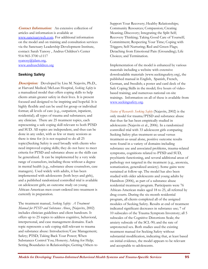**Contact Information:**An extensive collection of articles and information is available at www.sanctuaryweb.com. For additional information on the model and on training and consultation services via the Sanctuary Leadership Development Institute, contact: Sarah Yanosy , Andrus Children's Center 914-965-3700 x1117 syanosy@jdam.org,

www.andruschildren.org

#### **Seeking Safety**

**Description:** Developed by Lisa M. Najavits, Ph.D., at Harvard Medical/McLean Hospital, *Seeking Safety* is a manualized model that offers coping skills to help clients attain greater safety in their lives. It is present focused and designed to be inspiring and hopeful. It is highly flexible and can be used for group or individual format; all levels of care (e.g., outpatient, inpatient, residential); all types of trauma and substances; and any clinician. There are 25 treatment topics, each representing a safe coping skill relevant to both PTSD and SUD. All topics are independent, and thus can be done in any order, with as few or many sessions as there is time for (it is not required to do all 25 topics)Seeking Safety is used broadly with clients who need improved coping skills; they do not have to meet criteria for PTSD and substance abuse as the skills can be generalized. It can be implemented by a very wide range of counselors, including those without a degree in mental health (e.g., substance abuse counselors, case managers). Used widely with adults, it has been implemented with adolescents (both boys and girls), and a published randomized controlled trial is available on adolescent girls; an outcome study on young African-American men court-ordered into treatment is currently in preparation.

The treatment manual, *Seeking Safety: A Treatment Manual for PTSD and Substance Abuse*, (Najavits, 2002) includes clinician guidelines and client handouts. It offers up to 25 topics to address cognitive, behavioral, interpersonal, and case management domains. Each topic represents a safe coping skill relevant to trauma and substance abuse: Introduction/Case Management; Safety; PTSD; Taking Back Your Power; When Substances Control You; Honesty; Asking for Help; Setting Boundaries in Relationships; Getting Others to Support Your Recovery; Healthy Relationships; Community Resources; Compassion; Creating Meaning; Discovery; Integrating the Split Self; Recovery Thinking; Taking Good Care of Yourself; Commitment; Respecting Your Time; Coping with Triggers; Self-Nurturing; Red and Green Flags; Detaching from Emotional Pain (Grounding); Life Choices; and Termination.

Implementation of the model is enhanced by various materials including a website with extensive downloadable materials (www.seekingsafety.org), the published manual in English, Spanish, French, German, and Swedish; a poster and card deck of the Safe Coping Skills in the model; five hours of videobased training; and numerous national on-site trainings. Information on all of these is available from www.seekingsafety.org.

*Status of Research: Seeking Safety* (Najavits, 2002) is the only model for trauma/PTSD and substance abuse that thus far has been empirically studied in adolescents (Najavits et al., 2006). In a randomized controlled trial with 33 adolescent girls comparing Seeking Safety plus treatment-as-usual versus treatment-as-usual alone, positive outcome results were found in a variety of domains including substance use and associated problems, trauma-related symptoms, cognitions related to PTSD and SUD, psychiatric functioning, and several additional areas of pathology not targeted in the treatment (e.g., anorexia, somatization, generalized anxiety). Some gains were sustained at follow-up. The model has also been studied with older adolescents and young adults by Hamilton (2006), as part of a substance abuse residential treatment program. Participants were 76 African-American males aged 18 to 25, all referred by drug courts. During the six-month residential program, all clients completed all of the assigned modules of Seeking Safety. Results at end of treatment indicated significant decreases in substance use; 7 of 10 subscales of the Trauma Symptom Inventory; all 5 subscales of the Cognitive Distortions Scale; the anxiety subscale of the SCL-90; and the rate of unprotected sex. Both studies used the existing treatment manual for Seeking Safety without substantial modification, indicating that, at least based on initial evidence, the model appears to be relevant and acceptable to adolescents.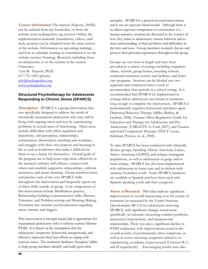**Contact Information:** The manual (Najavits, 2002b) can be ordered from any bookseller, or from the website www.seekingsafety.org (section Order); the implementation materials (translations, videos, card deck, posters) can be obtained from the same section of the website. Information on upcoming trainings, and how to schedule training or consultation is on the website (section Training). Research, including those on adolescents, is on the website in the section Outcomes.

 Lisa M. Najavits, Ph.D. 617-731-1501 (phone) info@seekingsafety.org www.seekingsafety.org

#### **Structured Psychotherapy for Adolescents Responding to Chronic Stress (SPARCS)**

**Description:** SPARCS is a group intervention that was specifically designed to address the needs of chronically traumatized adolescents who may still be living with ongoing stress and may be experiencing problems in several areas of functioning. These areas include difficulties with affect regulation and impulsivity, self-perception, relationships, somatization, dissociation, numbing and avoidance, and struggles with their own purpose and meaning in life as well as worldviews that make it difficult for them to see a future for themselves. Overall goals of the program are to help teens cope more effectively in the moment, enhance self-efficacy, connect with others and establish supportive relationships, cultivate awareness, and create meaning. Group members learn and practice each of the core SPARCS skills throughout the intervention and frequently report use of these skills outside of group. Core components of this intervention include Mindfulness practice, Relationship building/communication skills, Distress Tolerance, and Problem-solving and Meaning Making. Treatment also includes psychoeducation regarding stress, trauma, and triggers.

This intervention is strength-based and is appropriate for traumatized adolescents with or without current/lifetime PTSD. It is based on the assumption that the adolescents' symptoms (behavioral, interpersonal, and affective) represent their best efforts at coping with extreme stress. The treatment facilitates therapists' ability to help group members identify and build upon their

strengths.SPARCS is a present-focused intervention, and is not an exposure based model. Although there is no direct exposure component or construction of a trauma narrative, traumas are discussed in the context of how they relate to adolescents' current behavior and to their understanding of their problems and difficulties in the here and now. Group members routinely discuss and process their personal experiences throughout the group.

Groups are one hour in length and have been provided in a variety of settings including outpatient clinics, schools, group homes, boarding schools, residential treatment centers and facilities, and foster care programs. Sessions can be divided into two segments and conducted twice a week to accommodate class periods in a school setting. It is recommended that SPARCS be implemented in settings where adolescents can remain in treatment long enough to complete the intervention. SPARCS is predominantly cognitive-behavioral and draws upon Dialectical Behavior Therapy (Miller, Rathus, & Linehan, 2006), Trauma Affect Regulation: Guide for Education and Therapy for Adolescents and Pre-Adolescents (TARGET©-A: Ford, 2007), and Trauma and Grief Component Therepay (TGCT: Layne, Saltzman, Pynoos, et. al., 2000).

To date SPARCS has been conducted with ethnically diverse groups, including African American, Latino, Native American, LGBTQ, and refugee/immigrant populations, as well as adolescents in gangs and in rural settings. SPARCS has also been implemented with adolescents in foster care and in shelters with runaway/homeless youth. Some SPARCS handouts are available in Spanish and have been used with Spanish speaking youth and their caregivers.

**Status of Research:**Pilot data indicate significant improvement in overall functioning over the course of treatment (as measured by the Youth Outcome Questionnaire SR-2.0) for adolescents receiving SPARCS, with significant changes noted more specifically on subscales measuring conduct problems, inattention/hyperactivity, and interpersonal relationships. There was also a significant decline in PTSD symptoms, with improvements noted in the overall severity of posttraumatic stress symptoms, as well as in scores assessing symptoms related to reexperiencing, avoidance, hyper-arousal (Criterion B, C, and D respectively). Encouraging results were also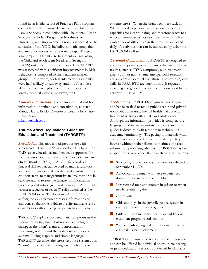found in an Evidence Based Practices Pilot Program conducted by the Illinois Department of Children and Family Services in conjuction with The Mental Health Services and Policy Program at Northwestern University, with improvements noted on several of the subscales of the YOQ, including somatic complaints and anxious/depressive symptomatology. The pilot also compared SPARCS to treatment as usual using the Child and Adolescent Needs and Strengths (CANS) instrument. Results indicated that SPARCS was associated with significant improvements in Risk Behaviors as compared to the treatment as usual group. Furthermore, adolescents receiving SPARCS were half as likely to run away, and one-fourth less likely to experience placement interruptions (i.e., arrests, hospitalizations, runaways, etc.).

**Contact Information:**To obtain a manual and for information on training and consultation, contact: Mandy Habib, Psy.D. Division of Trauma Psychiatry 516-562-3276 mhabib@nshs.edu.

#### **Trauma Affect Regulation: Guide for Education and Treatment (TARGET©)**

**Description:** This model is adapted for use with adolescents. TARGET© was developed by Julian Ford, Ph.D., as an educational and therapeutic approach for the prevention and treatment of complex Posttraumatic Stress Disorder (PTSD). TARGET© provides a practical skill set that can be used by trauma survivors and family members to de-escalate and regulate extreme emotion states, to manage intrusive trauma memories in daily life, and to restore the capacity for information processing and autobiographical memory. TARGET© teaches a sequence of seven (7) skills described as the FREEDOM steps. The focus in TARGET© is on shifting the way a person processes information and emotions so that s/he is able to live life and make sense of memories without being trapped in an alarm state.

TARGET© explains post-traumatic symptoms as the product of an ingrained, but reversible, biological change in the brain's alarm and information processing systems and the body's stress response systems. Using graphics and simple language, TARGET© describes the stress response system as an "alarm" in the brain that is triggered by trauma or

extreme stress. When the brain becomes stuck in "alarm" mode a person cannot access the brain's capacities for clear thinking, and therefore reacts to all types of current stressors as survival threats. This causes serious difficulties in their relationships and daily life activities that can be addressed by using the FREEDOM skill set.

**Essential Components:** TARGET© is designed to address the primary personal issues that are related to trauma, such as PTSD symptoms, rage, traumatic grief, survivor guilt, shame, interpersonal rejection, and existential/spiritual alienation. The seven (7) core skills in TARGET© are taught through repeated coaching and guided practice and are described by the acronym, FREEDOM.

**Applications:** TARGET© originally was designed for and has been field tested in public sector and private nonprofit community mental health and addiction treatment settings with adults and adolescents. Although the information provided is complex, the language used in participant materials and in leader guides is down-to-earth rather than technical or academic terminology. The pacing of materials within and across sessions is designed to sustain participant interest without taxing clients' sometimes impaired information processing abilities. TARGET© has been adapted for several other trauma-affected populations:

- Survivors, rescue workers, and families affected by September 11, 2001
- Advocacy for women who have experienced domestic violence and their children
- Incarcerated men and women in prison or when newly re-entering the
- **Community**
- Girls and boys in the juvenile justice system in secure and community programs
- Girls and boys in mental health and addictions treatment programs and schools
- Women with young children who are at risk for criminal justice involvement

TARGET© is manualized for adults and adolescents and can be offered in individual or group counseling or psychoeducation sessions conducted by clinicians,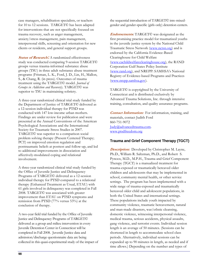case managers, rehabilitation specialists, or teachers for 10 to 12 sessions. TARGET© has been adapted for interventions that are not specifically focused on trauma recovery, such as anger management, anxiety/stress management, pain management, interpersonal skills, screening and orientation for new clients or residents, and general support groups.

**Status of Research***:*A randomized effectiveness study was conducted comparing 9-session TARGET© groups versus trauma-informed substance abuse groups (TSU) in three adult substance abuse treatment programs (Frisman, L. K., Ford, J. D., Lin, H., Mallon, S., & Chang, R. (in press). Outcomes of trauma treatment using the TARGET© model. *Journal of Groups in Addiction and Recovery*). TARGET© was superior to TSU in maintaining sobriety.

A three-year randomized clinical trial study funded by the Department of Justice of TARGET© delivered as a 12-session individual therapy for PTSD was conducted with 147 low-income urban mothers. Findings are under review for publication and were presented at the Annual Conventions of the American Psychological Associations and the International Society for Traumatic Stress Studies in 2007. TARGET© was superior to a comparison social problem solving therapy (Present Centered Therapy; PCT) on improved emotion regulation and posttraumatic beliefs at posttest and follow-up, and led to additional improvements in dissociation and affectively-modulated coping and relational involvement.

A three-year randomized clinical trial study funded by the Office of Juvenile Justice and Delinquency Programs of TARGET© delivered as a 12-session individual therapy for PTSD compared to a relational therapy (Enhanced Treatment as Usual, ETAU) with 61 girls involved in delinquency was completed in Fall 2008. TARGET© was associated with greater improvement than ETAU on PTSD symptoms and remission from PTSD (77% versus 53%) at the conclusion of therapy.

A two-year field trial funded by the Office of Juvenile Justice and Delinquency Programs of TARGET© delivered as a group and milieu intervention in every Juvenile Detention Center in Connecticut will be completed in Fall 2008. Juvenile Justice data and admission/discharge questionnaire data are being collected in this quasi-experimental study of the impact of the sequential introduction of TARGET© into mixedgender and gender-specific (girls only) detention centers.

**Endorsements**: TARGET© was designated as the first promising practice model for traumatized youths in the juvenile justice system by the National Child Traumatic Stress Network (www.nctsn.org) and is endorsed by the California Evidence-Based Clearinghouse for Child Welfare (www.cachildwelfareclearinghouse.org), the RAND Corporation Gulf States Policy Institute (www.rand.org), and NREPP: SAMHSA's National Registry of Evidence-based Programs and Practices (www.nrepp.samhsa.gov).

TARGET© is copyrighted by the University of Connecticut and is distributed exclusively by Advanced Trauma Solutions, Inc. through intensive training, consultation, and quality assurance programs.

*Contact Information:* For information, training, and materials, contact Judith Ford 860-751-9072 Judy@advancedtrauma.com. www.ptsdfreedom.org

### **Trauma and Grief Component Therapy (TGCT)**

**Description:**Developed by Christopher M. Layne, Ph.D., William R. Saltzman, Ph.D., and Robert S. Pynoos, M.D., M.P.H., Trauma and Grief Component Therapy (TGCT) is a manualized treatment for trauma-exposed or traumatically bereaved older children and adolescents that may be implemented in school, communty mental health, or other service settings. The program has been implemented with a wide range of trauma-exposed and traumatically bereaved older child and adolescent populations, in both the United States and international settings. These populations include youth impacted by community violence, traumatic bereavement, natural and man-made disasters, war/ethnic cleansing, domestic violence, witnessing interpersonal violence, medical trauma, serious accidents, physical assaults, gang violence, and terrorist events. Individual session length is an average of 50 minutes. (Sessions can be shortened in length to accommodate school class periods. Alternatively, individual sessions can be expanded up to 90 minutes in length, as needed and if time allows.) Depending on the number and types of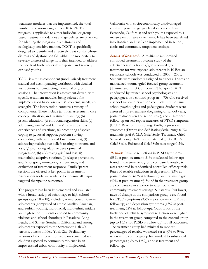treatment modules that are implemented, the total number of sessions ranges from 10 to 24. The program is applicable to either individual or groupbased treatment modalities and guidelines are provided for adapting the program in a culturally and ecologically sensitive manner. TGCT is specifically designed to identify and effectively treat youths whose distress and dysfunction fall within the moderately to severely distressed range. It is thus intended to address the needs of both moderately exposed and severely exposed youths.

TGCT is a multi-component (modularized) treatment manual and accompanying workbook with detailed instructions for conducting individual or group sessions. The intervention is assessment-driven, with specific treatment modules being selected for implementation based on clients' problems, needs, and strengths. The intervention contains a variety of components. These include (a) initial assessment, case conceptualization, and treatment planning; (b) psychoeducation, (c) emotional regulation skills, (d) addressing youths' and families' traumatic stress experiences and reactions, (e) promoting adaptive coping (e.g., social support, problem-solving, contending with trauma and loss reminders), (f) addressing maladaptive beliefs relating to trauma and loss, (g) promoting adaptive developmental progression, (h) addressing grief and loss, (i) maintaining adaptive routines, (j) relapse prevention, and (k) ongoing monitoring, surveillance, and evaluation of treatment response. Family/parent sessions are offered at key points in treatment. Assessment tools are available to measure all major targeted therapeutic outcomes.

The program has been implemented and evaluated with a broad variety of school age to high school groups (ages  $10 - 18$ ), including war-exposed Bosnian adolescents (comprised of ethnic Muslim, Croatian, and Serbian youths); multi-racial, multi-ethnic middle and high school students exposed to community violence and school shootings in Pasadena, Long Beach, and Santee, Southern California; and among adolescents exposed to the September 11th 2001 terrorist attacks in New York City. Preliminary versions of the intervention were implemented with children exposed to community violence in an impoverished urban community in Inglewood,

California; with socioeconomically disadvantaged youths exposed to gang-related violence in San Fernando, California; and with youths exposed to a massive earthquake in Armenia. It has been translated into Bosnian and has been implemented in school, clinic and community outpatient settings.

**Status of Research:** A multi-site randomized controlled treatment outcome study of the effectiveness of a trauma/grief-focused group treatment for war-exposed adolescents in 10 Bosian secondary schools was conducted in 2000 – 2001. Students were randomly assigned to either a 17-session manualized trauma/grief-focused group treatment (Trauma and Grief Component Therapy)  $(n = 71)$ conducted by trained school psychologists and pedagogues, or a control group  $(n = 73)$  who received a school milieu intervention conducted by the same school psychologists and pedagogues. Students were assessed at pre-treatment (beginning of school year), post-treatment (end of school year), and at 4-month follow-up on self-report measures of PTSD symptoms (UCLA Reaction Index; range 0-68), depression symptoms (Depression Self-Rating Scale; range 0-72), traumatic grief (UCLA Grief Scale, Traumatic Grief Subscale; range 0-24), and existential grief (UCLA Grief Scale, Existential Grief Subscale; range 0-24).

**Results:** Reliable reductions in PTSD symptoms (58% at post-treatment; 81% at selected follow-up) found in the treatment group compare favorably to rates reported in randomized controlled efficacy trials. Rates of reliable reductions in depression (23% at post-treatment, 61% at follow-up) and traumatic grief (40% at post-treatment) found in the treatment group are comparable or superior to rates found in community treatment settings. Substantial, but lower, rates of change in the comparison group were found for PTSD symptoms (33% at post-treatment; 21% at follow-up) and depression symptoms (13% at posttreatment; 52% at follow-up). Odds ratios of the likelihood of reliable symptom reduction were higher in the treatment group compared to the control group (up to 15.19 for PTSD at follow-up) for all outcomes. The treatment group had minimal to modest percentages of reliably worsened cases (0% to 9%), whereas the control group had modest to substantial percentages (3% to 17%), at post-treatment and follow-up.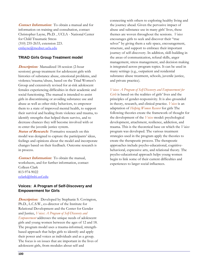**Contact Information:** To obtain a manual and for information on training and consultation, contact Christopher Layne, Ph.D. , UCLA - National Center for Child Traumatic Stress (310) 235-2633, extension 223. cmlayne@mednet.ucla.edu

#### **TRIAD Girls Group Treatment model**

**Description:**Manualized 18-session (2-hour sessions) group treatment for adolescent girls with histories of substance abuse, emotional problems, and violence/trauma/abuse, based on the Triad Women's Group and extensively revised for at-risk adolescent females experiencing difficulties in their academic and social functioning. The manual is intended to assist girls in discontinuing or avoiding substance use and abuse as well as other risky behaviors, to empower them to a state of improved mental health, to support their survival and healing from violence and trauma, to identify strengths that helped them survive, and to decrease chances they will become involved with or re-enter the juvenile justice system.

**Status of Research:** Formative research on this model was designed to capture the participants' ideas, feelings and opinions about the model and incorporate changes based on their feedback. Outcome research is in process.

**Contact Information:**To obtain the manual, worksheets, and for further information, contact Colleen Clark 813-974-9022 cclark@fmhi.usf.edu

#### **Voices: A Program of Self-Discovery and Empowerment for Girls**

**Description:**Developed by Stephanie S. Covington, Ph.D., L.C.S.W., co-director of the Institute for Relational Development and the Center for Gender and Justice, *Voices: A Program of Self-Discovery and Empowerment* addresses the unique needs of adolescent girls and young women between the ages of 12 and 18. The program model uses a trauma-informed, strengthbased approach that helps girls to identify and apply their power and voices as individuals and as a group. The focus is on issues that are important in the lives of adolescent girls, from modules about self and

connecting with others to exploring healthy living and the journey ahead*.* Given the pervasive impact of abuse and substance use in many girls' lives, these themes are woven throughout the sessions. *Voices*  encourages girls to seek and discover their "true selves" by giving them a safe space, encouragement, structure, and support to embrace their important journey of self-discovery. In addition, skill-building in the areas of communication, refusal skills, anger management, stress management, and decision making is integrated across program topics. It can be used in many settings (e.g., outpatient and residential substance abuse treatment, schools, juvenile justice, and private practice).

*Voices: A Program of Self-Discovery and Empowerment for Girls* is based on the realities of girls' lives and the principles of gender-responsivity. It is also grounded in theory, research, and clinical practice. *Voices* is an adaptation of *Helping Women Recover* for girls The following theories create the framework of thought for the development of the *Voices* model: psychological development, attachment, resilience, addiction, and trauma. This is the theoretical base on which the *Voices*  program was developed. The various treatment strategies used in the program apply the theories to create the therapeutic process. The therapeutic approaches include psycho-educational, cognitivebehavioral, expressive arts, and relational theory. The psycho-educational approach helps young women begin to link some of their current difficulties and experiences to larger social influences.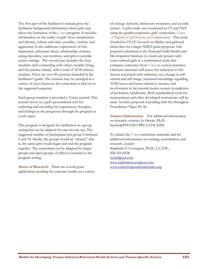The first part of the facilitator's manual gives the facilitator background information about girls and about the formation of the *Voices* program. It includes information on the reality of girls' lives: socialization and identity, culture and class, sexuality, violence and aggression. It also addresses expressions of risk: depression, substance abuse, relationship violence, eating disorders, teen mothers, and girls in juvenile justice settings. The second part includes the four modules (self, connecting with others, healthy living, and the journey ahead), with a total of 18 90-minute sessions. There are over 90 exercises included in the facilitator's guide. The sessions may be arranged in a variety of ways; however, the curriculum is laid out in the suggested sequence.

Each group member is provided a Voices journal. This journal serves as a girl's personalized tool for exploring and recording her experiences, thoughts, and feelings as she progresses through the program in a safe space.

This program is designed for facilitation in a group setting but can be adapted for one-on-one use. The suggested number of participants per group is between 6 and 10. Ideally, the groups would be "closed," that is, the same girls would begin and end the program together. The curriculum can be adapted for larger groups and open groups, if either is essential to the program setting.

**Status of Research:** There are several grant applications pending for outcome studies in a variety of settings (schools, adolescent treatment, and juvenile justice). A pilot study was conducted in CT and NYC using the gender-responsive girls' curriculum, *Voices: A Program of Self-Discovery and Empowerment.* This study (funded by CSAT) focused on fidelity and gathered initial data for a larger NIDA grant proposal. One proposal submitted to the National Child Health and Development Institute is a multi-site project with court-ordered girls in a randomized study that compares outcomes from *Voices* to current practices. Outcome measures will assess for reduction in risk factors associated with substance use, change in selfesteem and self image, increased knowledge regarding AOD issues and issues related to trauma, and involvement in the juvenile justice system (completion of probation, recidivism). Both standardized tools for measurement and other developed instruments will be used. Another proposal is pending with the Donaghue Foundation. Pages 85, 86.

**Contact Information:**For additional information on research, contact: Jo Hawke, Ph.D. hawke@PSYCHIATRY.UCHC.EDU

To obtain the *Voices* curriculum materials and for additional information on training, consultation, and research, contact Stephanie S. Covington, Ph.D., L.C.S.W., 858-454-8528 sscird@aol.com www.stephaniecovington.com www.centerforgenderandjustice.org.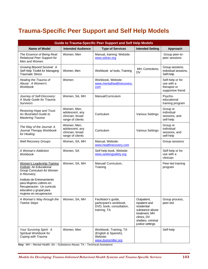# **Trauma-Specific Peer Support and Self Help Models**

| <b>Guide to Trauma-Specific Peer Support and Self Help Models</b>                                                                                                                                                                                          |                                                                        |                                                                                             |                                                                                                                                          |                                                                     |
|------------------------------------------------------------------------------------------------------------------------------------------------------------------------------------------------------------------------------------------------------------|------------------------------------------------------------------------|---------------------------------------------------------------------------------------------|------------------------------------------------------------------------------------------------------------------------------------------|---------------------------------------------------------------------|
| <b>Name of Model</b>                                                                                                                                                                                                                                       | <b>Intended Audience</b>                                               | <b>Type of Services</b>                                                                     | <b>Intended Setting</b>                                                                                                                  | Approach                                                            |
| The Essence of Being Real:<br><b>Relational Peer Support for</b><br>Men and Women                                                                                                                                                                          | Women, Men                                                             | Manual, training: Website:<br>www.sidran.org                                                |                                                                                                                                          | Group peer-to-<br>peer sessions                                     |
| Growing Beyond Survival: A<br>Self Help Toolkit for Managing<br><b>Traumatic Stress</b>                                                                                                                                                                    | Women, Men                                                             | Workbook w/ tools, Training                                                                 | MH, Corrections,<br>DV                                                                                                                   | Group sessions;<br>individual sessions,<br>Self-help                |
| Healing the Trauma of<br>Abuse: A Women's<br><b>Workbook</b>                                                                                                                                                                                               | Women                                                                  | Workbook, Website:<br>www.mentalhealthrecovery.<br>com                                      |                                                                                                                                          | Self-help or for<br>use with a<br>therapist or<br>supportive friend |
| Journey of Self-Discovery:<br>A Study Guide for Trauma<br><b>Survivors</b>                                                                                                                                                                                 | Women, SA, MH                                                          | Manual/Curriculum                                                                           |                                                                                                                                          | Psycho-<br>educational<br>training program                          |
| Restoring Hope and Trust:<br>An Illustrated Guide to<br><b>Mastering Trauma</b>                                                                                                                                                                            | Women, Men,<br>adolescent, any<br>clinician; broad<br>range of clients | Curriculum                                                                                  | <b>Various Settings</b>                                                                                                                  | Group or<br>individual<br>sessions, and<br>self-help                |
| The Way of the Journal: A<br>Journal Therapy Workbook<br>for Healing                                                                                                                                                                                       | Women, Men,<br>adolescent, any<br>clinician; broad<br>range of clients | Curriculum                                                                                  | <b>Various Settings</b>                                                                                                                  | Group or<br>individual<br>sessions, and<br>self-help                |
| <b>Well Recovery Groups</b>                                                                                                                                                                                                                                | Women, SA, MH                                                          | Manual, Website:<br>www.healthrecovery.com                                                  |                                                                                                                                          | Group sessions                                                      |
| A Woman's Addiction<br><b>Workbook</b>                                                                                                                                                                                                                     | Women, SA                                                              | Self-help book, Website:<br>www.seekingsafety.org                                           |                                                                                                                                          | Self-help or for<br>use with a<br>clinician                         |
| <b>Women's Leadership Training</b><br>Institute: An Educational<br>Group Curriculum for Women<br>in Recovery.<br>Instituto de Entrenamiento<br>para Mujeres Lideres en<br>Recuperacion: Un curriculo<br>educativo y grupal para<br>mujeres en recuperacion | Women, SA, MH                                                          | Manual/ Curriculum,<br>Training                                                             |                                                                                                                                          | Peer-led training<br>program                                        |
| A Woman's Way through the<br><b>Twelve Steps</b>                                                                                                                                                                                                           | Women, SA, MH                                                          | Facilitator's guide,<br>participant's workbook,<br>DVD, book, consultation,<br>training, TA | Outpatient,<br>inpatient and<br>residential<br>substance abuse<br>treatment, MH<br>clinics, DV<br>shelters, criminal<br>justice settings | Group process,<br>peer-led                                          |
| Your Surviving Spirit: A<br>Spiritual Workbook for<br>Coping with Trauma                                                                                                                                                                                   | Women, Men                                                             | Workbook, Training, TA<br>(English & Spanish),<br>Website:<br>www.dustymiller.org           |                                                                                                                                          | Self-help                                                           |

**Key:** MH – Mental Health; SA – Substance Abuse; TA – Technical Assistance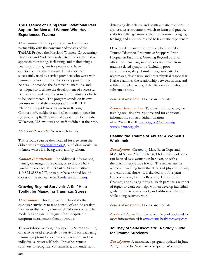#### **The Essence of Being Real: Relational Peer Support for Men and Women Who Have Experienced Trauma**

*Description:* Developed by Sidran Institute in partnership with the consumer advocates of the TAMAR Project, the Maryland Women, Co-occurring Disorders and Violence Study Site, this is a manualized approach to creating, facilitating, and maintaining a peer support program for people who have experienced traumatic events. It has also been successfully used by service providers who work with trauma survivors, for peer to peer support among helpers. It provides the framework, methods, and techniques to facilitate the development of successful peer support and examine some of the obstacles likely to be encountered. The program stands on its own, but uses many of the concepts and the RICH® relationships guidelines drawn from Risking Connection®, making it an ideal companion piece for systems using RC.The manual was written by Jennifer Wilkerson, M.S. who was on staff at Sidran at the time.

**Status of Research:** No research to date.

This resource can be downloaded for free from the Sidran website (www.sidran.org), but Sidran would like to know where it is being used, and by whom.

**Contact Information:**For additional information, training on using this resource, or to discuss bulk purchases, contact: Esther Giller, Sidran Institute 410-825-8888 x 207, or to purchase printed bound copies of the manual, e-mail orders@sidran.org.

### **Growing Beyond Survival: A Self Help Toolkit for Managing Traumatic Stress**

**Description:**This approach teaches skills that empower survivors to take control of and de-escalate their most distressing trauma-related symptoms. The model was originally designed for therapist-run symptom management therapy groups.

This workbook version, developed by Sidran Institute, can also be used effectively by survivors for managing trauma symptoms between therapy sessions and for individual survivor self-help. It teaches trauma survivors to recognize, contextualize, and understand

distressing dissociative and posttraumatic reactions. It also creates a structure in which to learn and practice skills for self-regulation of the troublesome thoughts, feelings, and impulses related to traumatic experiences.

Developed in part and extensively field tested at Trauma Disorders Programs at Sheppard Pratt Hospital in Baltimore, Growing Beyond Survival offers tools enabling survivors to find relief from trauma-related symptoms (including poor concentration, sleep disturbances, panic attacks, nightmares, flashbacks, and other physical responses). It also examines the relationship between trauma and self-harming behaviors, difficulties with sexuality, and substance abuse.

**Status of Research:** No research to date.

**Contact Information:**To obtain this resource, for training on using this resource and for additional information, contact: Sidran Institute 410-825-8888 x 207, esther.giller@sidran.org www.sidran.org/gbs

#### **Healing the Trauma of Abuse: A Women's Workbook**

**Description:** Created by Mary Ellen Copeland, M.A., M.S., and Maxine Harris, Ph.D., this workbook can be used by a woman on her own, or with a therapist or supportive friend. The manual assists women recovering from the effects of physical, sexual, and emotional abuse. It is divided into four parts: Empowerment, Trauma Recovery, Creating Life Changes, and Closing Rituals. Each part has a number of topics to work on, helps women develop individual goals for the recovery work, and addresses self-care while doing recovery work.

**Status of Research:** No research to date.

**Contact Information:**To obtain the workbook and for more information, visit www.mentalhealthrecovery.com

### **Journey of Self-Discovery: A Study Guide for Trauma Survivors**

**Description:** A manualized program updated in June 2007, created by New Partnerships for Women, a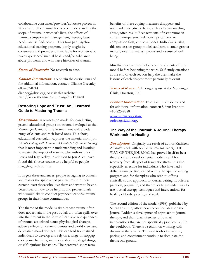collaborative consumer/provider/advocate project in Wisconsin. The manual focuses on understanding the scope of trauma in women's lives, the effects of trauma, symptom self management, meeting basic needs, and self-advocacy. This four part psychoeducational training program, jointly taught by consumers and providers, is available for women who have experienced mental health and/or substance abuse problems and who have histories of trauma.

**Status of Research:** No research to date.

**Contact Information:** To obtain the curriculum and for additional information, contact**:** Dianne Greenley 608-267-0214 dianneg@drwi.org, or visit this website: http://www.theannainstitute.org/SGTS.html

#### **Restoring Hope and Trust: An Illustrated Guide to Mastering Trauma**

**Description:** A ten-session model for conducting psychoeducational groups on trauma developed at the Menninger Clinic for use in treatment with a wide range of clients and their loved ones. This short, educational curriculum captures the material from Jon Allen's *Coping with Trauma: A Guide to Self-Understanding*  that is most important in understanding and learning to master the impact of trauma. The authors, Lisa Lewis and Kay Kelley, in addition to Jon Allen, have found this shorter course to be helpful to people struggling with trauma.

It targets three audiences: people struggling to contain and master the spillover of past trauma into their current lives; those who love them and want to have a better idea of how to be helpful; and professionals who would like to conduct psychoeducational trauma groups in their home communities.

The theme of the model is simple: past trauma often does not remain in the past but all too often spills over into the present in the form of intrusive re-experiences of trauma, associated neuro-physiological changes, adverse effects on current identity and world view, and depressive mood changes. This can lead traumatized individuals to develop and rely on a range of stopgap coping mechanisms, such as alcohol use, illegal drugs, or self-injurious behaviors. The perceived short-term

benefits of these coping measures disappear and unintended negative effects, such as long-term drug abuse, often result*.* Reenactments of past trauma in current interpersonal relationships can lead to compassion fatigue in loved ones. Individuals using this ten-session group model can learn to attain greater mastery over trauma symptoms and a sense of well being.

Mindfulness exercises help to center students of this model before beginning the work. Self-study questions at the end of each section help the user make the lessons of each chapter more personally relevant.

**Status of Research:** In ongoing use at the Menninger Clinic, Houston, TX.

**Contact Information:**To obtain this resource and for additional information, contact: Sidran Institute 410-825-8888 www.sidran.org/store orders@sidran.org.

#### **The Way of the Journal: A Journal Therapy Workbook for Healing**

**Description:** Originally the result of author Kathleen Adams's work with sexual trauma survivors, THE WAY OF THE JOURNAL has proved itself to be a theoretical and developmental model useful for recovery from all types of traumatic stress. It is also especially effective for individuals who have had a difficult time getting started with a therapeutic writing program and for therapists who wish to offer a clinically sound approach to journal writing. It offers a practical, pragmatic, and theoretically grounded way to use journal therapy techniques and interventions for healing of body, psyche, and soul.

The second edition of the model (1998), published by Sidran Institute, offers new theoretical ideas on the Journal Ladder, a developmental approach to journal therapy, and thumbnail sketches of journal interventions that are not specifically practiced within the workbook. There is a section on working with dreams in the journal. The vital tools of structure, pacing, and containment continue to dominate the theoretical ground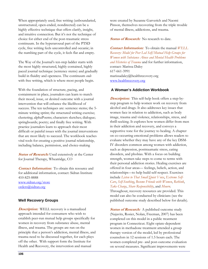When appropriately used, free writing (unboundaried, unstructured, open-ended, nondirected) can be a highly effective technique that offers clarify, insight, and intuitive connection. But it's not the technique of choice for either end of the post-traumatic stress continuum. In the hyperarousal part of the PTSD cycle, free writing feels uncontrolled and oceanic; in the numbing part of the cycle, it feels flat and empty.

The Way of the Journal's ten-step ladder starts with the most highly structured, highly contained, highly paced journal technique (sentence stems) and gradually build in fluidity and openness. The continuum *ends*  with free writing, which is where most people begin.

With the foundation of structure, pacing, and containment in place, journalers can learn to match their mood, issue, or desired outcome with a journal intervention that will enhance the likelihood of success. The ten techniques are: sentence stems; the 5 minute writing sprint; the structured writing exercise; clustering; alphaPoems; characters sketches; dialogue; springboards; poetry; and finally free writing. With practice journalers learn to approach their most difficult or painful issues with the journal interventions that are most likely to succeed. The workbook teaches vital tools for creating a positive journal relationship, including balance, permission, and choice-making

**Status of Research:** Used extensively at the Center for Journal Therapy, Wheatridge, CO

**Contact Information:**To obtain this resource and for additional information, contact: Sidran Institute 410-825-8888 www.sidran.org/store orders@sidran.org

#### **Well Recovery Groups**

**Description:**WELL recovery is a manualized approach intended for consumers who wish to establish peer-run mutual help groups specifically for women in recovery from substance abuse, mental illness, and trauma. The groups are run on the principle that a person's addiction, mental illness, and trauma need to be discussed together, for each plays off the other. With support form the Institute for Health and Recovery, the intervention and manual

were created by Suzanne Garverich and Naomi Pinson, themselves recovering from the triple trouble of mental illness, addictions, and trauma.

**Status of Research:** No research to date.

**Contact Information:**To obtain the manual *WELL Recovery: Model for Peer Led Self/Mutual Help Groups for Women with Substance Abuse and Mental Health Problems and Histories of Trauma* and for further information, contact: Marissa Daley 617-661-3991 marissadaley@healthrecovery.org www.healthrecovery.org

#### **A Woman's Addiction Workbook**

**Description:**This self-help book offers a step-bystep program to help women work on recovery from alcohol and drugs. It also addresses key issues that women face in relation to addiction, such as body image, trauma and violence, relationships, stress, and thrill-seeking. It explores how women differ from men in their addiction and recovery, and conveys a supportive tone for the journey to healing. A chapter on co-occurring emotional problems allows readers to evaluate whether they may have any of the key DSM-IV disorders common among women with addiction, such as depression, posttraumatic stress, eating disorders, and phobias. With a focus on building strength, women take steps to come to terms with their personal addiction stories. Healing exercises are offered in four areas— feelings, beliefs, action, and relationships—to help build self-respect. Exercises include *Listen to That Small Quiet Voice*, *Extreme Self-Care*, *Self-Soothing*, *Become Friends with Women*, *Rethink*, *Take Charge*, *Share Responsibility*, and *Mourn*.

Throughout, recovery resources are provided. This model can also be conducted by clinicians (see the published outcome study described below for details).

**Status of Research:** A published outcome study (Najavits, Rosier, Nolan, Freeman, 2007) has been completed on this model in a public treatment program in Connecticut. Eight opiate-dependent women in methadone treatment attended a group therapy version of the model, led by professional counselors in 12 sessions of 1.5 hours each. The women completed pre- and post-outcome evaluation on several measures. Significant improvements were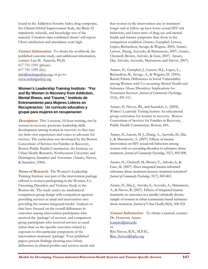found in the Addiction Severity Index drug composite, the Clinical Global Improvement Scale, the Basis-32 impulsivity subscale, and knowledge test of the material. Urinalysis data confirmed clients' self-report. Client satisfaction and attendance were high.

**Contact Information:**To obtain the workbook, the published outcome study, and additional information, contact: Lisa M. Najavits, Ph.D. 617-731-1501 (phone) 617-701-1295 (fax). info@seekingsafety.org, or go to: www.seekingsafety.org

**Women's Leadership Training Institute: "For and By Women in Recovery from Addiction, Mental Illness, and Trauma," Instituto de Entrenamiento para Mujeres Lideres en Recuperacion: Un curriculo educativo y grupal para mujeres en recuperacion** 

**Description:** This 3-session, 16-hour training, run by women in recovery, promotes leadership skills development among women in recovery so they may use their own experiences and voices to advocate for services. The curriculum was developed by the Boston Consortium of Services for Families in Recovery, Boston Public Health Commission, the Institute on Urban Health Research, Northeastern University and Dorrington, Saunders and Associates (Amaro, Nieves, & Saunders, 2004).

**Status of Research:** The Women's Leadership Training Institute was part of the intervention package offered to women participating in the Women, Co-Occurring Disorders and Violence Study in the Boston site. The study used a no-randomized comparison group design with comparison agencies providing services as usual and intervention sites providing the trauma-integrated model. Analyses to date have focused on the overall differences in outcomes among intervention participants who received the 'package' of services, and comparison group participants who received services as usual rather than on the specific outcomes related to exposure to this particular component of the intervention treatment 'package.' Four published papers present findings showing race/ethnic differences in clinical profiles and services needs and

that women in the intervention stay in treatment longer and at follow-up have lower sexual HIV risk behaviors, and lower rates of drug use and mental health and trauma symptoms than those in the comparison condition (Amaro, Gampbel, Larson, Lopez, Richardson, Savage, & Wagner, 2005; Amaro, Larson, Zhang, Acevedo, & Matsumoto, 2007; Amaro, Chernoff, Brown, Arévalo, & Gatz, 2007; Amaro, Dai, Arévalo, Acevedo, Matsumoto and Nieves, 2007).

Amaro, H., Gampbel, J., Larson, M.J., Lopez, L., Richardson, R., Savage, A., & Wagner, D. (2005). Racial/Ethnic Differences in Social Vulnerability among Women with Co-occurring Mental Health and Substance Abuse Disorders: Implications for Treatment Services. *Journal of Community Psychology,*  33(4), 495-511*.* 

Amaro, H, Nieves, RL, and Saunders, L. (2004). *Women's Leadership Training Institute:* An educational group curriculum for women in recovery. Boston Consortium of Services for Families in Recovery, Public Health Commission, Boston, MA.

Amaro, H., Larson, M. J., Zhang, A., Acevedo, D., Dai, J., & Matsumoto, A. (2007). Effects of trauma intervention on HIV sexual risk behaviors among women with co-occurring disorders in substance abuse treatment. *Journal of Community Psychology*, 35(7), 895-908.

Amaro, H., Chernoff, M., Brown, V., Arévalo, S., & Gatz, M. (2007). Does integrated trauma-informed substance abuse treatment increase treatment retention? *Journal of Community Psychology,* 35(7), 845-862.

Amaro, H., Dai, J., Arevalo, S., Acevedo, A., Matsumoto, A., & Nieves, R. (2007). Effects of integrated trauma treatment on outcomes in a racially/ethnically diverse sample of women in urban community-based substance abuse treatment. *Journal of Urban Health*, 84(4), 508-522.

**Contact Information:**To obtain a manual, contact: Dr. Hortensia Amaro h.amaro@neu.edu or Rita Nieves, R.N., M.P.H., Rita\_Neives@bphc.org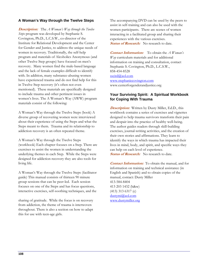#### **A Woman's Way through the Twelve Steps**

**Description:**The *A Woman's Way through the Twelve Steps* program was developed by Stephanie S. Covington, Ph.D., L.C.S.W., co-director of the Institute for Relational Development and the Center for Gender and Justice, to address the unique needs of women in recovery. Traditionally, the self-help program and materials of Alcoholics Anonymous (and other Twelve Step groups) have focused on men's recovery. Many women find the male-based language and the lack of female examples difficult to identify with. In addition, many substance-abusing women have experienced trauma and do not find help for this in Twelve Step recovery (it's often not even mentioned). These materials are specifically designed to include trauma and other pertinent issues in women's lives. The A Woman's Way (AWW) program materials consist of the following:

A Woman's Way through the Twelve Steps (book) A diverse group of recovering women were interviewed about their experience of using the Steps and what the Steps meant to them. Trauma and its relationship to addiction recovery is an often repeated theme.

A Woman's Way through the Twelve Steps (workbook) Each chapter focuses on a Step. There are exercises to assist the women in understanding the underlying themes in each Step. While the Steps were designed for addiction recovery they are also tools for living life.

A Woman's Way through the Twelve Steps (facilitator guide) This manual consists of thirteen 90 minute group sessions that can be peer-led. Each session focuses on one of the Steps and has focus questions, interactive exercises, self-soothing techniques, and the

sharing of gratitude. While the focus is on recovery from addiction, the theme of trauma is interwoven throughout. There is also a section on how to adapt this for use with teen-age girls.

The accompanying DVD can be used by the peers to assist in self-training and can also be used with the women participants. There are scenes of women interacting in a facilitated group and sharing their experiences with the various exercises. **Status of Research:** No research to date.

**Contact Information:**To obtain the *A Woman's Way* curriculum materials and for additional information on training and consultation, contact Stephanie S. Covington, Ph.D., L.C.S.W., 858-454-8528 sscird@aol.com www.stephaniecovington.com www.centerforgenderandjustice.org

#### **Your Surviving Spirit: A Spiritual Workbook for Coping With Trauma**

**Description:**Written by Dusty Miller, Ed.D., this workbook contains a series of exercises and vignettes designed to help trauma survivors transform their pain and despair into the practice of healthy well-being. The author guides readers through skill-building exercises, journal-writing activities, and the creation of their own stories and affirmations. They learn to identify the ways in which trauma has impacted their lives in mind, body, and spirit, and specific ways they can help on each level of experience. **Status of Research:** No research to date.

**Contact Information:**To obtain the manual, and for information on training and technical assistance (in English and Spanish) and to obtain copies of the manual, contact: Dusty Miller 413-584-8404 413 203 1432 (h&w) (413) 313 6317 (c) dustymi@aol.com www.dustymiller.org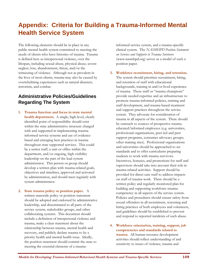# **Appendix: Criteria for Building a Trauma-Informed Mental Health Service System**

The following elements should be in place in any public mental health system committed to meeting the needs of clients who have histories of trauma. Trauma is defined here as interpersonal violence, over the lifespan, including sexual abuse, physical abuse, severe neglect, loss, abandonment, threat, and/or the witnessing of violence. Although not as prevalent in the lives of most clients, trauma may also be caused by overwhelming experiences such as natural disasters, terrorism, and combat.

## **Administrative Policies/Guidelines Regarding The System**

- **1. Trauma function and focus in state mental health department.** A single, high-level, clearly identified point of responsibility should exist within the state administrative structure charged with and supported in implementing traumainformed service systems and use of evidencebased and emerging best practices in trauma throughout state supported services. This could be a senior staff, a unit or office within the department, and/or ongoing, high-visibility leadership on the part of the lead system administrator. This person or group should develop a written plan with trauma-related goals, objectives and timelines, approved and activated by administration, and should meet regularly with system administrator.
- **2. State trauma policy or position paper.** A written statewide policy or position statement should be adopted and endorsed by administrative leadership, and disseminated to all parts of the service system, stakeholder groups, and other collaborating systems. This document should include a definition of interpersonal violence and trauma, make a clear statement about the relationship between trauma, mental health and recovery, and publicly declare trauma to be a priority health and mental health issue. Ideally, the position statement should commit the state to meeting the essential elements of a trauma-

informed service system, and a trauma-specific clinical system. The *NASMHPD Position Statement on Services and Supports to Trauma Survivors* (www.nasmhpd.org) serves as a model of such a position paper.

- **3. Workforce recruitment, hiring, and retention.**  The system should prioritize recruitment, hiring, and retention of staff with educational backgrounds, training in and/or lived experience of trauma. These staff or "trauma champions" provide needed expertise and an infrastructure to promote trauma-informed policies, training and staff development, and trauma-based treatment and support practices throughout the service system. They advocate for consideration of trauma in all aspects of the system. There should be outreach to sources of prospective traumaeducated/informed employees (e.g. universities, professional organizations, peer-led and peer support programs, consumer advocacy groups; other training sites). Professional organizations and universities should be approached to set standards and to offer curriculums preparing students to work with trauma survivors. Incentives, bonuses, and promotions for staff and supervisors should take into account their role in trauma-related activities. Support should be provided for direct care staff to address impacts on staff of trauma work. There should be a written policy and regularly monitored plan for building and supporting workforce traumacompetency in all aspects of the service system. Policies and procedures should ensure safety from sexual offenders in all recruitment, screening and hiring practices of both employees and volunteers, and guidelines should be established to prevent and respond to reported incidents of such abuse.
- **4. Workforce orientation, training, support, job competencies and standards related to trauma.** All human resource development activities should reflect understanding of and sensitivity to issues of violence, trauma and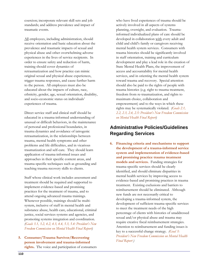coercion; incorporate relevant skill sets and job standards; and address prevalence and impact of traumatic events.

All employees, including administration, should receive orientation and basic education about the prevalence and traumatic impacts of sexual and physical abuse and other overwhelming adverse experiences in the lives of service recipients. In order to ensure safety and reduction of harm, training should cover dynamics of retraumatization and how practice can mimic original sexual and physical abuse experiences, trigger trauma responses, and cause further harm to the person. All employees must also be educated about the impacts of culture, race, ethnicity, gender, age, sexual orientation, disability, and socio-economic status on individuals' experiences of trauma.

Direct service staff and clinical staff should be educated in a trauma-informed understanding of unusual or difficult behaviors, in the maintenance of personal and professional boundaries, in trauma dynamics and avoidance of iatrogenic retraumatization, in the relationships between trauma, mental health symptoms and other problems and life difficulties, and in vicarious traumatization and self-care*.* They should learn application of trauma-informed issues and approaches in their specific content areas, and trauma-specific techniques such as grounding and teaching trauma recovery skills to clients.

Staff whose clinical work includes assessment and treatment should be required and supported to implement evidence-based and promising practices for the treatment of trauma, and to attend ongoing advanced trauma trainings. Whenever possible, trainings should be multisystem, inclusive of staff in mental health and substance abuse, health care, educational, criminal justice, social services systems and agencies, and promoting systems integration and coordination. *(Goals 3.1, 3.2, 4.2, 4.3, 4.4, 5.3, 5.4: President's New Freedom Commission on Mental Health Final Report)*

**5. Consumer/Trauma Survivor/Recovering person involvement and trauma-informed rights.** The voice and participation of consumers who have lived experiences of trauma should be actively involved in all aspects of systems planning, oversight, and evaluation. Traumainformed individualized plans of care should be developed in collaboration with every adult and child and child's family or caregivers receiving mental health system services. Consumers with trauma histories should be significantly involved in staff orientation, training and curriculum development and play a lead role in the creation of State Mental Health Plans, the improvement of access and accountability for mental health services, and in orienting the mental health system toward trauma and recovery. Special attention should also be paid to the rights of people with trauma histories (e.g. right to trauma treatment, freedom from re-traumatization, and rights to maximum choice, collaboration and empowerment) and to the ways in which these rights may be systematically violated*. (Goals 2.1, 2.2, 2.3, 2.4, 2.5: President's New Freedom Commission on Mental Health Final Report)*

## **Administrative Policies/Guidelines Regarding Services**

**6. Financing criteria and mechanisms to support the development of a trauma-informed service system and implementation of evidence-based and promising practice trauma treatment models and services.** Funding strategies for trauma-specific services should be clearly identified, and should eliminate disparities in mental health services by improving access to evidence-based and promising practices in trauma treatment. Existing exclusions and barriers to reimbursement should be eliminated. Although new funds are not necessarily critical to developing a trauma-informed system, the development of sufficient trauma-specific services to meet the treatment needs of the high percentage of clients with histories of unaddressed sexual and/or physical abuse and trauma may require creative fiscal reimbursement strategies. Attention to reimbursement and funding issues is key to a successful change strategy. *(Goal 3: President's New Freedom Commission on Mental Health Final Report )*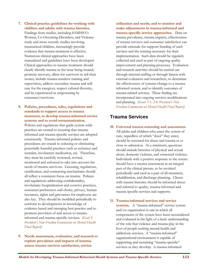- **7. Clinical practice guidelines for working with children and adults with trauma histories.** Findings from studies, including SAMHSA's Women, Co-Occurring Disorders, and Violence study and more recently studies involving traumatized children, increasingly provide evidence that trauma treatment is effective. Numerous clinical approaches have been manualized and guidelines have been developed. Clinical approaches to trauma treatment should clearly identify trauma as the issue being treated, promote recovery, allow for survivors to tell their stories, include trauma-sensitive training and supervision, address secondary trauma and selfcare for the caregiver, respect cultural diversity, and be experienced as empowering by consumer/survivors.
- **8. Policies, procedures, rules, regulations and standards to support access to trauma treatment, to develop trauma-informed service systems and to avoid retraumatization.**

Policies and regulations that guide system-wide practices are central to ensuring that traumainformed and trauma-specific services are adopted consistently. Trauma-informed policies and procedures are crucial to reducing or eliminating potentially harmful practices such as seclusion and restraint, involuntary medication, etc. Therefore, they must be carefully reviewed, revised, monitored and enforced to take into account the needs of trauma survivors. Licensing, regulations, certification, and contracting mechanisms should all reflect a consistent focus on trauma. Policies and regulations addressing confidentiality, involuntary hospitalization and coercive practices, consumer preferences and choice, privacy, human resources, rights and grievances for employees are also key. They should be modified periodically to conform to developments in knowledge of evidence-based and emerging best practice and to promote provision of and access to traumainformed and trauma-specific services. *(Goal 3: President's New Freedom Commission on Mental Health Final Report)* 

**9. Needs assessment, evaluation, and research to explore prevalence and impacts of trauma; assess trauma survivor satisfaction, service** 

**utilization and needs; and to monitor and make adjustments in trauma-informed and trauma-specific service approaches.** Data on trauma prevalence, trauma impacts, effectiveness of trauma services and consumer satisfaction can provide rationale for support/funding of such services and the training necessary for their implementation. Such data should be regularly collected and used as part of ongoing quality improvement and planning processes. Evaluation and research activities should be carried out through internal staffing or through liaison with external evaluators and researchers, to determine the effectiveness of systems-change to a traumainformed system, and to identify outcomes of trauma-related services. These finding are incorporated into ongoing services modifications and planning. *(Goals 5.1, 5.4: President's New Freedom Commission on Mental Health Final Report)* 

### **Trauma Services**

**10. Universal trauma screening and assessment.** All adults and children who enter the system of care, regardless of which "door" they enter, should be screened for abuse and trauma at or close to admission. At a minimum, questions should include histories of physical and sexual abuse, domestic violence, and witnessed violence. Individuals with a positive response to the screen should have a trauma assessment as an integral part of the clinical picture, to be revisited periodically and used as a part of all treatment, rehabilitation, and discharge planning. Clients with trauma histories should be informed about and referred to quality, trauma-informed and trauma specific services and supports.

#### **11. Trauma-informed services and service**

**systems.** A "trauma-informed" service system and/or organization is one in which all components of the system have been reconsidered and evaluated in the light of a basic understanding of the role that violence and trauma play in the lives of people seeking mental health and addictions services. A "trauma-informed" organizational environment is capable of supporting and sustaining "trauma-specific" services as they develop. A trauma-informed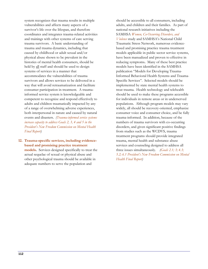system recognizes that trauma results in multiple vulnerabilities and affects many aspects of a survivor's life over the lifespan, and therefore coordinates and integrates trauma-related activities and trainings with other systems of care serving trauma survivors. A basic understanding of trauma and trauma dynamics, including that caused by childhood or adult sexual and/or physical abuse shown to be prevalent in the histories of mental health consumers, should be held by all staff and should be used to design systems of services in a manner that accommodates the vulnerabilities of trauma survivors and allows services to be delivered in a way that will avoid retraumatization and facilitate consumer participation in treatment*.* A traumainformed service system is knowledgeable and competent to recognize and respond effectively to adults and children traumatically impacted by any of a range of overwhelming adverse experiences, both interpersonal in nature and caused by natural events and disasters. *(Trauma-informed service systems increase capacity to address Goals 2, 3, 4 and 5 in the President's New Freedom Commission on Mental Health Final Report)* 

**12. Trauma-specific services, including evidencebased and promising practice treatment models.** Services designed specifically to treat the actual sequelae of sexual or physical abuse and other psychological trauma should be available in adequate numbers to serve the population and

should be accessible to all consumers, including adults, and children and their families. As part of national research initiatives including the SAMHSA *Women, Co-Occurring Disorders, and Violence* study and SAMHSA's National Child Traumatic Stress Network, numerous evidencebased and promising practice trauma treatment models applicable in public sector service systems, have been manualized and proven to effective in reducing symptoms**.** Many of these best practice models have been identified in the SAMHSA publication "Models for Developing Trauma-Informed Behavioral Health Systems and Trauma-Specific Services". Selected models should be implemented by state mental health systems to treat trauma. Health technology and telehealth should be used to make these programs accessible for individuals in remote areas or in underserved populations. Although program models may vary widely, all should be recovery-oriented, emphasize consumer voice and consumer choice, and be fully trauma-informed. In addition, because of the numbers of trauma survivors with co-occurring disorders, and given significant positive findings from studies such as the WCDVS, trauma treatment programs should provide integrated trauma, mental health and substance abuse services and counseling designed to address all three issues simultaneously*. (Goals 2.1; 3; 4.3; 5.2; 6.1 President's New Freedom Commission on Mental Health Final Report)*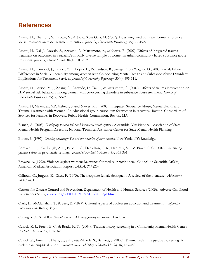# **References**

Amaro, H., Chernoff, M., Brown, V., Arévalo, S., & Gatz, M. (2007). Does integrated trauma-informed substance abuse treatment increase treatment retention? *Journal of Community Psychology,* 35(7), 845-862.

Amaro, H., Dai, J., Arévalo, S., Acevedo, A., Matsumoto, A., & Nieves, R. (2007). Effects of integrated trauma treatment on outcomes in a racially/ethnically diverse sample of women in urban community-based substance abuse treatment. *Journal of Urban Health*, 84(4), 508-522.

Amaro, H., Gampbel, J., Larson, M. J., Lopez, L., Richardson, R., Savage, A., & Wagner, D., 2005. Racial/Ethnic Differences in Social Vulnerability among Women with Co-occurring Mental Health and Substance Abuse Disorders: Implications for Treatment Services. *Journal of Community Psychology,* 33(4), 495-511*.* 

Amaro, H., Larson, M. J., Zhang, A., Acevedo, D., Dai, J., & Matsumoto, A. (2007). Effects of trauma intervention on HIV sexual risk behaviors among women with co-occurring disorders in substance abuse treatment. *Journal of Community Psychology*, 35(7), 895-908.

Amaro, H, Melendez, MP, Melnick, S, and Nieves, RL. (2005). Integrated Substance Abuse, Mental Health and Trauma Treatment with Women: An educational group curriculum for women in recovery. Boston Consortium of Services for Families in Recovery, Public Health Commission, Boston, MA.

Blanch, A. (2003). *Developing trauma-informed behavioral health systems.* Alexandria, VA: National Association of State Mental Health Program Directors, National Technical Assistance Center for State Mental Health Planning.

Bloom, S. (1997). *Creating sanctuary: Toward the evolution of sane societies.* New York, NY: Routledge.

Borckardt, J. J., Grubaugh, A. L., Pelic, C. G., Danielson, C. K., Hardesty, S. J., & Frueh, B. C. (2007). Enhancing patient safety in psychiatric settings. *Journal of Psychiatric Practice, 13*, 355-361.

Browne, A. (1992). Violence against women: Relevance for medical practitioners. Council on Scientific Affairs, American Medical Association Report. *JAMA, 257* (23).

Calhoun, O., Jurgens, E., Chen, F. (1993). The neophyte female delinquent: A review of the literature. *Adolescence, 28,*461-471.

Centers for Disease Control and Prevention, Department of Health and Human Services (2005). Adverse Childhood Experiences Study, www.cdc.gov.NCCDPHP/ACE/findings.htm

Clark, H., McClanahan, T., & Sees, K. (1997). Cultural aspects of adolescent addiction and treatment. *Valparaiso University Law Review, 31*(2).

Covington, S. S. (2003). *Beyond trauma: A healing journey for women.* Hazelden.

Cusack, K. J., Frueh, B. C., & Brady, K. T. (2004). Trauma history screening in a Community Mental Health Center. *Psychiatric Services, 55*, 157-162.

Cusack, K., Frueh, B., Hiers, T., Suffoletta-Maierle, S., Bennett, S. (2003). Trauma within the psychiatric setting: A preliminary empirical report. *Administration and Policy in Mental Health, 30*, 453-460*.*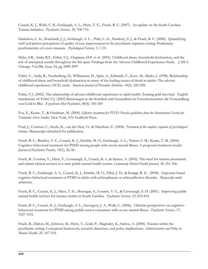Cusack, K. J., Wells, C. B., Grubaugh, A. L., Hiers, T. G., Frueh, B. C. (2007). An update on the South Carolina Trauma Initiative. *Psychiatric Services, 58*, 708-710.

Danielson, C. K., Borckardt, J. J., Grubaugh, A. L. , Pelic, C. G., Hardesty, S. J., & Frueh, B. C. (2008). Quantifying staff and patient perceptions of quality of care improvement in the psychiatric inpatient setting: Preliminary psychometrics of a new measure. *Psychological Services, 5*, 1-10.

Dube, S.R., Anda, R.F., Felitti, V.J., Chapman, D.P. et al. (2001). Childhood abuse, household dysfunction, and the risk of attempted suicide throughout the life span: Findings from the Adverse Childhood Experiences Study. *JAMA*. Chicago: Vol.286, Issue 24, pg 3089-3097

Felitti, V., Anda, R., Nordenberg, D., Williamson, D., Spitz, A., Edwards, V., Koss, M., Marks, J. (1998). Relationship of childhood abuse and household dysfunction to many of the leading causes of death in adults: The adverse childhood experiences (ACE) study. *American Journal of Preventive Medicine, 14*(4), 245-258.

Felitti, V.J. (2002). The relationship of adverse childhood experiences to adult health: Turning gold into lead. English translations of: Felitti V.J. (2002) Belastungen in der Kindheit und Gesundheit im Erwachsenenalter: die Verwandlung von Gold in Blei. *Z psychsom Med Psychother*, 48(4): 350-369

Foa, E., Keane, T., & Friedman, M. (2000). *Effective treatment for PTSD: Practice guidelines from the International Society for Traumatic Stress Studies*. New York, NY: Guilford Press.

Ford, J., Courtois, C., Steele, K., van der Hart, O., & Nijenhuis, E. (2004). *Treatment of the complex sequelae of psychological trauma*. Manuscript submitted for publication.

Frueh, B. C., Buckley, T. C., Cusack, K. J., Kimble, M. O., Grubaugh, A. L., Turner, S. M., Keane, T. M. (2004). Cognitive-behavioral treatment for PTSD among people with severe mental illness: A proposed treatment model. *Journal of Psychiatric Practice, 10*(1), 26-38.

Frueh, B., Cousins, V., Hiers, T., Cavanaugh, S., Cusack, K. I., & Santos, A. (2002). The need for trauma assessment and related clinical services in a state public mental health system. *Community Mental Health Journal, 38,* 351-356.

Frueh, B. C., Grubaugh, A. L., Cusack, K. J., Kimble, M. O., Elhai, J. D., & Knapp, R. G. (2008). Exposure-based cognitive behavioral treatment of PTSD in adults with schizophrenia or schizoaffective disorder. *Manuscript under submission*.

Frueh, B. C., Cusack, K. J., Hiers, T. G., Monogan, S., Cousins, V. C., & Cavenaugh, S. D. (2001). Improving public mental health services for trauma victims in South Carolina. *Psychiatric Services, 52*, 812-814.

Frueh, B. C., Cusack, K. J., Grubaugh, A. L., Sauvageot, J. A., Wells, C. (2006). Clinician perspectives on cognitivebehavioral treatment for PTSD among public-sector consumers with severe mental illness. *Psychiatric Services, 57*, 1027-1031.

Frueh, B., Dalton, M., Johnson, M., Hiers, T., Gold, P., Magruder, K., Santos, A. (2000). Trauma within the psychiatric setting: Conceptual framework, research directions, and policy implications. *Administration and Policy in Mental Health, 28,* 147-154.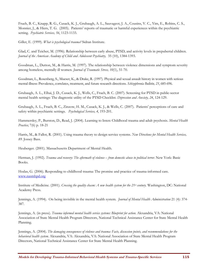Frueh, B. C., Knapp, R. G., Cusack, K. J., Grubaugh, A. L., Sauvageot, J. A., Cousins, V. C., Yim, E., Robins, C. S., Monnier, J., & Hiers, T. G. (2005). Patients' reports of traumatic or harmful experiences within the psychiatric setting. *Psychiatric Services, 56*, 1123-1133.

Giller, E. (1999). *What is psychological trauma?* Sidran Institute.

Glad, C. and Teicher, M. (1996). Relationship between early abuse, PTSD, and activity levels in prepubertal children. *Journal of the American Academy of Child and Adolescent Psychiatry,* 35 (10), 1384-1393.

Goodman, L., Dutton, M., & Harris, M. (1997). The relationship between violence dimensions and symptom severity among homeless, mentally ill women. *Journal of Traumatic Stress, 10*(1), 51-70.

Goodman, L., Rosenberg, S., Mueser, K., & Drake, R. (1997). Physical and sexual assault history in women with serious mental illness: Prevalence, correlates, treatment, and future research directions. *Schizophrenia Bulletin, 23*, 685-696.

Grubaugh, A. L., Elhai, J. D., Cusack, K. J., Wells, C., Frueh, B. C. (2007). Screening for PTSD in public-sector mental health settings: The diagnostic utility of the PTSD Checklist. *Depression and Anxiety, 24*, 124-129.

Grubaugh, A. L., Frueh, B. C., Zinzow, H. M., Cusack, K. J., & Wells, C. (2007). Patients' perceptions of care and safety within psychiatric settings. *Psychological Services, 4*, 193-201.

Hammersley, P., Burston, D., Read, J. (2004). Learning to listen: Childhood trauma and adult psychosis. *Mental Health Practice*; 7(6) p. 18-21

Harris, M., & Fallot, R. (2001). Using trauma theory to design service systems. *New Directions for Mental Health Services, 89.* Jossey Bass.

Heuberger. (2001). Massachusetts Department of Mental Health.

Herman, J. (1992). *Trauma and recovery: The aftermath of violence – from domestic abuse to political terror.* New York: Basic Books.

Hodas, G. (2006). Responding to childhood trauma: The promise and practice of trauma-informed care. www.nasmhpd.org

Institute of Medicine. (2001). *Crossing the quality chasm: A new health system for the 21st century.* Washington, DC: National Academy Press.

Jennings, A. (1994). On being invisible in the mental health system. *Journal of Mental Health Administration* 21 (4): 374- 387.

Jennings, A. (in press). *Trauma informed mental health service systems: Blueprint for action*. Alexandria, VA: National Association of State Mental Health Program Directors, National Technical Assistance Center for State Mental Health Planning.

Jennings, A. (2004). *The damaging consequences of violence and trauma: Facts, discussion points, and recommendations for the behavioral health system.* Alexandria, VA: Alexandria, VA: National Association of State Mental Health Program Directors, National Technical Assistance Center for State Mental Health Planning.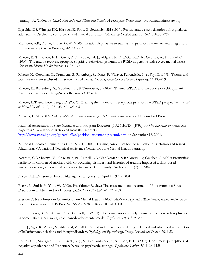Jennings, A. (2006). *A Child's Path to Mental Illness and Suicide: A Powerpoint Presentation.* www.theannainstitute.org

Lipschitz DS, Winegar RK, Hartnick E, Foote B, Southwick SM (1999), Posttraumatic stress disorder in hospitalized adolescents: Psychiatric comorbidity and clinical correlates. *J Am Acad Child Adolesc Psychiatry*, 38:385-392

Morrison, A.P., Frame, L., Larkin, W. (2003). Relationships between trauma and psychosis: A review and integration. *British Journal of Clinical Psychology,* 42, 331-353

Mueser, K. T., Bolton, E. E., Carty, P. C., Bradley, M. J., Ahlgren, K. F., DiStaso, D. R., Gilbride, A., & Liddel, C. (2007). The trauma recovery group: A cognitive-behavioral program for PTSD in persons with severe mental illness. *Community Mental Health Journal*, 43, 281-304.

Mueser, K., Goodman, L., Trumbetta, S., Rosenberg, S., Osher, F., Vidaver, R., Anciello, P., & Foy, D. (1998). Trauma and Posttraumatic Stress Disorder in severe mental illness. *Journal of Consulting and Clinical Psychology, 66,* 493-499.

Mueser, K., Rosenberg, S., Goodman, L., & Trumbetta, S. (2002). Trauma, PTSD, and the course of schizophrenia: An interactive model. *Schizophrenia Research, 53,* 123-143.

Mueser, K.T. and Rosenberg, S.D. (2003). Treating the trauma of first episode psychosis: A PTSD perspective. *Journal of Mental Health* 12, 2, 103-108. *43, 269-278* 

Najavits, L. M. (2002). *Seeking safety: A treatment manual for PTSD and substance abuse.* The Guilford Press.

National Association of State Mental Health Program Directors (NASMHPD). (1999). *Position statement on services and supports to trauma survivors*. Retrieved from the Internet at http://www.nasmhpd.org/general\_files/position\_statement/posstmb.htm on September 16, 2004.

National Executive Training Institute (NETI) (2003). Training curriculum for the reduction of seclusion and restraint. Alexandria, VA: national Technical Assistance Center for State Mental Health Planning.

Noether, C.D.; Brown, V.; Finkelstein, N.; Russell, L.A.; VanDeMark, N.R.; Morris, L.; Graeber, C. (2007) Promoting resiliency in children of mothers with co-occurring disorders and histories of trauma: Impact of a skills-based intervention program on child outcomes. Journal of Community Psychology. 35(7): 823-843.

NYS-OMH Division of Facility Management, figures for April 1, 1999 - 2001

Perrin, S., Smith, P., Yule, W. (2000). Practitioner Review: The assessment and treatment of Post-traumatic Stress Disorder in children and adolescents. *J.Clin.Psychol.Psychiat.,* 41, 277-289

President's New Freedom Commission on Mental Health. (2003). *Achieving the promise: Transforming mental health care in America. Final report.* DHHS Pub. No. SMA-03-3832. Rockville, MD: DHHS

Read, J., Perry, B., Moskowitz, A., & Connolly, J. (2001). The contribution of early traumatic events to schizophrenia in some patients: A traumagenic neurodevelopmental model. *Psychiatry, 64*(4), 319-345.

Read, J., Ager, K., Argyle, N., Aderhold, V. (2003). Sexual and physical abuse during childhood and adulthood as predictors of hallucinations, delusions and thought disorders. *Psychology and Psychotherapy: Theory, Research and Practice*. 76, 1-22.

Robins, C. S, Sauvageot, J. A., Cusack, K. J., Suffoletta-Maierle, S., & Frueh, B. C. (2005). Consumers' perceptions of negative experiences and "sanctuary harm" in psychiatric settings. *Psychiatric Services, 56*, 1134-1138.